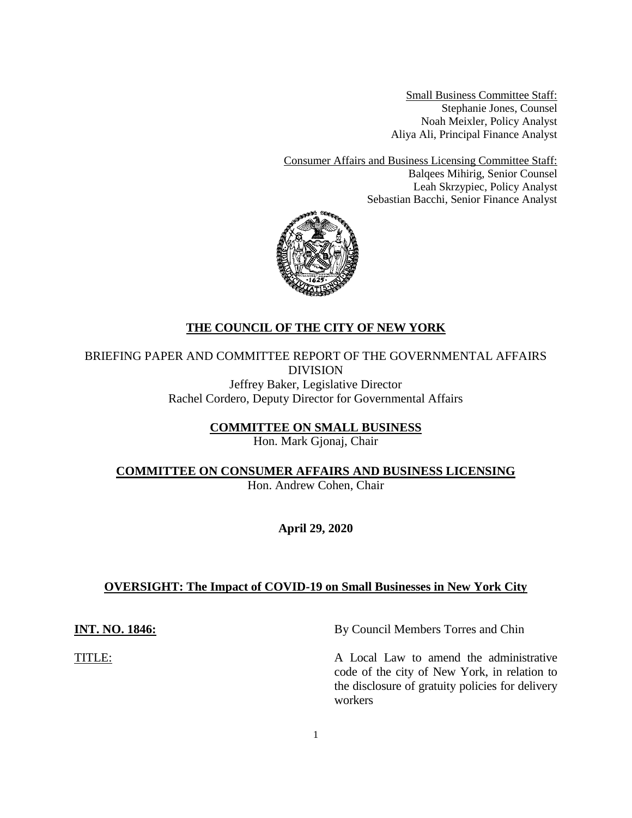Small Business Committee Staff: Stephanie Jones, Counsel Noah Meixler, Policy Analyst Aliya Ali, Principal Finance Analyst

Consumer Affairs and Business Licensing Committee Staff: Balqees Mihirig, Senior Counsel Leah Skrzypiec, Policy Analyst Sebastian Bacchi, Senior Finance Analyst



# **THE COUNCIL OF THE CITY OF NEW YORK**

BRIEFING PAPER AND COMMITTEE REPORT OF THE GOVERNMENTAL AFFAIRS DIVISION Jeffrey Baker, Legislative Director Rachel Cordero, Deputy Director for Governmental Affairs

**COMMITTEE ON SMALL BUSINESS**

Hon. Mark Gjonaj, Chair

**COMMITTEE ON CONSUMER AFFAIRS AND BUSINESS LICENSING** Hon. Andrew Cohen, Chair

**April 29, 2020**

## **OVERSIGHT: The Impact of COVID-19 on Small Businesses in New York City**

**INT. NO. 1846:** By Council Members Torres and Chin

TITLE: A Local Law to amend the administrative code of the city of New York, in relation to the disclosure of gratuity policies for delivery workers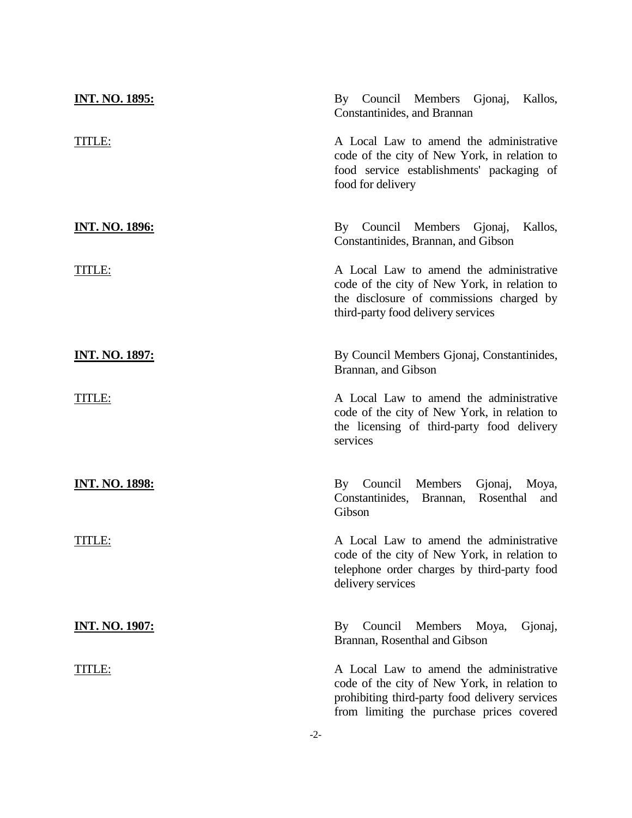| <u>INT. NO. 1895:</u> | By Council Members Gjonaj, Kallos,<br>Constantinides, and Brannan                                                                                                                      |
|-----------------------|----------------------------------------------------------------------------------------------------------------------------------------------------------------------------------------|
| TITLE:                | A Local Law to amend the administrative<br>code of the city of New York, in relation to<br>food service establishments' packaging of<br>food for delivery                              |
| <u>INT. NO. 1896:</u> | Council<br>Members<br>Gjonaj,<br>By<br>Kallos,<br>Constantinides, Brannan, and Gibson                                                                                                  |
| TITLE:                | A Local Law to amend the administrative<br>code of the city of New York, in relation to<br>the disclosure of commissions charged by<br>third-party food delivery services              |
| <u>INT. NO. 1897:</u> | By Council Members Gjonaj, Constantinides,<br>Brannan, and Gibson                                                                                                                      |
| ITTLE:                | A Local Law to amend the administrative<br>code of the city of New York, in relation to<br>the licensing of third-party food delivery<br>services                                      |
| <u>INT. NO. 1898:</u> | By Council<br>Members<br>Gjonaj,<br>Moya,<br>Constantinides, Brannan,<br>Rosenthal<br>and<br>Gibson                                                                                    |
| ITTLE:                | A Local Law to amend the administrative<br>code of the city of New York, in relation to<br>telephone order charges by third-party food<br>delivery services                            |
| <u>INT. NO. 1907:</u> | Council<br>Members<br>By<br>Moya,<br>Gjonaj,<br>Brannan, Rosenthal and Gibson                                                                                                          |
| TITLE:                | A Local Law to amend the administrative<br>code of the city of New York, in relation to<br>prohibiting third-party food delivery services<br>from limiting the purchase prices covered |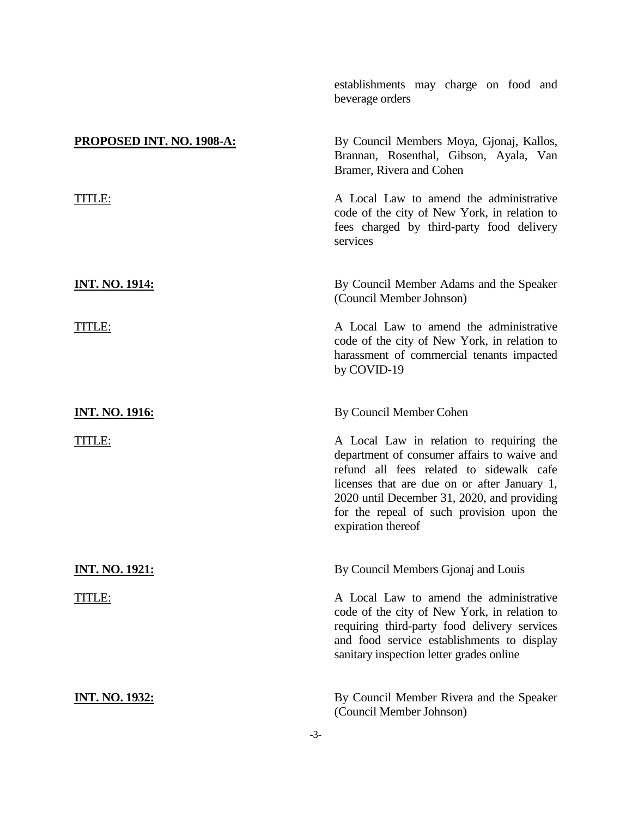|                                  | establishments may charge on food and<br>beverage orders                                                                                                                                                                                                                                              |
|----------------------------------|-------------------------------------------------------------------------------------------------------------------------------------------------------------------------------------------------------------------------------------------------------------------------------------------------------|
| <b>PROPOSED INT. NO. 1908-A:</b> | By Council Members Moya, Gjonaj, Kallos,<br>Brannan, Rosenthal, Gibson, Ayala, Van<br>Bramer, Rivera and Cohen                                                                                                                                                                                        |
| TITLE:                           | A Local Law to amend the administrative<br>code of the city of New York, in relation to<br>fees charged by third-party food delivery<br>services                                                                                                                                                      |
| <b>INT. NO. 1914:</b>            | By Council Member Adams and the Speaker<br>(Council Member Johnson)                                                                                                                                                                                                                                   |
| TITLE:                           | A Local Law to amend the administrative<br>code of the city of New York, in relation to<br>harassment of commercial tenants impacted<br>by COVID-19                                                                                                                                                   |
| <u>INT. NO. 1916:</u>            | By Council Member Cohen                                                                                                                                                                                                                                                                               |
| TITLE:                           | A Local Law in relation to requiring the<br>department of consumer affairs to waive and<br>refund all fees related to sidewalk cafe<br>licenses that are due on or after January 1,<br>2020 until December 31, 2020, and providing<br>for the repeal of such provision upon the<br>expiration thereof |
| <u>INT. NO. 1921:</u>            | By Council Members Gjonaj and Louis                                                                                                                                                                                                                                                                   |
| TTLE:                            | A Local Law to amend the administrative<br>code of the city of New York, in relation to<br>requiring third-party food delivery services<br>and food service establishments to display<br>sanitary inspection letter grades online                                                                     |
|                                  |                                                                                                                                                                                                                                                                                                       |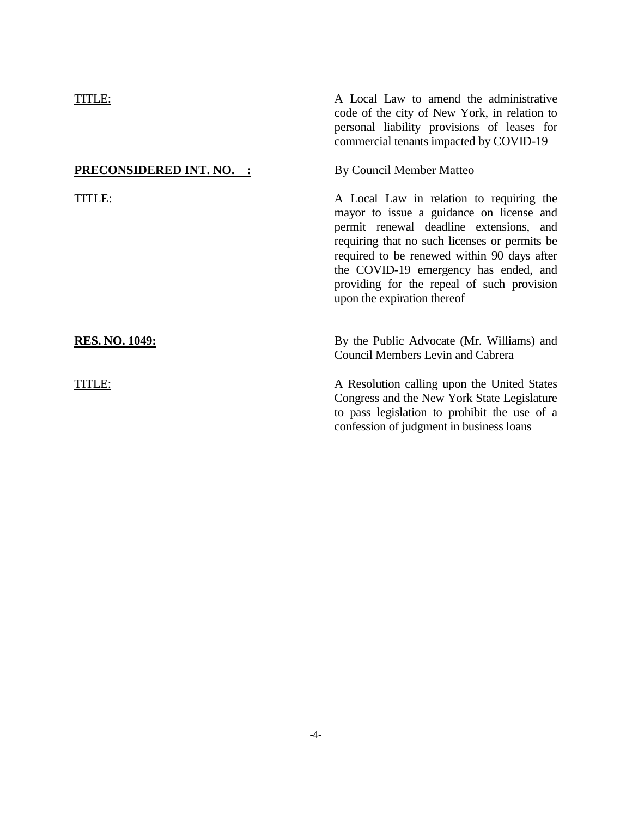| TITLE:                          | A Local Law to amend the administrative<br>code of the city of New York, in relation to<br>personal liability provisions of leases for<br>commercial tenants impacted by COVID-19                                                                                                                                                                     |
|---------------------------------|-------------------------------------------------------------------------------------------------------------------------------------------------------------------------------------------------------------------------------------------------------------------------------------------------------------------------------------------------------|
| <b>PRECONSIDERED INT. NO. :</b> | By Council Member Matteo                                                                                                                                                                                                                                                                                                                              |
| TITLE:                          | A Local Law in relation to requiring the<br>mayor to issue a guidance on license and<br>permit renewal deadline extensions, and<br>requiring that no such licenses or permits be<br>required to be renewed within 90 days after<br>the COVID-19 emergency has ended, and<br>providing for the repeal of such provision<br>upon the expiration thereof |
| <b>RES. NO. 1049:</b>           | By the Public Advocate (Mr. Williams) and<br><b>Council Members Levin and Cabrera</b>                                                                                                                                                                                                                                                                 |
| TLE:                            | A Resolution calling upon the United States<br>Congress and the New York State Legislature<br>to pass legislation to prohibit the use of a<br>confession of judgment in business loans                                                                                                                                                                |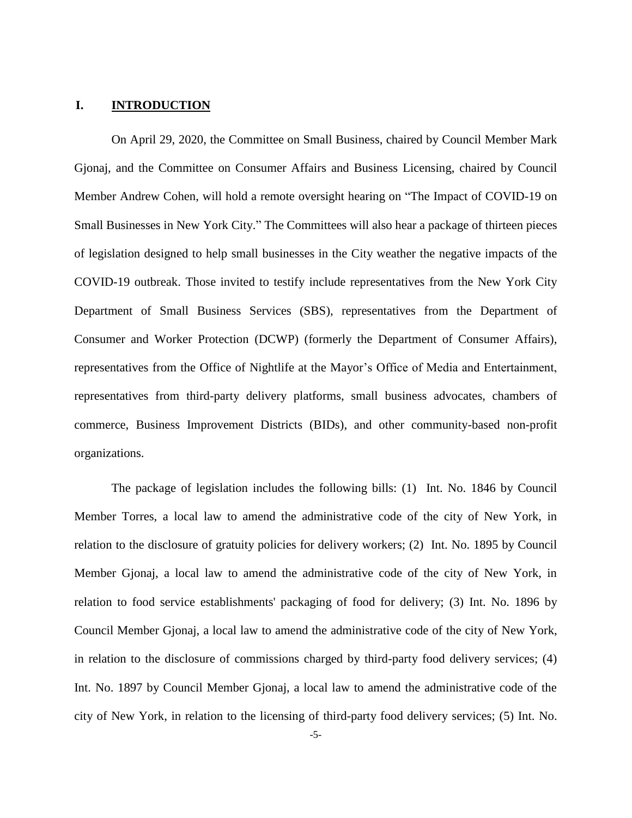#### **I. INTRODUCTION**

On April 29, 2020, the Committee on Small Business, chaired by Council Member Mark Gjonaj, and the Committee on Consumer Affairs and Business Licensing, chaired by Council Member Andrew Cohen, will hold a remote oversight hearing on "The Impact of COVID-19 on Small Businesses in New York City." The Committees will also hear a package of thirteen pieces of legislation designed to help small businesses in the City weather the negative impacts of the COVID-19 outbreak. Those invited to testify include representatives from the New York City Department of Small Business Services (SBS), representatives from the Department of Consumer and Worker Protection (DCWP) (formerly the Department of Consumer Affairs), representatives from the Office of Nightlife at the Mayor's Office of Media and Entertainment, representatives from third-party delivery platforms, small business advocates, chambers of commerce, Business Improvement Districts (BIDs), and other community-based non-profit organizations.

The package of legislation includes the following bills: (1) Int. No. 1846 by Council Member Torres, a local law to amend the administrative code of the city of New York, in relation to the disclosure of gratuity policies for delivery workers; (2) Int. No. 1895 by Council Member Gjonaj, a local law to amend the administrative code of the city of New York, in relation to food service establishments' packaging of food for delivery; (3) Int. No. 1896 by Council Member Gjonaj, a local law to amend the administrative code of the city of New York, in relation to the disclosure of commissions charged by third-party food delivery services; (4) Int. No. 1897 by Council Member Gjonaj, a local law to amend the administrative code of the city of New York, in relation to the licensing of third-party food delivery services; (5) Int. No.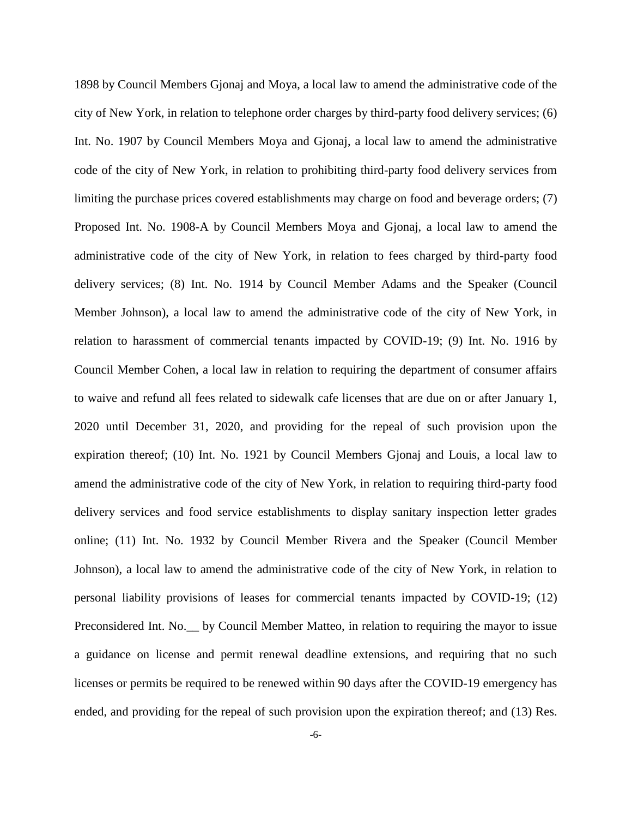1898 by Council Members Gjonaj and Moya, a local law to amend the administrative code of the city of New York, in relation to telephone order charges by third-party food delivery services; (6) Int. No. 1907 by Council Members Moya and Gjonaj, a local law to amend the administrative code of the city of New York, in relation to prohibiting third-party food delivery services from limiting the purchase prices covered establishments may charge on food and beverage orders; (7) Proposed Int. No. 1908-A by Council Members Moya and Gjonaj, a local law to amend the administrative code of the city of New York, in relation to fees charged by third-party food delivery services; (8) Int. No. 1914 by Council Member Adams and the Speaker (Council Member Johnson), a local law to amend the administrative code of the city of New York, in relation to harassment of commercial tenants impacted by COVID-19; (9) Int. No. 1916 by Council Member Cohen, a local law in relation to requiring the department of consumer affairs to waive and refund all fees related to sidewalk cafe licenses that are due on or after January 1, 2020 until December 31, 2020, and providing for the repeal of such provision upon the expiration thereof; (10) Int. No. 1921 by Council Members Gjonaj and Louis, a local law to amend the administrative code of the city of New York, in relation to requiring third-party food delivery services and food service establishments to display sanitary inspection letter grades online; (11) Int. No. 1932 by Council Member Rivera and the Speaker (Council Member Johnson), a local law to amend the administrative code of the city of New York, in relation to personal liability provisions of leases for commercial tenants impacted by COVID-19; (12) Preconsidered Int. No. by Council Member Matteo, in relation to requiring the mayor to issue a guidance on license and permit renewal deadline extensions, and requiring that no such licenses or permits be required to be renewed within 90 days after the COVID-19 emergency has ended, and providing for the repeal of such provision upon the expiration thereof; and (13) Res.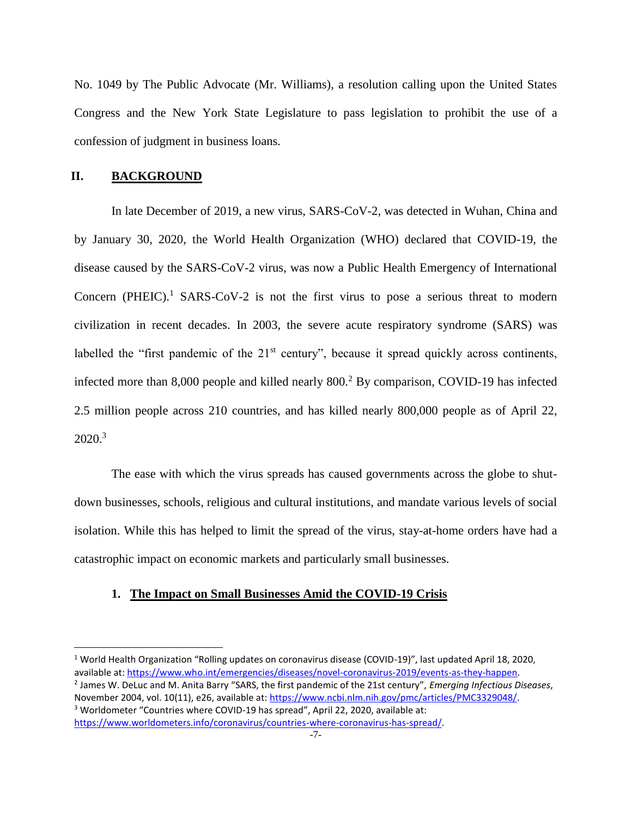No. 1049 by The Public Advocate (Mr. Williams), a resolution calling upon the United States Congress and the New York State Legislature to pass legislation to prohibit the use of a confession of judgment in business loans.

#### **II. BACKGROUND**

 $\overline{\phantom{a}}$ 

In late December of 2019, a new virus, SARS-CoV-2, was detected in Wuhan, China and by January 30, 2020, the World Health Organization (WHO) declared that COVID-19, the disease caused by the SARS-CoV-2 virus, was now a Public Health Emergency of International Concern (PHEIC).<sup>1</sup> SARS-CoV-2 is not the first virus to pose a serious threat to modern civilization in recent decades. In 2003, the severe acute respiratory syndrome (SARS) was labelled the "first pandemic of the  $21<sup>st</sup>$  century", because it spread quickly across continents, infected more than 8,000 people and killed nearly  $800<sup>2</sup>$  By comparison, COVID-19 has infected 2.5 million people across 210 countries, and has killed nearly 800,000 people as of April 22,  $2020.<sup>3</sup>$ 

The ease with which the virus spreads has caused governments across the globe to shutdown businesses, schools, religious and cultural institutions, and mandate various levels of social isolation. While this has helped to limit the spread of the virus, stay-at-home orders have had a catastrophic impact on economic markets and particularly small businesses.

#### **1. The Impact on Small Businesses Amid the COVID-19 Crisis**

<sup>1</sup> World Health Organization "Rolling updates on coronavirus disease (COVID-19)", last updated April 18, 2020, available at: [https://www.who.int/emergencies/diseases/novel-coronavirus-2019/events-as-they-happen.](https://www.who.int/emergencies/diseases/novel-coronavirus-2019/events-as-they-happen)  2 James W. DeLuc and M. Anita Barry "SARS, the first pandemic of the 21st century", *Emerging Infectious Diseases*, November 2004, vol. 10(11), e26, available at: [https://www.ncbi.nlm.nih.gov/pmc/articles/PMC3329048/.](https://www.ncbi.nlm.nih.gov/pmc/articles/PMC3329048/) <sup>3</sup> Worldometer "Countries where COVID-19 has spread", April 22, 2020, available at:

[https://www.worldometers.info/coronavirus/countries-where-coronavirus-has-spread/.](https://www.worldometers.info/coronavirus/countries-where-coronavirus-has-spread/)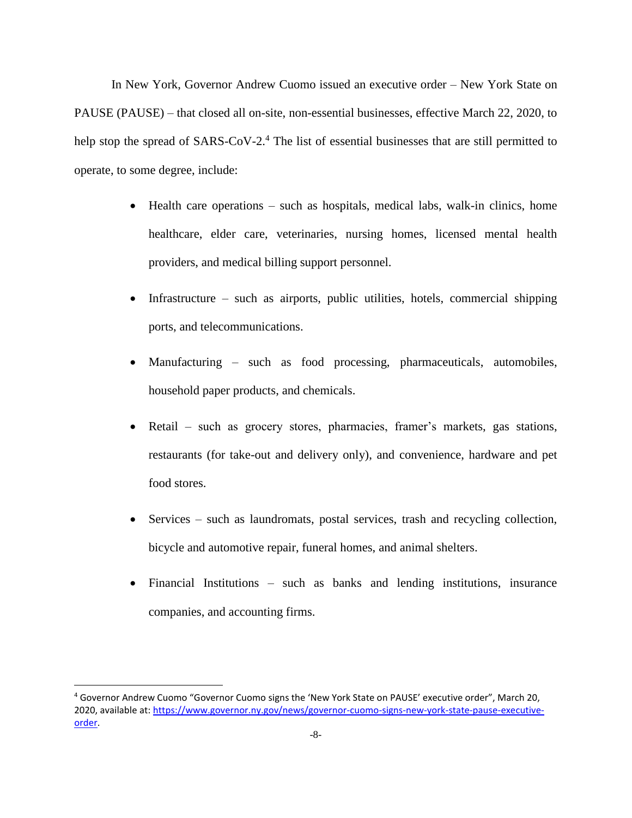In New York, Governor Andrew Cuomo issued an executive order – New York State on PAUSE (PAUSE) – that closed all on-site, non-essential businesses, effective March 22, 2020, to help stop the spread of SARS-CoV-2.<sup>4</sup> The list of essential businesses that are still permitted to operate, to some degree, include:

- Health care operations such as hospitals, medical labs, walk-in clinics, home healthcare, elder care, veterinaries, nursing homes, licensed mental health providers, and medical billing support personnel.
- Infrastructure such as airports, public utilities, hotels, commercial shipping ports, and telecommunications.
- Manufacturing such as food processing, pharmaceuticals, automobiles, household paper products, and chemicals.
- Retail such as grocery stores, pharmacies, framer's markets, gas stations, restaurants (for take-out and delivery only), and convenience, hardware and pet food stores.
- Services such as laundromats, postal services, trash and recycling collection, bicycle and automotive repair, funeral homes, and animal shelters.
- Financial Institutions such as banks and lending institutions, insurance companies, and accounting firms.

l

<sup>4</sup> Governor Andrew Cuomo "Governor Cuomo signs the 'New York State on PAUSE' executive order", March 20, 2020, available at[: https://www.governor.ny.gov/news/governor-cuomo-signs-new-york-state-pause-executive](https://www.governor.ny.gov/news/governor-cuomo-signs-new-york-state-pause-executive-order)[order.](https://www.governor.ny.gov/news/governor-cuomo-signs-new-york-state-pause-executive-order)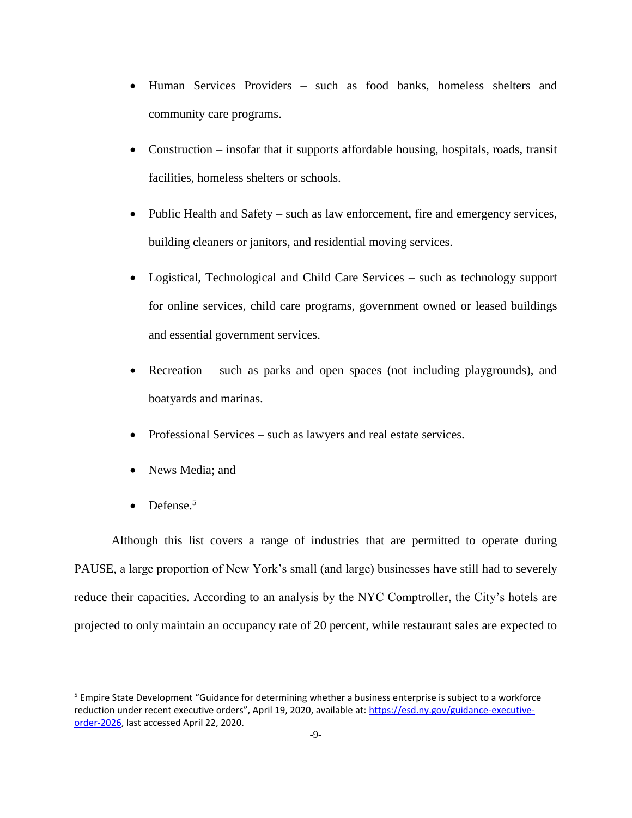- Human Services Providers such as food banks, homeless shelters and community care programs.
- Construction insofar that it supports affordable housing, hospitals, roads, transit facilities, homeless shelters or schools.
- Public Health and Safety such as law enforcement, fire and emergency services, building cleaners or janitors, and residential moving services.
- Logistical, Technological and Child Care Services such as technology support for online services, child care programs, government owned or leased buildings and essential government services.
- Recreation such as parks and open spaces (not including playgrounds), and boatyards and marinas.
- Professional Services such as lawyers and real estate services.
- News Media; and
- Defense. $5$

l

Although this list covers a range of industries that are permitted to operate during PAUSE, a large proportion of New York's small (and large) businesses have still had to severely reduce their capacities. According to an analysis by the NYC Comptroller, the City's hotels are projected to only maintain an occupancy rate of 20 percent, while restaurant sales are expected to

<sup>&</sup>lt;sup>5</sup> Empire State Development "Guidance for determining whether a business enterprise is subject to a workforce reduction under recent executive orders", April 19, 2020, available at: [https://esd.ny.gov/guidance-executive](https://esd.ny.gov/guidance-executive-order-2026)[order-2026,](https://esd.ny.gov/guidance-executive-order-2026) last accessed April 22, 2020.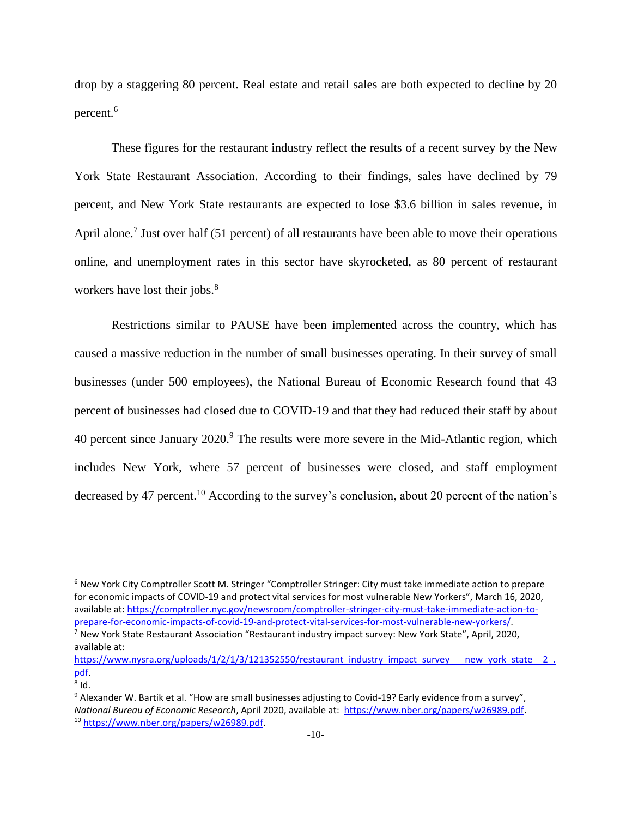drop by a staggering 80 percent. Real estate and retail sales are both expected to decline by 20 percent.<sup>6</sup>

These figures for the restaurant industry reflect the results of a recent survey by the New York State Restaurant Association. According to their findings, sales have declined by 79 percent, and New York State restaurants are expected to lose \$3.6 billion in sales revenue, in April alone.<sup>7</sup> Just over half (51 percent) of all restaurants have been able to move their operations online, and unemployment rates in this sector have skyrocketed, as 80 percent of restaurant workers have lost their jobs.<sup>8</sup>

Restrictions similar to PAUSE have been implemented across the country, which has caused a massive reduction in the number of small businesses operating. In their survey of small businesses (under 500 employees), the National Bureau of Economic Research found that 43 percent of businesses had closed due to COVID-19 and that they had reduced their staff by about 40 percent since January 2020.<sup>9</sup> The results were more severe in the Mid-Atlantic region, which includes New York, where 57 percent of businesses were closed, and staff employment decreased by 47 percent.<sup>10</sup> According to the survey's conclusion, about 20 percent of the nation's

<sup>7</sup> New York State Restaurant Association "Restaurant industry impact survey: New York State", April, 2020, available at:

l

 $6$  New York City Comptroller Scott M. Stringer "Comptroller Stringer: City must take immediate action to prepare for economic impacts of COVID-19 and protect vital services for most vulnerable New Yorkers", March 16, 2020, available at: [https://comptroller.nyc.gov/newsroom/comptroller-stringer-city-must-take-immediate-action-to](https://comptroller.nyc.gov/newsroom/comptroller-stringer-city-must-take-immediate-action-to-prepare-for-economic-impacts-of-covid-19-and-protect-vital-services-for-most-vulnerable-new-yorkers/)[prepare-for-economic-impacts-of-covid-19-and-protect-vital-services-for-most-vulnerable-new-yorkers/.](https://comptroller.nyc.gov/newsroom/comptroller-stringer-city-must-take-immediate-action-to-prepare-for-economic-impacts-of-covid-19-and-protect-vital-services-for-most-vulnerable-new-yorkers/)

[https://www.nysra.org/uploads/1/2/1/3/121352550/restaurant\\_industry\\_impact\\_survey\\_\\_\\_new\\_york\\_state\\_\\_2\\_.](https://www.nysra.org/uploads/1/2/1/3/121352550/restaurant_industry_impact_survey___new_york_state__2_.pdf) [pdf.](https://www.nysra.org/uploads/1/2/1/3/121352550/restaurant_industry_impact_survey___new_york_state__2_.pdf)

 $^8$  Id.

<sup>&</sup>lt;sup>9</sup> Alexander W. Bartik et al. "How are small businesses adjusting to Covid-19? Early evidence from a survey", *National Bureau of Economic Research*, April 2020, available at: [https://www.nber.org/papers/w26989.pdf.](https://www.nber.org/papers/w26989.pdf) <sup>10</sup> [https://www.nber.org/papers/w26989.pdf.](https://www.nber.org/papers/w26989.pdf)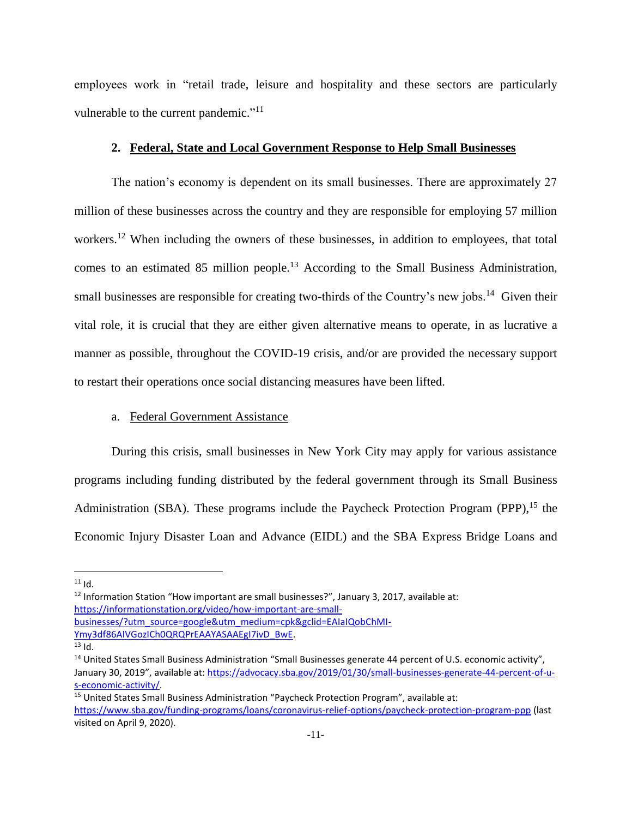employees work in "retail trade, leisure and hospitality and these sectors are particularly vulnerable to the current pandemic."<sup>11</sup>

## **2. Federal, State and Local Government Response to Help Small Businesses**

The nation's economy is dependent on its small businesses. There are approximately 27 million of these businesses across the country and they are responsible for employing 57 million workers.<sup>12</sup> When including the owners of these businesses, in addition to employees, that total comes to an estimated 85 million people.<sup>13</sup> According to the Small Business Administration, small businesses are responsible for creating two-thirds of the Country's new jobs.<sup>14</sup> Given their vital role, it is crucial that they are either given alternative means to operate, in as lucrative a manner as possible, throughout the COVID-19 crisis, and/or are provided the necessary support to restart their operations once social distancing measures have been lifted.

## a. Federal Government Assistance

During this crisis, small businesses in New York City may apply for various assistance programs including funding distributed by the federal government through its Small Business Administration (SBA). These programs include the Paycheck Protection Program (PPP),  $15$  the Economic Injury Disaster Loan and Advance (EIDL) and the SBA Express Bridge Loans and

l

 $11$  Id.

<sup>&</sup>lt;sup>12</sup> Information Station "How important are small businesses?", January 3, 2017, available at: [https://informationstation.org/video/how-important-are-small-](https://informationstation.org/video/how-important-are-small-businesses/?utm_source=google&utm_medium=cpk&gclid=EAIaIQobChMI-Ymy3df86AIVGozICh0QRQPrEAAYASAAEgI7ivD_BwE)

[businesses/?utm\\_source=google&utm\\_medium=cpk&gclid=EAIaIQobChMI-](https://informationstation.org/video/how-important-are-small-businesses/?utm_source=google&utm_medium=cpk&gclid=EAIaIQobChMI-Ymy3df86AIVGozICh0QRQPrEAAYASAAEgI7ivD_BwE)

[Ymy3df86AIVGozICh0QRQPrEAAYASAAEgI7ivD\\_BwE.](https://informationstation.org/video/how-important-are-small-businesses/?utm_source=google&utm_medium=cpk&gclid=EAIaIQobChMI-Ymy3df86AIVGozICh0QRQPrEAAYASAAEgI7ivD_BwE)

 $13$  Id.

<sup>&</sup>lt;sup>14</sup> United States Small Business Administration "Small Businesses generate 44 percent of U.S. economic activity", January 30, 2019", available at: [https://advocacy.sba.gov/2019/01/30/small-businesses-generate-44-percent-of-u](https://advocacy.sba.gov/2019/01/30/small-businesses-generate-44-percent-of-u-s-economic-activity/)[s-economic-activity/.](https://advocacy.sba.gov/2019/01/30/small-businesses-generate-44-percent-of-u-s-economic-activity/)

<sup>&</sup>lt;sup>15</sup> United States Small Business Administration "Paycheck Protection Program", available at: <https://www.sba.gov/funding-programs/loans/coronavirus-relief-options/paycheck-protection-program-ppp> (last visited on April 9, 2020).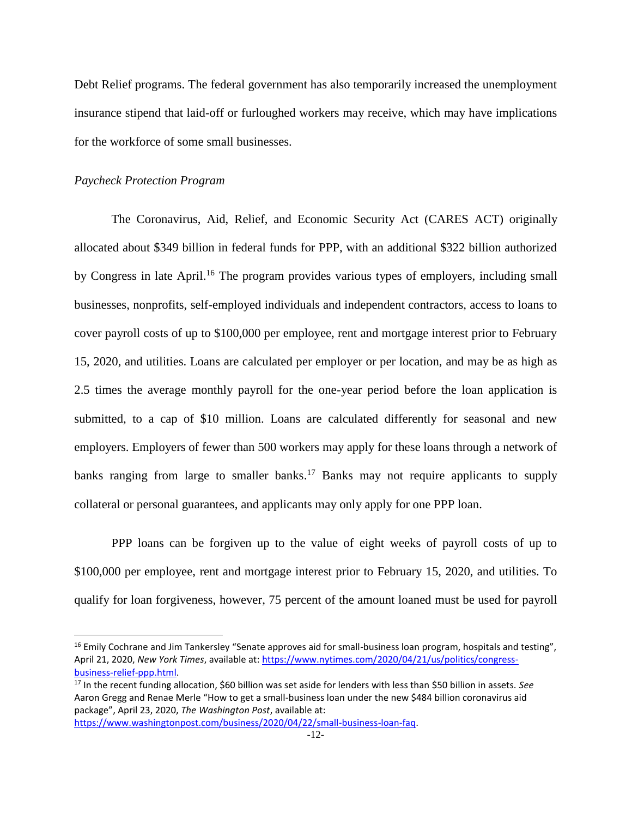Debt Relief programs. The federal government has also temporarily increased the unemployment insurance stipend that laid-off or furloughed workers may receive, which may have implications for the workforce of some small businesses.

#### *Paycheck Protection Program*

 $\overline{a}$ 

The Coronavirus, Aid, Relief, and Economic Security Act (CARES ACT) originally allocated about \$349 billion in federal funds for PPP, with an additional \$322 billion authorized by Congress in late April.<sup>16</sup> The program provides various types of employers, including small businesses, nonprofits, self-employed individuals and independent contractors, access to loans to cover payroll costs of up to \$100,000 per employee, rent and mortgage interest prior to February 15, 2020, and utilities. Loans are calculated per employer or per location, and may be as high as 2.5 times the average monthly payroll for the one-year period before the loan application is submitted, to a cap of \$10 million. Loans are calculated differently for seasonal and new employers. Employers of fewer than 500 workers may apply for these loans through a network of banks ranging from large to smaller banks.<sup>17</sup> Banks may not require applicants to supply collateral or personal guarantees, and applicants may only apply for one PPP loan.

PPP loans can be forgiven up to the value of eight weeks of payroll costs of up to \$100,000 per employee, rent and mortgage interest prior to February 15, 2020, and utilities. To qualify for loan forgiveness, however, 75 percent of the amount loaned must be used for payroll

<sup>&</sup>lt;sup>16</sup> Emily Cochrane and Jim Tankersley "Senate approves aid for small-business loan program, hospitals and testing", April 21, 2020, *New York Times*, available at: [https://www.nytimes.com/2020/04/21/us/politics/congress](https://www.nytimes.com/2020/04/21/us/politics/congress-business-relief-ppp.html)[business-relief-ppp.html.](https://www.nytimes.com/2020/04/21/us/politics/congress-business-relief-ppp.html)

<sup>17</sup> In the recent funding allocation, \$60 billion was set aside for lenders with less than \$50 billion in assets. *See* Aaron Gregg and Renae Merle "How to get a small-business loan under the new \$484 billion coronavirus aid package", April 23, 2020, *The Washington Post*, available at:

[https://www.washingtonpost.com/business/2020/04/22/small-business-loan-faq.](https://www.washingtonpost.com/business/2020/04/22/small-business-loan-faq)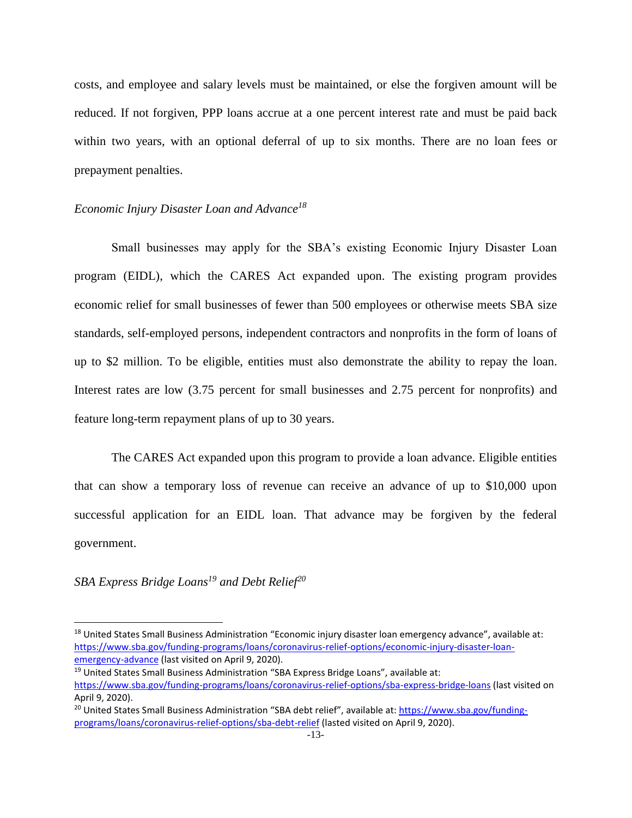costs, and employee and salary levels must be maintained, or else the forgiven amount will be reduced. If not forgiven, PPP loans accrue at a one percent interest rate and must be paid back within two years, with an optional deferral of up to six months. There are no loan fees or prepayment penalties.

#### *Economic Injury Disaster Loan and Advance<sup>18</sup>*

Small businesses may apply for the SBA's existing Economic Injury Disaster Loan program (EIDL), which the CARES Act expanded upon. The existing program provides economic relief for small businesses of fewer than 500 employees or otherwise meets SBA size standards, self-employed persons, independent contractors and nonprofits in the form of loans of up to \$2 million. To be eligible, entities must also demonstrate the ability to repay the loan. Interest rates are low (3.75 percent for small businesses and 2.75 percent for nonprofits) and feature long-term repayment plans of up to 30 years.

The CARES Act expanded upon this program to provide a loan advance. Eligible entities that can show a temporary loss of revenue can receive an advance of up to \$10,000 upon successful application for an EIDL loan. That advance may be forgiven by the federal government.

# *SBA Express Bridge Loans<sup>19</sup> and Debt Relief<sup>20</sup>*

 $\overline{\phantom{a}}$ 

 $19$  United States Small Business Administration "SBA Express Bridge Loans", available at: <https://www.sba.gov/funding-programs/loans/coronavirus-relief-options/sba-express-bridge-loans> (last visited on April 9, 2020).

<sup>&</sup>lt;sup>18</sup> United States Small Business Administration "Economic injury disaster loan emergency advance", available at: [https://www.sba.gov/funding-programs/loans/coronavirus-relief-options/economic-injury-disaster-loan](https://www.sba.gov/funding-programs/loans/coronavirus-relief-options/economic-injury-disaster-loan-emergency-advance)[emergency-advance](https://www.sba.gov/funding-programs/loans/coronavirus-relief-options/economic-injury-disaster-loan-emergency-advance) (last visited on April 9, 2020).

<sup>&</sup>lt;sup>20</sup> United States Small Business Administration "SBA debt relief", available at: [https://www.sba.gov/funding](https://www.sba.gov/funding-programs/loans/coronavirus-relief-options/sba-debt-relief)[programs/loans/coronavirus-relief-options/sba-debt-relief](https://www.sba.gov/funding-programs/loans/coronavirus-relief-options/sba-debt-relief) (lasted visited on April 9, 2020).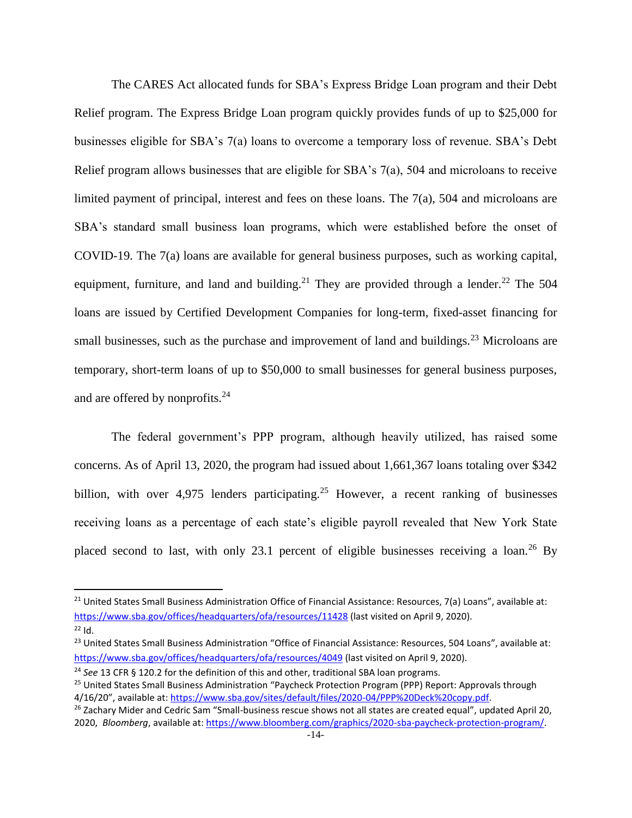The CARES Act allocated funds for SBA's Express Bridge Loan program and their Debt Relief program. The Express Bridge Loan program quickly provides funds of up to \$25,000 for businesses eligible for SBA's 7(a) loans to overcome a temporary loss of revenue. SBA's Debt Relief program allows businesses that are eligible for SBA's 7(a), 504 and microloans to receive limited payment of principal, interest and fees on these loans. The 7(a), 504 and microloans are SBA's standard small business loan programs, which were established before the onset of COVID-19. The 7(a) loans are available for general business purposes, such as working capital, equipment, furniture, and land and building.<sup>21</sup> They are provided through a lender.<sup>22</sup> The 504 loans are issued by Certified Development Companies for long-term, fixed-asset financing for small businesses, such as the purchase and improvement of land and buildings.<sup>23</sup> Microloans are temporary, short-term loans of up to \$50,000 to small businesses for general business purposes, and are offered by nonprofits.<sup>24</sup>

The federal government's PPP program, although heavily utilized, has raised some concerns. As of April 13, 2020, the program had issued about 1,661,367 loans totaling over \$342 billion, with over 4,975 lenders participating.<sup>25</sup> However, a recent ranking of businesses receiving loans as a percentage of each state's eligible payroll revealed that New York State placed second to last, with only 23.1 percent of eligible businesses receiving a loan.<sup>26</sup> By

<sup>&</sup>lt;sup>21</sup> United States Small Business Administration Office of Financial Assistance: Resources, 7(a) Loans", available at: <https://www.sba.gov/offices/headquarters/ofa/resources/11428> (last visited on April 9, 2020).  $22$  Id.

<sup>&</sup>lt;sup>23</sup> United States Small Business Administration "Office of Financial Assistance: Resources, 504 Loans", available at: <https://www.sba.gov/offices/headquarters/ofa/resources/4049> (last visited on April 9, 2020).

<sup>24</sup> *See* 13 CFR § 120.2 for the definition of this and other, traditional SBA loan programs.

<sup>&</sup>lt;sup>25</sup> United States Small Business Administration "Paycheck Protection Program (PPP) Report: Approvals through 4/16/20", available at: [https://www.sba.gov/sites/default/files/2020-04/PPP%20Deck%20copy.pdf.](https://www.sba.gov/sites/default/files/2020-04/PPP%20Deck%20copy.pdf)

<sup>&</sup>lt;sup>26</sup> Zachary Mider and Cedric Sam "Small-business rescue shows not all states are created equal", updated April 20, 2020, *Bloomberg*, available at: [https://www.bloomberg.com/graphics/2020-sba-paycheck-protection-program/.](https://www.bloomberg.com/graphics/2020-sba-paycheck-protection-program/)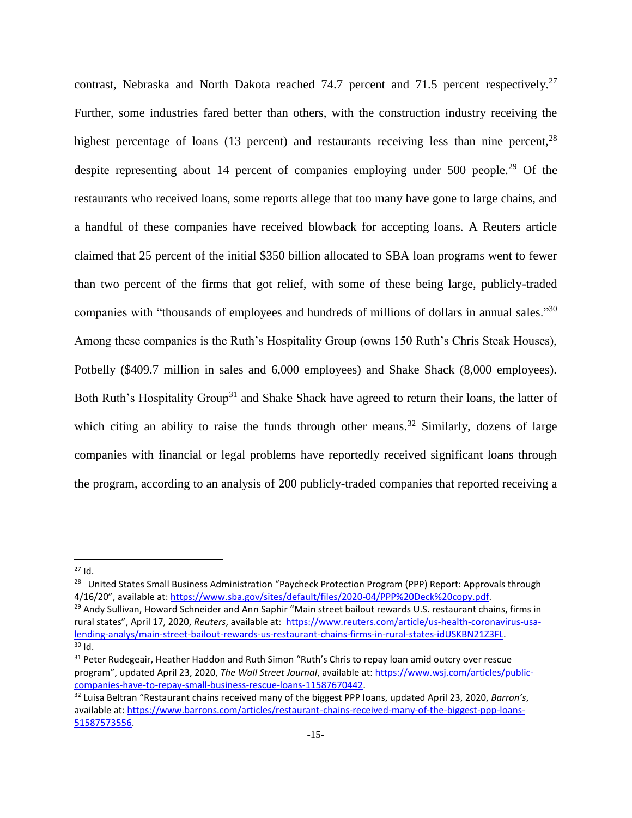contrast, Nebraska and North Dakota reached 74.7 percent and 71.5 percent respectively.<sup>27</sup> Further, some industries fared better than others, with the construction industry receiving the highest percentage of loans (13 percent) and restaurants receiving less than nine percent,  $28$ despite representing about 14 percent of companies employing under 500 people.<sup>29</sup> Of the restaurants who received loans, some reports allege that too many have gone to large chains, and a handful of these companies have received blowback for accepting loans. A Reuters article claimed that 25 percent of the initial \$350 billion allocated to SBA loan programs went to fewer than two percent of the firms that got relief, with some of these being large, publicly-traded companies with "thousands of employees and hundreds of millions of dollars in annual sales."<sup>30</sup> Among these companies is the Ruth's Hospitality Group (owns 150 Ruth's Chris Steak Houses), Potbelly (\$409.7 million in sales and 6,000 employees) and Shake Shack (8,000 employees). Both Ruth's Hospitality Group<sup>31</sup> and Shake Shack have agreed to return their loans, the latter of which citing an ability to raise the funds through other means.<sup>32</sup> Similarly, dozens of large companies with financial or legal problems have reportedly received significant loans through the program, according to an analysis of 200 publicly-traded companies that reported receiving a

<sup>27</sup> Id.

<sup>&</sup>lt;sup>28</sup> United States Small Business Administration "Paycheck Protection Program (PPP) Report: Approvals through 4/16/20", available at: [https://www.sba.gov/sites/default/files/2020-04/PPP%20Deck%20copy.pdf.](https://www.sba.gov/sites/default/files/2020-04/PPP%20Deck%20copy.pdf)

<sup>&</sup>lt;sup>29</sup> Andy Sullivan, Howard Schneider and Ann Saphir "Main street bailout rewards U.S. restaurant chains, firms in rural states", April 17, 2020, *Reuters*, available at: [https://www.reuters.com/article/us-health-coronavirus-usa](https://www.reuters.com/article/us-health-coronavirus-usa-lending-analys/main-street-bailout-rewards-us-restaurant-chains-firms-in-rural-states-idUSKBN21Z3FL)[lending-analys/main-street-bailout-rewards-us-restaurant-chains-firms-in-rural-states-idUSKBN21Z3FL.](https://www.reuters.com/article/us-health-coronavirus-usa-lending-analys/main-street-bailout-rewards-us-restaurant-chains-firms-in-rural-states-idUSKBN21Z3FL)  $30$  Id.

<sup>&</sup>lt;sup>31</sup> Peter Rudegeair, Heather Haddon and Ruth Simon "Ruth's Chris to repay loan amid outcry over rescue program", updated April 23, 2020, *The Wall Street Journal*, available at: [https://www.wsj.com/articles/public](https://www.wsj.com/articles/public-companies-have-to-repay-small-business-rescue-loans-11587670442)[companies-have-to-repay-small-business-rescue-loans-11587670442.](https://www.wsj.com/articles/public-companies-have-to-repay-small-business-rescue-loans-11587670442)

<sup>32</sup> Luisa Beltran "Restaurant chains received many of the biggest PPP loans, updated April 23, 2020, *Barron's*, available at: [https://www.barrons.com/articles/restaurant-chains-received-many-of-the-biggest-ppp-loans-](https://www.barrons.com/articles/restaurant-chains-received-many-of-the-biggest-ppp-loans-51587573556)[51587573556.](https://www.barrons.com/articles/restaurant-chains-received-many-of-the-biggest-ppp-loans-51587573556)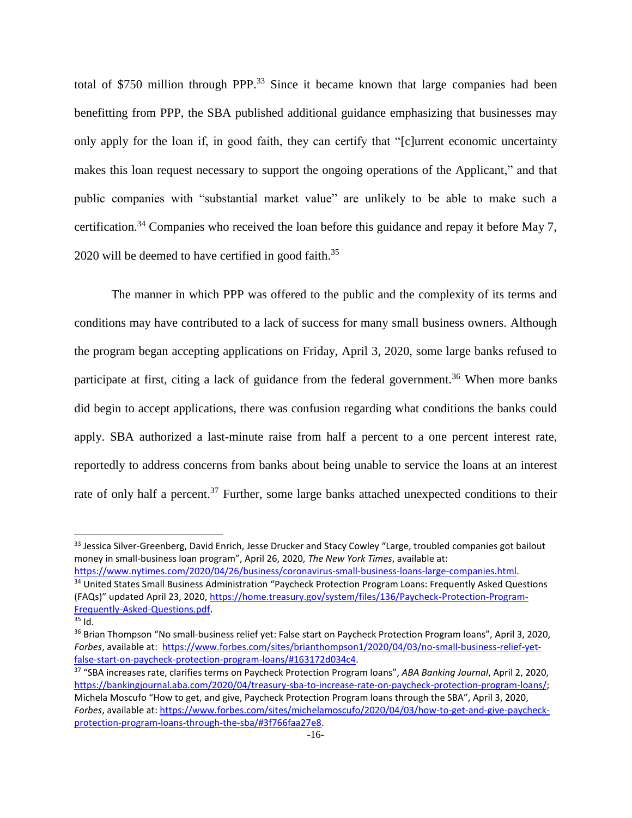total of \$750 million through PPP.<sup>33</sup> Since it became known that large companies had been benefitting from PPP, the SBA published additional guidance emphasizing that businesses may only apply for the loan if, in good faith, they can certify that "[c]urrent economic uncertainty makes this loan request necessary to support the ongoing operations of the Applicant," and that public companies with "substantial market value" are unlikely to be able to make such a certification.<sup>34</sup> Companies who received the loan before this guidance and repay it before May 7,  $2020$  will be deemed to have certified in good faith.<sup>35</sup>

The manner in which PPP was offered to the public and the complexity of its terms and conditions may have contributed to a lack of success for many small business owners. Although the program began accepting applications on Friday, April 3, 2020, some large banks refused to participate at first, citing a lack of guidance from the federal government.<sup>36</sup> When more banks did begin to accept applications, there was confusion regarding what conditions the banks could apply. SBA authorized a last-minute raise from half a percent to a one percent interest rate, reportedly to address concerns from banks about being unable to service the loans at an interest rate of only half a percent.<sup>37</sup> Further, some large banks attached unexpected conditions to their

[https://www.nytimes.com/2020/04/26/business/coronavirus-small-business-loans-large-companies.html.](https://www.nytimes.com/2020/04/26/business/coronavirus-small-business-loans-large-companies.html) <sup>34</sup> United States Small Business Administration "Paycheck Protection Program Loans: Frequently Asked Questions (FAQs)" updated April 23, 2020, [https://home.treasury.gov/system/files/136/Paycheck-Protection-Program-](https://home.treasury.gov/system/files/136/Paycheck-Protection-Program-Frequently-Asked-Questions.pdf)[Frequently-Asked-Questions.pdf.](https://home.treasury.gov/system/files/136/Paycheck-Protection-Program-Frequently-Asked-Questions.pdf)

 $\overline{\phantom{a}}$ 

37 "SBA increases rate, clarifies terms on Paycheck Protection Program loans", *ABA Banking Journal*, April 2, 2020, [https://bankingjournal.aba.com/2020/04/treasury-sba-to-increase-rate-on-paycheck-protection-program-loans/;](https://bankingjournal.aba.com/2020/04/treasury-sba-to-increase-rate-on-paycheck-protection-program-loans/) Michela Moscufo "How to get, and give, Paycheck Protection Program loans through the SBA", April 3, 2020, *Forbes*, available at: [https://www.forbes.com/sites/michelamoscufo/2020/04/03/how-to-get-and-give-paycheck](https://www.forbes.com/sites/michelamoscufo/2020/04/03/how-to-get-and-give-paycheck-protection-program-loans-through-the-sba/#3f766faa27e8)[protection-program-loans-through-the-sba/#3f766faa27e8.](https://www.forbes.com/sites/michelamoscufo/2020/04/03/how-to-get-and-give-paycheck-protection-program-loans-through-the-sba/#3f766faa27e8)

<sup>&</sup>lt;sup>33</sup> Jessica Silver-Greenberg, David Enrich, Jesse Drucker and Stacy Cowley "Large, troubled companies got bailout money in small-business loan program", April 26, 2020, *The New York Times*, available at:

 $35$  Id.

<sup>&</sup>lt;sup>36</sup> Brian Thompson "No small-business relief yet: False start on Paycheck Protection Program Ioans", April 3, 2020, *Forbes*, available at: [https://www.forbes.com/sites/brianthompson1/2020/04/03/no-small-business-relief-yet](https://www.forbes.com/sites/brianthompson1/2020/04/03/no-small-business-relief-yet-false-start-on-paycheck-protection-program-loans/#163172d034c4)[false-start-on-paycheck-protection-program-loans/#163172d034c4.](https://www.forbes.com/sites/brianthompson1/2020/04/03/no-small-business-relief-yet-false-start-on-paycheck-protection-program-loans/#163172d034c4)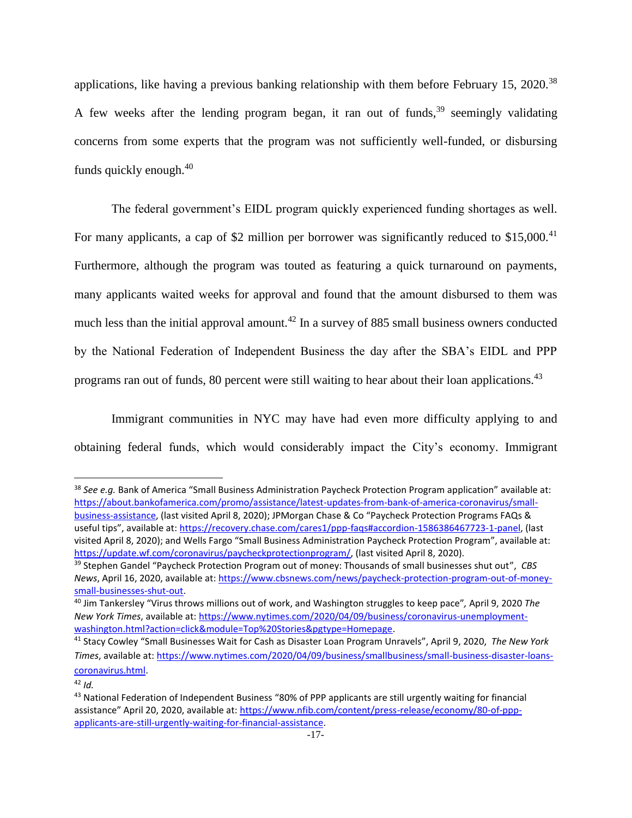applications, like having a previous banking relationship with them before February 15, 2020.<sup>38</sup> A few weeks after the lending program began, it ran out of funds,  $39$  seemingly validating concerns from some experts that the program was not sufficiently well-funded, or disbursing funds quickly enough. $40$ 

The federal government's EIDL program quickly experienced funding shortages as well. For many applicants, a cap of \$2 million per borrower was significantly reduced to  $$15,000$ .<sup>41</sup> Furthermore, although the program was touted as featuring a quick turnaround on payments, many applicants waited weeks for approval and found that the amount disbursed to them was much less than the initial approval amount.<sup>42</sup> In a survey of 885 small business owners conducted by the National Federation of Independent Business the day after the SBA's EIDL and PPP programs ran out of funds, 80 percent were still waiting to hear about their loan applications.<sup>43</sup>

Immigrant communities in NYC may have had even more difficulty applying to and obtaining federal funds, which would considerably impact the City's economy. Immigrant

<sup>38</sup> *See e.g.* Bank of America "Small Business Administration Paycheck Protection Program application" available at: [https://about.bankofamerica.com/promo/assistance/latest-updates-from-bank-of-america-coronavirus/small](https://about.bankofamerica.com/promo/assistance/latest-updates-from-bank-of-america-coronavirus/small-business-assistance)[business-assistance](https://about.bankofamerica.com/promo/assistance/latest-updates-from-bank-of-america-coronavirus/small-business-assistance), (last visited April 8, 2020); JPMorgan Chase & Co "Paycheck Protection Programs FAQs & useful tips", available at: [https://recovery.chase.com/cares1/ppp-faqs#accordion-1586386467723-1-panel,](https://recovery.chase.com/cares1/ppp-faqs#accordion-1586386467723-1-panel) (last visited April 8, 2020); and Wells Fargo "Small Business Administration Paycheck Protection Program", available at: [https://update.wf.com/coronavirus/paycheckprotectionprogram/,](https://update.wf.com/coronavirus/paycheckprotectionprogram/) (last visited April 8, 2020).

<sup>39</sup> Stephen Gandel "Paycheck Protection Program out of money: Thousands of small businesses shut out", *CBS News*, April 16, 2020, available at: [https://www.cbsnews.com/news/paycheck-protection-program-out-of-money](https://www.cbsnews.com/news/paycheck-protection-program-out-of-money-small-businesses-shut-out)[small-businesses-shut-out.](https://www.cbsnews.com/news/paycheck-protection-program-out-of-money-small-businesses-shut-out)

<sup>40</sup> Jim Tankersley "Virus throws millions out of work, and Washington struggles to keep pace"*,* April 9, 2020 *The New York Times*, available at[: https://www.nytimes.com/2020/04/09/business/coronavirus-unemployment](https://www.nytimes.com/2020/04/09/business/coronavirus-unemployment-washington.html?action=click&module=Top%20Stories&pgtype=Homepage)[washington.html?action=click&module=Top%20Stories&pgtype=Homepage.](https://www.nytimes.com/2020/04/09/business/coronavirus-unemployment-washington.html?action=click&module=Top%20Stories&pgtype=Homepage)

<sup>41</sup> Stacy Cowley "Small Businesses Wait for Cash as Disaster Loan Program Unravels", April 9, 2020, *The New York Times*, available at: [https://www.nytimes.com/2020/04/09/business/smallbusiness/small-business-disaster-loans](https://www.nytimes.com/2020/04/09/business/smallbusiness/small-business-disaster-loans-coronavirus.html)[coronavirus.html.](https://www.nytimes.com/2020/04/09/business/smallbusiness/small-business-disaster-loans-coronavirus.html)

<sup>42</sup> *Id.*

<sup>&</sup>lt;sup>43</sup> National Federation of Independent Business "80% of PPP applicants are still urgently waiting for financial assistance" April 20, 2020, available at: [https://www.nfib.com/content/press-release/economy/80-of-ppp](https://www.nfib.com/content/press-release/economy/80-of-ppp-applicants-are-still-urgently-waiting-for-financial-assistance)[applicants-are-still-urgently-waiting-for-financial-assistance.](https://www.nfib.com/content/press-release/economy/80-of-ppp-applicants-are-still-urgently-waiting-for-financial-assistance)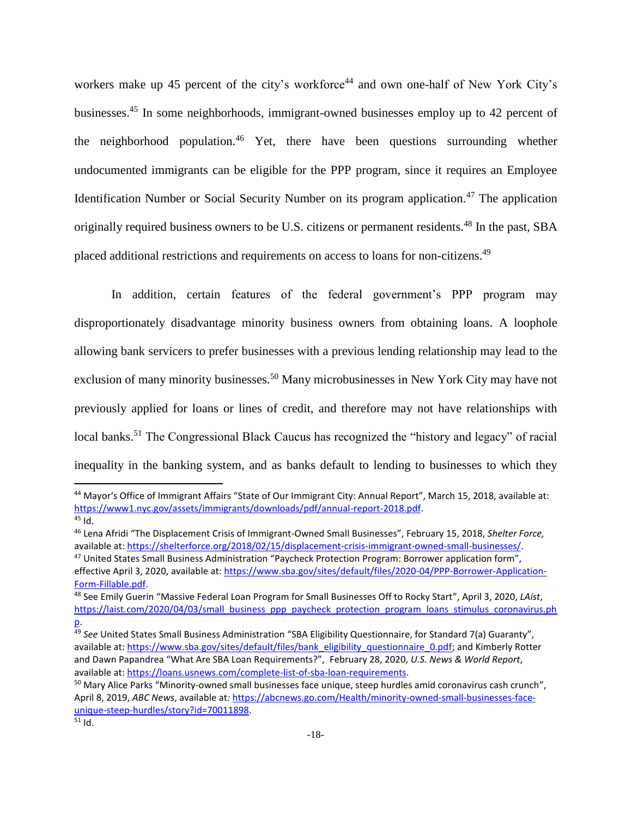workers make up 45 percent of the city's workforce<sup>44</sup> and own one-half of New York City's businesses.<sup>45</sup> In some neighborhoods, immigrant-owned businesses employ up to 42 percent of the neighborhood population.<sup>46</sup> Yet, there have been questions surrounding whether undocumented immigrants can be eligible for the PPP program, since it requires an Employee Identification Number or Social Security Number on its program application.<sup>47</sup> The application originally required business owners to be U.S. citizens or permanent residents.<sup>48</sup> In the past, SBA placed additional restrictions and requirements on access to loans for non-citizens.<sup>49</sup>

In addition, certain features of the federal government's PPP program may disproportionately disadvantage minority business owners from obtaining loans. A loophole allowing bank servicers to prefer businesses with a previous lending relationship may lead to the exclusion of many minority businesses.<sup>50</sup> Many microbusinesses in New York City may have not previously applied for loans or lines of credit, and therefore may not have relationships with local banks.<sup>51</sup> The Congressional Black Caucus has recognized the "history and legacy" of racial inequality in the banking system, and as banks default to lending to businesses to which they

 $\overline{\phantom{a}}$ 

<sup>47</sup> United States Small Business Administration "Paycheck Protection Program: Borrower application form", effective April 3, 2020, available at: [https://www.sba.gov/sites/default/files/2020-04/PPP-Borrower-Application-](https://www.sba.gov/sites/default/files/2020-04/PPP-Borrower-Application-Form-Fillable.pdf)[Form-Fillable.pdf.](https://www.sba.gov/sites/default/files/2020-04/PPP-Borrower-Application-Form-Fillable.pdf)

<sup>48</sup> See Emily Guerin "Massive Federal Loan Program for Small Businesses Off to Rocky Start", April 3, 2020, *LAist*, [https://laist.com/2020/04/03/small\\_business\\_ppp\\_paycheck\\_protection\\_program\\_loans\\_stimulus\\_coronavirus.ph](https://laist.com/2020/04/03/small_business_ppp_paycheck_protection_program_loans_stimulus_coronavirus.php) [p.](https://laist.com/2020/04/03/small_business_ppp_paycheck_protection_program_loans_stimulus_coronavirus.php)

<sup>44</sup> Mayor's Office of Immigrant Affairs "State of Our Immigrant City: Annual Report", March 15, 2018, available at: [https://www1.nyc.gov/assets/immigrants/downloads/pdf/annual-report-2018.pdf.](https://www1.nyc.gov/assets/immigrants/downloads/pdf/annual-report-2018.pdf)

 $45$  Id.

<sup>46</sup> Lena Afridi "The Displacement Crisis of Immigrant-Owned Small Businesses", February 15, 2018, *Shelter Force,*  available at: [https://shelterforce.org/2018/02/15/displacement-crisis-immigrant-owned-small-businesses/.](https://shelterforce.org/2018/02/15/displacement-crisis-immigrant-owned-small-businesses/)

<sup>49</sup> *See* United States Small Business Administration "SBA Eligibility Questionnaire, for Standard 7(a) Guaranty", available at: [https://www.sba.gov/sites/default/files/bank\\_eligibility\\_questionnaire\\_0.pdf;](https://www.sba.gov/sites/default/files/bank_eligibility_questionnaire_0.pdf) and Kimberly Rotter and Dawn Papandrea "What Are SBA Loan Requirements?", February 28, 2020, *U.S. News & World Report*, available at: [https://loans.usnews.com/complete-list-of-sba-loan-requirements.](https://loans.usnews.com/complete-list-of-sba-loan-requirements)

<sup>&</sup>lt;sup>50</sup> Mary Alice Parks "Minority-owned small businesses face unique, steep hurdles amid coronavirus cash crunch", April 8, 2019, *ABC News*, available at*:* [https://abcnews.go.com/Health/minority-owned-small-businesses-face](https://abcnews.go.com/Health/minority-owned-small-businesses-face-unique-steep-hurdles/story?id=70011898)[unique-steep-hurdles/story?id=70011898.](https://abcnews.go.com/Health/minority-owned-small-businesses-face-unique-steep-hurdles/story?id=70011898)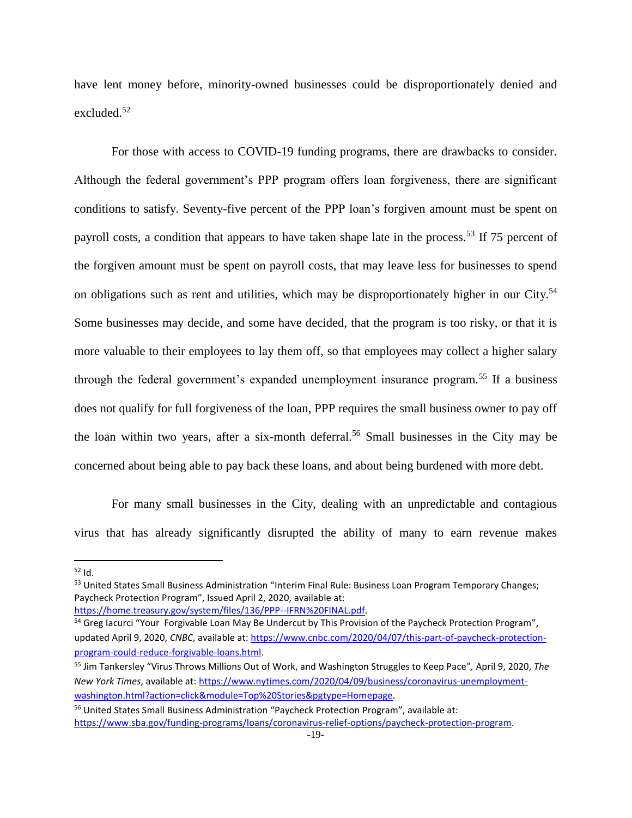have lent money before, minority-owned businesses could be disproportionately denied and excluded.<sup>52</sup>

For those with access to COVID-19 funding programs, there are drawbacks to consider. Although the federal government's PPP program offers loan forgiveness, there are significant conditions to satisfy. Seventy-five percent of the PPP loan's forgiven amount must be spent on payroll costs, a condition that appears to have taken shape late in the process.<sup>53</sup> If 75 percent of the forgiven amount must be spent on payroll costs, that may leave less for businesses to spend on obligations such as rent and utilities, which may be disproportionately higher in our City.<sup>54</sup> Some businesses may decide, and some have decided, that the program is too risky, or that it is more valuable to their employees to lay them off, so that employees may collect a higher salary through the federal government's expanded unemployment insurance program.<sup>55</sup> If a business does not qualify for full forgiveness of the loan, PPP requires the small business owner to pay off the loan within two years, after a six-month deferral.<sup>56</sup> Small businesses in the City may be concerned about being able to pay back these loans, and about being burdened with more debt.

For many small businesses in the City, dealing with an unpredictable and contagious virus that has already significantly disrupted the ability of many to earn revenue makes

 $52$  Id.

<sup>53</sup> United States Small Business Administration "Interim Final Rule: Business Loan Program Temporary Changes; Paycheck Protection Program", Issued April 2, 2020, available at:

[https://home.treasury.gov/system/files/136/PPP--IFRN%20FINAL.pdf.](https://home.treasury.gov/system/files/136/PPP--IFRN%20FINAL.pdf)

<sup>&</sup>lt;sup>54</sup> Greg Iacurci "Your Forgivable Loan May Be Undercut by This Provision of the Paycheck Protection Program", updated April 9, 2020, *CNBC*, available at: [https://www.cnbc.com/2020/04/07/this-part-of-paycheck-protection](https://www.cnbc.com/2020/04/07/this-part-of-paycheck-protection-program-could-reduce-forgivable-loans.html)[program-could-reduce-forgivable-loans.html.](https://www.cnbc.com/2020/04/07/this-part-of-paycheck-protection-program-could-reduce-forgivable-loans.html)

<sup>55</sup> Jim Tankersley "Virus Throws Millions Out of Work, and Washington Struggles to Keep Pace"*,* April 9, 2020, *The New York Times*, available at: [https://www.nytimes.com/2020/04/09/business/coronavirus-unemployment](https://www.nytimes.com/2020/04/09/business/coronavirus-unemployment-washington.html?action=click&module=Top%20Stories&pgtype=Homepage)[washington.html?action=click&module=Top%20Stories&pgtype=Homepage.](https://www.nytimes.com/2020/04/09/business/coronavirus-unemployment-washington.html?action=click&module=Top%20Stories&pgtype=Homepage)

<sup>56</sup> United States Small Business Administration "Paycheck Protection Program", available at: [https://www.sba.gov/funding-programs/loans/coronavirus-relief-options/paycheck-protection-program.](https://www.sba.gov/funding-programs/loans/coronavirus-relief-options/paycheck-protection-program)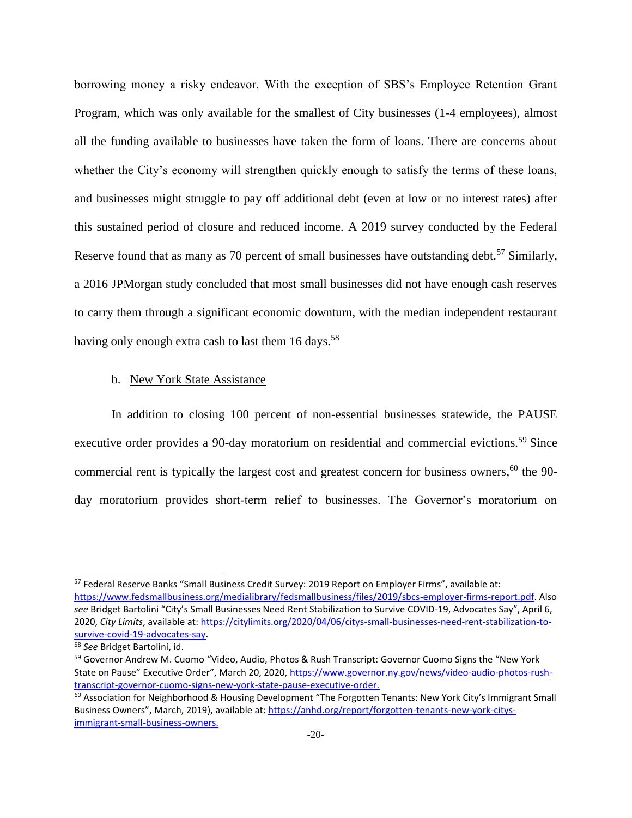borrowing money a risky endeavor. With the exception of SBS's Employee Retention Grant Program, which was only available for the smallest of City businesses (1-4 employees), almost all the funding available to businesses have taken the form of loans. There are concerns about whether the City's economy will strengthen quickly enough to satisfy the terms of these loans, and businesses might struggle to pay off additional debt (even at low or no interest rates) after this sustained period of closure and reduced income. A 2019 survey conducted by the Federal Reserve found that as many as 70 percent of small businesses have outstanding debt.<sup>57</sup> Similarly, a 2016 JPMorgan study concluded that most small businesses did not have enough cash reserves to carry them through a significant economic downturn, with the median independent restaurant having only enough extra cash to last them  $16 \text{ days}$ .<sup>58</sup>

#### b. New York State Assistance

In addition to closing 100 percent of non-essential businesses statewide, the PAUSE executive order provides a 90-day moratorium on residential and commercial evictions.<sup>59</sup> Since commercial rent is typically the largest cost and greatest concern for business owners,<sup>60</sup> the 90day moratorium provides short-term relief to businesses. The Governor's moratorium on

l

<sup>&</sup>lt;sup>57</sup> Federal Reserve Banks "Small Business Credit Survey: 2019 Report on Employer Firms", available at: [https://www.fedsmallbusiness.org/medialibrary/fedsmallbusiness/files/2019/sbcs-employer-firms-report.pdf.](https://www.fedsmallbusiness.org/medialibrary/fedsmallbusiness/files/2019/sbcs-employer-firms-report.pdf) Also *see* Bridget Bartolini "City's Small Businesses Need Rent Stabilization to Survive COVID-19, Advocates Say", April 6, 2020, *City Limits*, available at[: https://citylimits.org/2020/04/06/citys-small-businesses-need-rent-stabilization-to](https://citylimits.org/2020/04/06/citys-small-businesses-need-rent-stabilization-to-survive-covid-19-advocates-say)[survive-covid-19-advocates-say.](https://citylimits.org/2020/04/06/citys-small-businesses-need-rent-stabilization-to-survive-covid-19-advocates-say)

<sup>58</sup> *See* Bridget Bartolini, id.

<sup>59</sup> Governor Andrew M. Cuomo "Video, Audio, Photos & Rush Transcript: Governor Cuomo Signs the "New York State on Pause" Executive Order", March 20, 2020, [https://www.governor.ny.gov/news/video-audio-photos-rush](https://www.governor.ny.gov/news/video-audio-photos-rush-transcript-governor-cuomo-signs-new-york-state-pause-executive-order)[transcript-governor-cuomo-signs-new-york-state-pause-executive-order.](https://www.governor.ny.gov/news/video-audio-photos-rush-transcript-governor-cuomo-signs-new-york-state-pause-executive-order)

 $60$  Association for Neighborhood & Housing Development "The Forgotten Tenants: New York City's Immigrant Small Business Owners", March, 2019), available at: [https://anhd.org/report/forgotten-tenants-new-york-citys](https://anhd.org/report/forgotten-tenants-new-york-citys-immigrant-small-business-owners)[immigrant-small-business-owners.](https://anhd.org/report/forgotten-tenants-new-york-citys-immigrant-small-business-owners)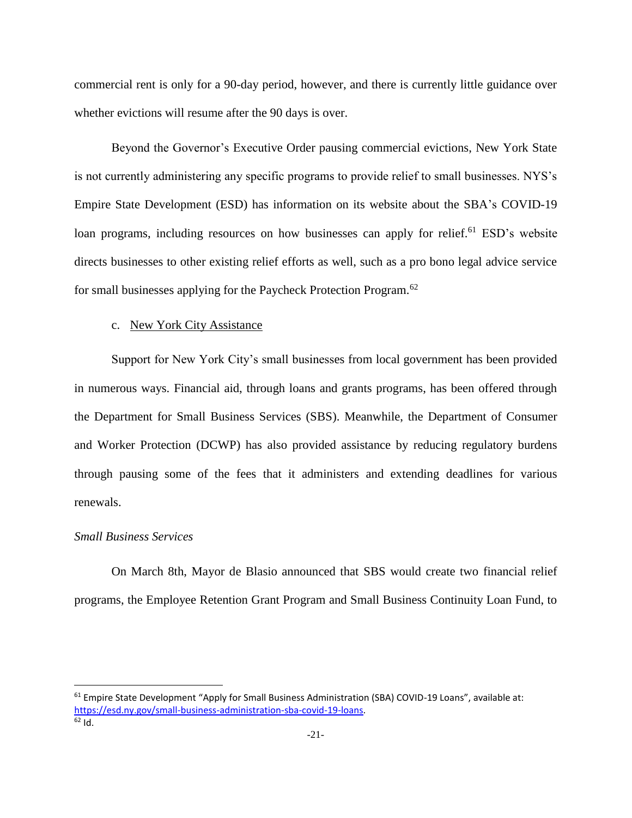commercial rent is only for a 90-day period, however, and there is currently little guidance over whether evictions will resume after the 90 days is over.

Beyond the Governor's Executive Order pausing commercial evictions, New York State is not currently administering any specific programs to provide relief to small businesses. NYS's Empire State Development (ESD) has information on its website about the SBA's COVID-19 loan programs, including resources on how businesses can apply for relief.<sup>61</sup> ESD's website directs businesses to other existing relief efforts as well, such as a pro bono legal advice service for small businesses applying for the Paycheck Protection Program.<sup>62</sup>

#### c. New York City Assistance

Support for New York City's small businesses from local government has been provided in numerous ways. Financial aid, through loans and grants programs, has been offered through the Department for Small Business Services (SBS). Meanwhile, the Department of Consumer and Worker Protection (DCWP) has also provided assistance by reducing regulatory burdens through pausing some of the fees that it administers and extending deadlines for various renewals.

#### *Small Business Services*

l

On March 8th, Mayor de Blasio announced that SBS would create two financial relief programs, the Employee Retention Grant Program and Small Business Continuity Loan Fund, to

 $61$  Empire State Development "Apply for Small Business Administration (SBA) COVID-19 Loans", available at: [https://esd.ny.gov/small-business-administration-sba-covid-19-loans.](https://esd.ny.gov/small-business-administration-sba-covid-19-loans)  $\overline{62}$  Id.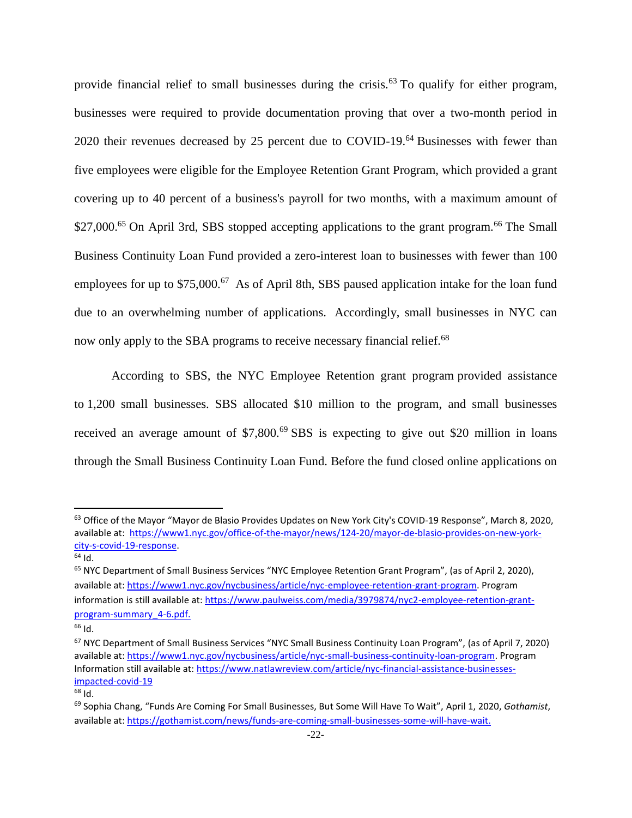provide financial relief to small businesses during the crisis.<sup>63</sup> To qualify for either program, businesses were required to provide documentation proving that over a two-month period in 2020 their revenues decreased by 25 percent due to COVID-19.<sup>64</sup> Businesses with fewer than five employees were eligible for the Employee Retention Grant Program, which provided a grant covering up to 40 percent of a business's payroll for two months, with a maximum amount of \$27,000.<sup>65</sup> On April 3rd, SBS stopped accepting applications to the grant program.<sup>66</sup> The Small Business Continuity Loan Fund provided a zero-interest loan to businesses with fewer than 100 employees for up to \$75,000.<sup>67</sup> As of April 8th, SBS paused application intake for the loan fund due to an overwhelming number of applications. Accordingly, small businesses in NYC can now only apply to the SBA programs to receive necessary financial relief.<sup>68</sup>

According to SBS, the NYC Employee Retention grant program provided assistance to 1,200 small businesses. SBS allocated \$10 million to the program, and small businesses received an average amount of  $$7,800<sup>69</sup>$  SBS is expecting to give out \$20 million in loans through the Small Business Continuity Loan Fund. Before the fund closed online applications on

<sup>&</sup>lt;sup>63</sup> Office of the Mayor "Mayor de Blasio Provides Updates on New York City's COVID-19 Response", March 8, 2020, available at: [https://www1.nyc.gov/office-of-the-mayor/news/124-20/mayor-de-blasio-provides-on-new-york](https://www1.nyc.gov/office-of-the-mayor/news/124-20/mayor-de-blasio-provides-on-new-york-city-s-covid-19-response)[city-s-covid-19-response.](https://www1.nyc.gov/office-of-the-mayor/news/124-20/mayor-de-blasio-provides-on-new-york-city-s-covid-19-response) 

 $64$  Id.

<sup>&</sup>lt;sup>65</sup> NYC Department of Small Business Services "NYC Employee Retention Grant Program", (as of April 2, 2020), available at: [https://www1.nyc.gov/nycbusiness/article/nyc-employee-retention-grant-program.](https://www1.nyc.gov/nycbusiness/article/nyc-employee-retention-grant-program) Program information is still available at: [https://www.paulweiss.com/media/3979874/nyc2-employee-retention-grant](https://www.paulweiss.com/media/3979874/nyc2-employee-retention-grant-program-summary_4-6.pdf)[program-summary\\_4-6.pdf.](https://www.paulweiss.com/media/3979874/nyc2-employee-retention-grant-program-summary_4-6.pdf)

<sup>66</sup> Id.

<sup>&</sup>lt;sup>67</sup> NYC Department of Small Business Services "NYC Small Business Continuity Loan Program", (as of April 7, 2020) available at: [https://www1.nyc.gov/nycbusiness/article/nyc-small-business-continuity-loan-program.](https://www1.nyc.gov/nycbusiness/article/nyc-small-business-continuity-loan-program) Program Information still available at[: https://www.natlawreview.com/article/nyc-financial-assistance-businesses](https://www.natlawreview.com/article/nyc-financial-assistance-businesses-impacted-covid-19)[impacted-covid-19](https://www.natlawreview.com/article/nyc-financial-assistance-businesses-impacted-covid-19)

 $68$  Id.

<sup>69</sup> Sophia Chang, "Funds Are Coming For Small Businesses, But Some Will Have To Wait", April 1, 2020, *Gothamist*, available at: [https://gothamist.com/news/funds-are-coming-small-businesses-some-will-have-wait.](https://gothamist.com/news/funds-are-coming-small-businesses-some-will-have-wait)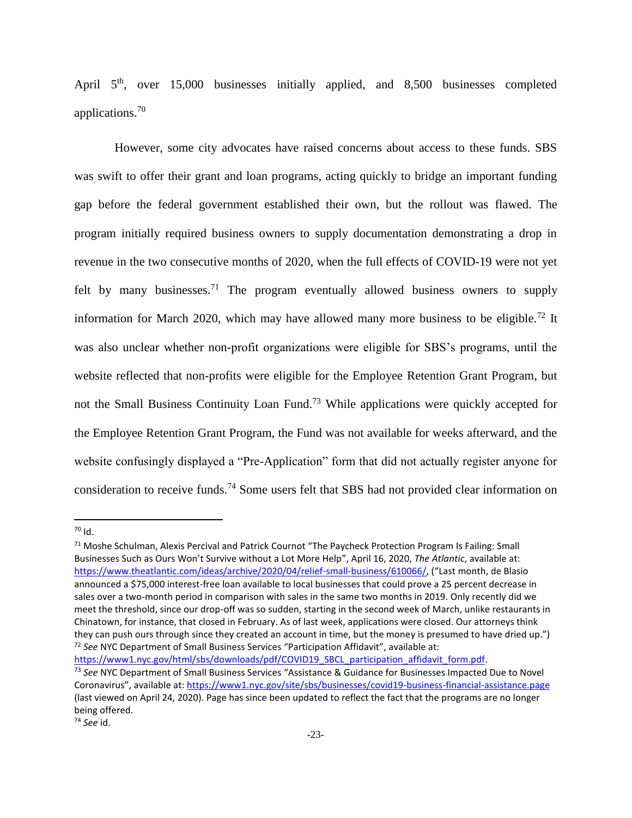April  $5<sup>th</sup>$ , over 15,000 businesses initially applied, and 8,500 businesses completed applications.<sup>70</sup>

However, some city advocates have raised concerns about access to these funds. SBS was swift to offer their grant and loan programs, acting quickly to bridge an important funding gap before the federal government established their own, but the rollout was flawed. The program initially required business owners to supply documentation demonstrating a drop in revenue in the two consecutive months of 2020, when the full effects of COVID-19 were not yet felt by many businesses.<sup>71</sup> The program eventually allowed business owners to supply information for March 2020, which may have allowed many more business to be eligible.<sup>72</sup> It was also unclear whether non-profit organizations were eligible for SBS's programs, until the website reflected that non-profits were eligible for the Employee Retention Grant Program, but not the Small Business Continuity Loan Fund.<sup>73</sup> While applications were quickly accepted for the Employee Retention Grant Program, the Fund was not available for weeks afterward, and the website confusingly displayed a "Pre-Application" form that did not actually register anyone for consideration to receive funds.<sup>74</sup> Some users felt that SBS had not provided clear information on

l

[https://www1.nyc.gov/html/sbs/downloads/pdf/COVID19\\_SBCL\\_participation\\_affidavit\\_form.pdf.](https://www1.nyc.gov/html/sbs/downloads/pdf/COVID19_SBCL_participation_affidavit_form.pdf) <sup>73</sup> *See* NYC Department of Small Business Services "Assistance & Guidance for Businesses Impacted Due to Novel Coronavirus", available at: <https://www1.nyc.gov/site/sbs/businesses/covid19-business-financial-assistance.page> (last viewed on April 24, 2020). Page has since been updated to reflect the fact that the programs are no longer being offered.

<sup>70</sup> Id.

<sup>&</sup>lt;sup>71</sup> Moshe Schulman, Alexis Percival and Patrick Cournot "The Paycheck Protection Program Is Failing: Small Businesses Such as Ours Won't Survive without a Lot More Help", April 16, 2020, *The Atlantic*, available at: [https://www.theatlantic.com/ideas/archive/2020/04/relief-small-business/610066/,](https://www.theatlantic.com/ideas/archive/2020/04/relief-small-business/610066/) ("Last month, de Blasio announced a \$75,000 interest-free loan available to local businesses that could prove a 25 percent decrease in sales over a two-month period in comparison with sales in the same two months in 2019. Only recently did we meet the threshold, since our drop-off was so sudden, starting in the second week of March, unlike restaurants in Chinatown, for instance, that closed in February. As of last week, applications were closed. Our attorneys think they can push ours through since they created an account in time, but the money is presumed to have dried up.") <sup>72</sup> *See* NYC Department of Small Business Services "Participation Affidavit", available at:

<sup>74</sup> *See* id.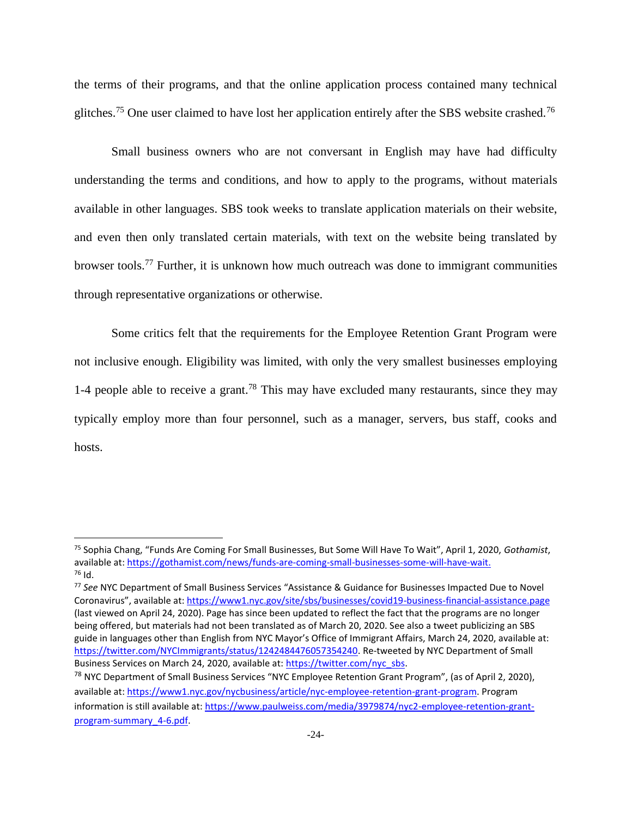the terms of their programs, and that the online application process contained many technical glitches.<sup>75</sup> One user claimed to have lost her application entirely after the SBS website crashed.<sup>76</sup>

Small business owners who are not conversant in English may have had difficulty understanding the terms and conditions, and how to apply to the programs, without materials available in other languages. SBS took weeks to translate application materials on their website, and even then only translated certain materials, with text on the website being translated by browser tools.<sup>77</sup> Further, it is unknown how much outreach was done to immigrant communities through representative organizations or otherwise.

Some critics felt that the requirements for the Employee Retention Grant Program were not inclusive enough. Eligibility was limited, with only the very smallest businesses employing 1-4 people able to receive a grant.<sup>78</sup> This may have excluded many restaurants, since they may typically employ more than four personnel, such as a manager, servers, bus staff, cooks and hosts.

l

<sup>75</sup> Sophia Chang, "Funds Are Coming For Small Businesses, But Some Will Have To Wait", April 1, 2020, *Gothamist*, available at: [https://gothamist.com/news/funds-are-coming-small-businesses-some-will-have-wait.](https://gothamist.com/news/funds-are-coming-small-businesses-some-will-have-wait) <sup>76</sup> Id.

<sup>77</sup> *See* NYC Department of Small Business Services "Assistance & Guidance for Businesses Impacted Due to Novel Coronavirus", available at: <https://www1.nyc.gov/site/sbs/businesses/covid19-business-financial-assistance.page> (last viewed on April 24, 2020). Page has since been updated to reflect the fact that the programs are no longer being offered, but materials had not been translated as of March 20, 2020. See also a tweet publicizing an SBS guide in languages other than English from NYC Mayor's Office of Immigrant Affairs, March 24, 2020, available at: [https://twitter.com/NYCImmigrants/status/1242484476057354240.](https://twitter.com/NYCImmigrants/status/1242484476057354240) Re-tweeted by NYC Department of Small Business Services on March 24, 2020, available at: [https://twitter.com/nyc\\_sbs.](https://twitter.com/nyc_sbs)

<sup>&</sup>lt;sup>78</sup> NYC Department of Small Business Services "NYC Employee Retention Grant Program", (as of April 2, 2020), available at: [https://www1.nyc.gov/nycbusiness/article/nyc-employee-retention-grant-program.](https://www1.nyc.gov/nycbusiness/article/nyc-employee-retention-grant-program) Program information is still available at: [https://www.paulweiss.com/media/3979874/nyc2-employee-retention-grant](https://www.paulweiss.com/media/3979874/nyc2-employee-retention-grant-program-summary_4-6.pdf)[program-summary\\_4-6.pdf.](https://www.paulweiss.com/media/3979874/nyc2-employee-retention-grant-program-summary_4-6.pdf)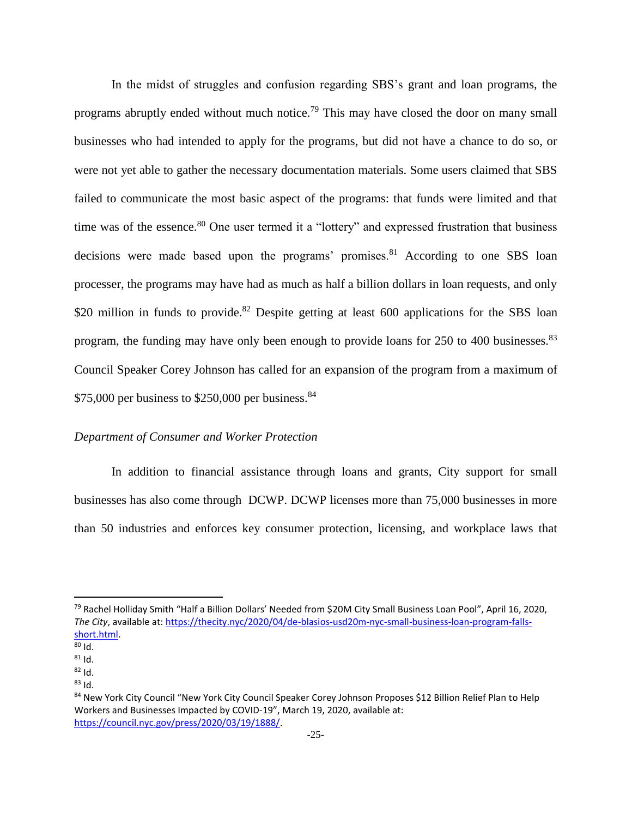In the midst of struggles and confusion regarding SBS's grant and loan programs, the programs abruptly ended without much notice.<sup>79</sup> This may have closed the door on many small businesses who had intended to apply for the programs, but did not have a chance to do so, or were not yet able to gather the necessary documentation materials. Some users claimed that SBS failed to communicate the most basic aspect of the programs: that funds were limited and that time was of the essence.<sup>80</sup> One user termed it a "lottery" and expressed frustration that business decisions were made based upon the programs' promises.<sup>81</sup> According to one SBS loan processer, the programs may have had as much as half a billion dollars in loan requests, and only \$20 million in funds to provide.<sup>82</sup> Despite getting at least 600 applications for the SBS loan program, the funding may have only been enough to provide loans for 250 to 400 businesses.<sup>83</sup> Council Speaker Corey Johnson has called for an expansion of the program from a maximum of \$75,000 per business to \$250,000 per business. $84$ 

## *Department of Consumer and Worker Protection*

In addition to financial assistance through loans and grants, City support for small businesses has also come through DCWP. DCWP licenses more than 75,000 businesses in more than 50 industries and enforces key consumer protection, licensing, and workplace laws that

l

<sup>&</sup>lt;sup>79</sup> Rachel Holliday Smith "Half a Billion Dollars' Needed from \$20M City Small Business Loan Pool", April 16, 2020, *The City*, available at: [https://thecity.nyc/2020/04/de-blasios-usd20m-nyc-small-business-loan-program-falls](https://thecity.nyc/2020/04/de-blasios-usd20m-nyc-small-business-loan-program-falls-short.html)[short.html.](https://thecity.nyc/2020/04/de-blasios-usd20m-nyc-small-business-loan-program-falls-short.html)

 $80$  Id.

 $81$  Id.

 $82$  Id.

<sup>83</sup> Id.

<sup>84</sup> New York City Council "New York City Council Speaker Corey Johnson Proposes \$12 Billion Relief Plan to Help Workers and Businesses Impacted by COVID-19", March 19, 2020, available at: [https://council.nyc.gov/press/2020/03/19/1888/.](https://council.nyc.gov/press/2020/03/19/1888/)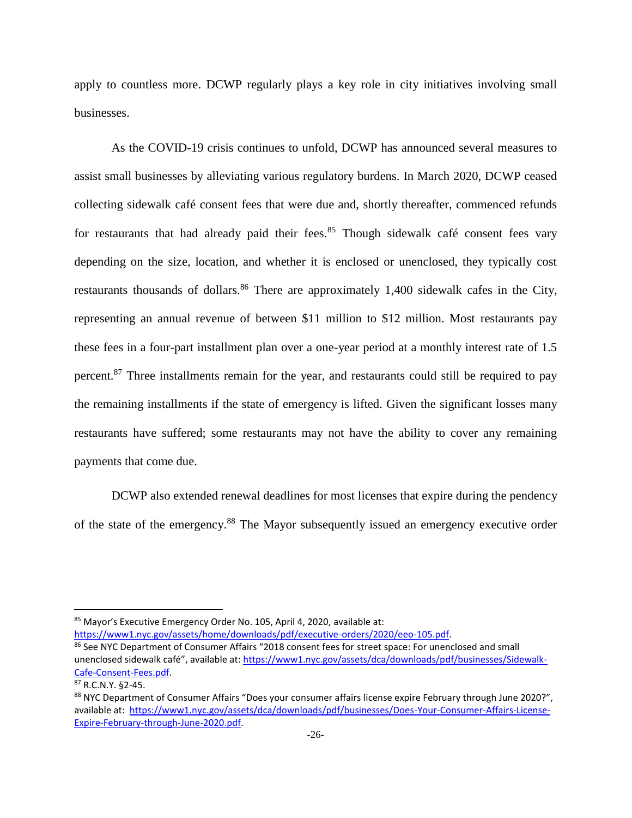apply to countless more. DCWP regularly plays a key role in city initiatives involving small businesses.

As the COVID-19 crisis continues to unfold, DCWP has announced several measures to assist small businesses by alleviating various regulatory burdens. In March 2020, DCWP ceased collecting sidewalk café consent fees that were due and, shortly thereafter, commenced refunds for restaurants that had already paid their fees.<sup>85</sup> Though sidewalk café consent fees vary depending on the size, location, and whether it is enclosed or unenclosed, they typically cost restaurants thousands of dollars.<sup>86</sup> There are approximately 1,400 sidewalk cafes in the City, representing an annual revenue of between \$11 million to \$12 million. Most restaurants pay these fees in a four-part installment plan over a one-year period at a monthly interest rate of 1.5 percent.<sup>87</sup> Three installments remain for the year, and restaurants could still be required to pay the remaining installments if the state of emergency is lifted. Given the significant losses many restaurants have suffered; some restaurants may not have the ability to cover any remaining payments that come due.

DCWP also extended renewal deadlines for most licenses that expire during the pendency of the state of the emergency.<sup>88</sup> The Mayor subsequently issued an emergency executive order

<sup>85</sup> Mayor's Executive Emergency Order No. 105, April 4, 2020, available at: [https://www1.nyc.gov/assets/home/downloads/pdf/executive-orders/2020/eeo-105.pdf.](https://www1.nyc.gov/assets/home/downloads/pdf/executive-orders/2020/eeo-105.pdf)

 $\overline{a}$ 

<sup>86</sup> See NYC Department of Consumer Affairs "2018 consent fees for street space: For unenclosed and small unenclosed sidewalk café", available at: [https://www1.nyc.gov/assets/dca/downloads/pdf/businesses/Sidewalk-](https://www1.nyc.gov/assets/dca/downloads/pdf/businesses/Sidewalk-Cafe-Consent-Fees.pdf)[Cafe-Consent-Fees.pdf.](https://www1.nyc.gov/assets/dca/downloads/pdf/businesses/Sidewalk-Cafe-Consent-Fees.pdf)

 $87$  R.C.N.Y.  $62-45$ .

<sup>&</sup>lt;sup>88</sup> NYC Department of Consumer Affairs "Does your consumer affairs license expire February through June 2020?", available at: [https://www1.nyc.gov/assets/dca/downloads/pdf/businesses/Does-Your-Consumer-Affairs-License-](https://www1.nyc.gov/assets/dca/downloads/pdf/businesses/Does-Your-Consumer-Affairs-License-Expire-February-through-June-2020.pdf)[Expire-February-through-June-2020.pdf.](https://www1.nyc.gov/assets/dca/downloads/pdf/businesses/Does-Your-Consumer-Affairs-License-Expire-February-through-June-2020.pdf)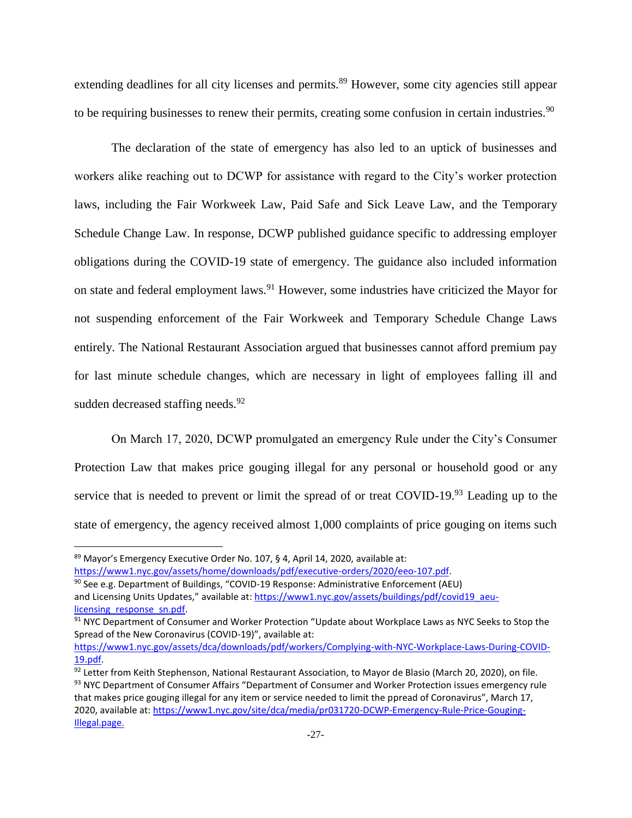extending deadlines for all city licenses and permits.<sup>89</sup> However, some city agencies still appear to be requiring businesses to renew their permits, creating some confusion in certain industries.<sup>90</sup>

The declaration of the state of emergency has also led to an uptick of businesses and workers alike reaching out to DCWP for assistance with regard to the City's worker protection laws, including the Fair Workweek Law, Paid Safe and Sick Leave Law, and the Temporary Schedule Change Law. In response, DCWP published guidance specific to addressing employer obligations during the COVID-19 state of emergency. The guidance also included information on state and federal employment laws.<sup>91</sup> However, some industries have criticized the Mayor for not suspending enforcement of the Fair Workweek and Temporary Schedule Change Laws entirely. The National Restaurant Association argued that businesses cannot afford premium pay for last minute schedule changes, which are necessary in light of employees falling ill and sudden decreased staffing needs.<sup>92</sup>

On March 17, 2020, DCWP promulgated an emergency Rule under the City's Consumer Protection Law that makes price gouging illegal for any personal or household good or any service that is needed to prevent or limit the spread of or treat COVID-19.93 Leading up to the state of emergency, the agency received almost 1,000 complaints of price gouging on items such

 $\overline{a}$ 

<sup>90</sup> See e.g. Department of Buildings, "COVID-19 Response: Administrative Enforcement (AEU) and Licensing Units Updates," available at[: https://www1.nyc.gov/assets/buildings/pdf/covid19\\_aeu](https://www1.nyc.gov/assets/buildings/pdf/covid19_aeu-licensing_response_sn.pdf)[licensing\\_response\\_sn.pdf.](https://www1.nyc.gov/assets/buildings/pdf/covid19_aeu-licensing_response_sn.pdf) 

<sup>89</sup> Mayor's Emergency Executive Order No. 107, § 4, April 14, 2020, available at: [https://www1.nyc.gov/assets/home/downloads/pdf/executive-orders/2020/eeo-107.pdf.](https://www1.nyc.gov/assets/home/downloads/pdf/executive-orders/2020/eeo-107.pdf)

<sup>91</sup> NYC Department of Consumer and Worker Protection "Update about Workplace Laws as NYC Seeks to Stop the Spread of the New Coronavirus (COVID-19)", available at:

[https://www1.nyc.gov/assets/dca/downloads/pdf/workers/Complying-with-NYC-Workplace-Laws-During-COVID-](https://www1.nyc.gov/assets/dca/downloads/pdf/workers/Complying-with-NYC-Workplace-Laws-During-COVID-19.pdf)[19.pdf.](https://www1.nyc.gov/assets/dca/downloads/pdf/workers/Complying-with-NYC-Workplace-Laws-During-COVID-19.pdf)

<sup>92</sup> Letter from Keith Stephenson, National Restaurant Association, to Mayor de Blasio (March 20, 2020), on file. 93 NYC Department of Consumer Affairs "Department of Consumer and Worker Protection issues emergency rule that makes price gouging illegal for any item or service needed to limit the ppread of Coronavirus", March 17, 2020, available at[: https://www1.nyc.gov/site/dca/media/pr031720-DCWP-Emergency-Rule-Price-Gouging-](https://www1.nyc.gov/site/dca/media/pr031720-DCWP-Emergency-Rule-Price-Gouging-Illegal.page)[Illegal.page.](https://www1.nyc.gov/site/dca/media/pr031720-DCWP-Emergency-Rule-Price-Gouging-Illegal.page)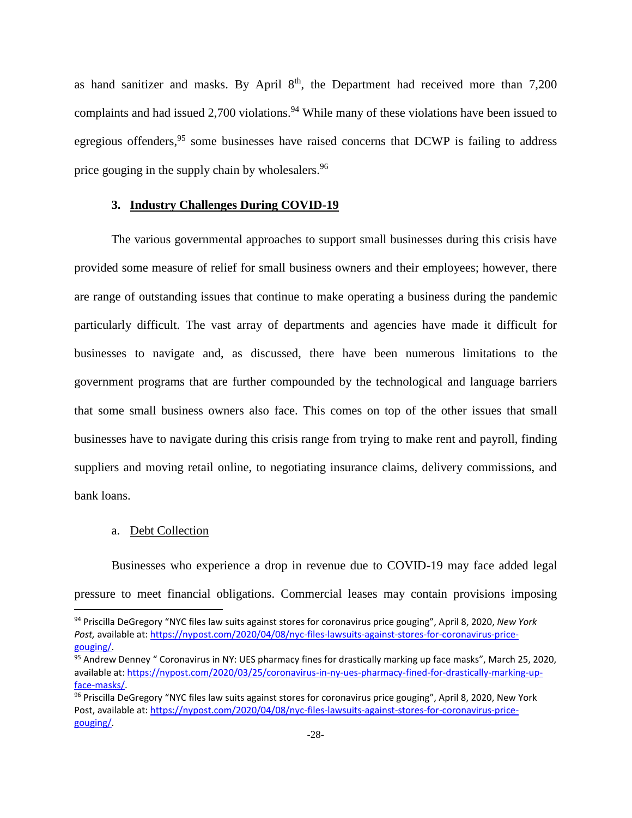as hand sanitizer and masks. By April  $8<sup>th</sup>$ , the Department had received more than 7,200 complaints and had issued 2,700 violations.<sup>94</sup> While many of these violations have been issued to egregious offenders,  $95$  some businesses have raised concerns that DCWP is failing to address price gouging in the supply chain by wholesalers.<sup>96</sup>

## **3. Industry Challenges During COVID-19**

The various governmental approaches to support small businesses during this crisis have provided some measure of relief for small business owners and their employees; however, there are range of outstanding issues that continue to make operating a business during the pandemic particularly difficult. The vast array of departments and agencies have made it difficult for businesses to navigate and, as discussed, there have been numerous limitations to the government programs that are further compounded by the technological and language barriers that some small business owners also face. This comes on top of the other issues that small businesses have to navigate during this crisis range from trying to make rent and payroll, finding suppliers and moving retail online, to negotiating insurance claims, delivery commissions, and bank loans.

#### a. Debt Collection

 $\overline{a}$ 

Businesses who experience a drop in revenue due to COVID-19 may face added legal pressure to meet financial obligations. Commercial leases may contain provisions imposing

<sup>94</sup> Priscilla DeGregory "NYC files law suits against stores for coronavirus price gouging", April 8, 2020, *New York Post,* available at[: https://nypost.com/2020/04/08/nyc-files-lawsuits-against-stores-for-coronavirus-price](https://nypost.com/2020/04/08/nyc-files-lawsuits-against-stores-for-coronavirus-price-gouging/)[gouging/.](https://nypost.com/2020/04/08/nyc-files-lawsuits-against-stores-for-coronavirus-price-gouging/)

<sup>95</sup> Andrew Denney " Coronavirus in NY: UES pharmacy fines for drastically marking up face masks", March 25, 2020, available at: [https://nypost.com/2020/03/25/coronavirus-in-ny-ues-pharmacy-fined-for-drastically-marking-up](https://nypost.com/2020/03/25/coronavirus-in-ny-ues-pharmacy-fined-for-drastically-marking-up-face-masks/)[face-masks/.](https://nypost.com/2020/03/25/coronavirus-in-ny-ues-pharmacy-fined-for-drastically-marking-up-face-masks/)

<sup>&</sup>lt;sup>96</sup> Priscilla DeGregory "NYC files law suits against stores for coronavirus price gouging", April 8, 2020, New York Post, available at: [https://nypost.com/2020/04/08/nyc-files-lawsuits-against-stores-for-coronavirus-price](https://nypost.com/2020/04/08/nyc-files-lawsuits-against-stores-for-coronavirus-price-gouging/)[gouging/.](https://nypost.com/2020/04/08/nyc-files-lawsuits-against-stores-for-coronavirus-price-gouging/)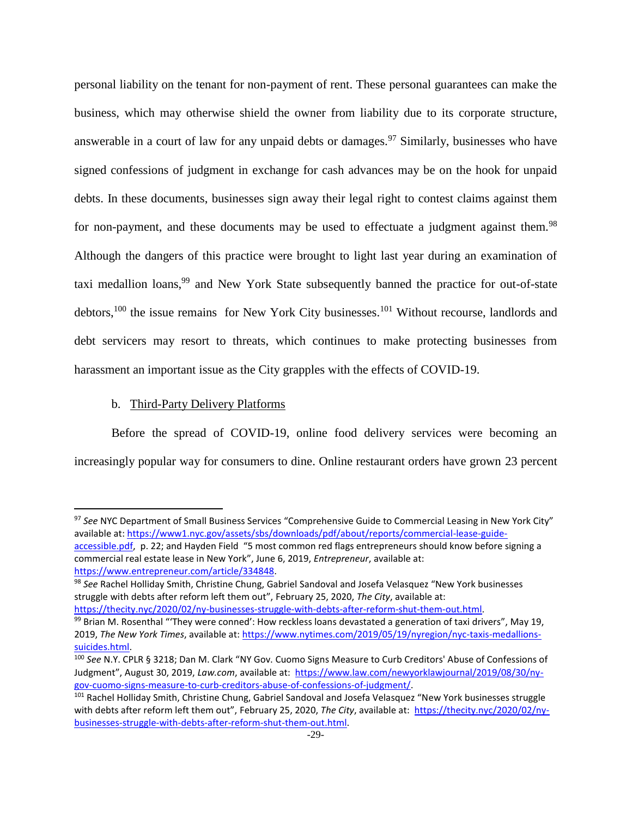personal liability on the tenant for non-payment of rent. These personal guarantees can make the business, which may otherwise shield the owner from liability due to its corporate structure, answerable in a court of law for any unpaid debts or damages.<sup>97</sup> Similarly, businesses who have signed confessions of judgment in exchange for cash advances may be on the hook for unpaid debts. In these documents, businesses sign away their legal right to contest claims against them for non-payment, and these documents may be used to effectuate a judgment against them.<sup>98</sup> Although the dangers of this practice were brought to light last year during an examination of taxi medallion loans,<sup>99</sup> and New York State subsequently banned the practice for out-of-state debtors,<sup>100</sup> the issue remains for New York City businesses.<sup>101</sup> Without recourse, landlords and debt servicers may resort to threats, which continues to make protecting businesses from harassment an important issue as the City grapples with the effects of COVID-19.

## b. Third-Party Delivery Platforms

Before the spread of COVID-19, online food delivery services were becoming an increasingly popular way for consumers to dine. Online restaurant orders have grown 23 percent

<sup>97</sup> *See* NYC Department of Small Business Services "Comprehensive Guide to Commercial Leasing in New York City" available at: [https://www1.nyc.gov/assets/sbs/downloads/pdf/about/reports/commercial-lease-guide](https://www1.nyc.gov/assets/sbs/downloads/pdf/about/reports/commercial-lease-guide-accessible.pdf)[accessible.pdf,](https://www1.nyc.gov/assets/sbs/downloads/pdf/about/reports/commercial-lease-guide-accessible.pdf) p. 22; and Hayden Field "5 most common red flags entrepreneurs should know before signing a commercial real estate lease in New York", June 6, 2019, *Entrepreneur*, available at:

[https://www.entrepreneur.com/article/334848.](https://www.entrepreneur.com/article/334848)

<sup>98</sup> *See* Rachel Holliday Smith, Christine Chung, Gabriel Sandoval and Josefa Velasquez "New York businesses struggle with debts after reform left them out", February 25, 2020, *The City*, available at:

[https://thecity.nyc/2020/02/ny-businesses-struggle-with-debts-after-reform-shut-them-out.html.](https://thecity.nyc/2020/02/ny-businesses-struggle-with-debts-after-reform-shut-them-out.html)

 $99$  Brian M. Rosenthal "They were conned': How reckless loans devastated a generation of taxi drivers", May 19, 2019, *The New York Times*, available at: [https://www.nytimes.com/2019/05/19/nyregion/nyc-taxis-medallions](https://www.nytimes.com/2019/05/19/nyregion/nyc-taxis-medallions-suicides.html)[suicides.html.](https://www.nytimes.com/2019/05/19/nyregion/nyc-taxis-medallions-suicides.html) 

<sup>100</sup> *See* N.Y. CPLR § 3218; Dan M. Clark "NY Gov. Cuomo Signs Measure to Curb Creditors' Abuse of Confessions of Judgment", August 30, 2019, *Law.com*, available at: [https://www.law.com/newyorklawjournal/2019/08/30/ny](https://www.law.com/newyorklawjournal/2019/08/30/ny-gov-cuomo-signs-measure-to-curb-creditors-abuse-of-confessions-of-judgment/)[gov-cuomo-signs-measure-to-curb-creditors-abuse-of-confessions-of-judgment/.](https://www.law.com/newyorklawjournal/2019/08/30/ny-gov-cuomo-signs-measure-to-curb-creditors-abuse-of-confessions-of-judgment/)

<sup>&</sup>lt;sup>101</sup> Rachel Holliday Smith, Christine Chung, Gabriel Sandoval and Josefa Velasquez "New York businesses struggle with debts after reform left them out", February 25, 2020, *The City*, available at: [https://thecity.nyc/2020/02/ny](https://thecity.nyc/2020/02/ny-businesses-struggle-with-debts-after-reform-shut-them-out.html)[businesses-struggle-with-debts-after-reform-shut-them-out.html.](https://thecity.nyc/2020/02/ny-businesses-struggle-with-debts-after-reform-shut-them-out.html)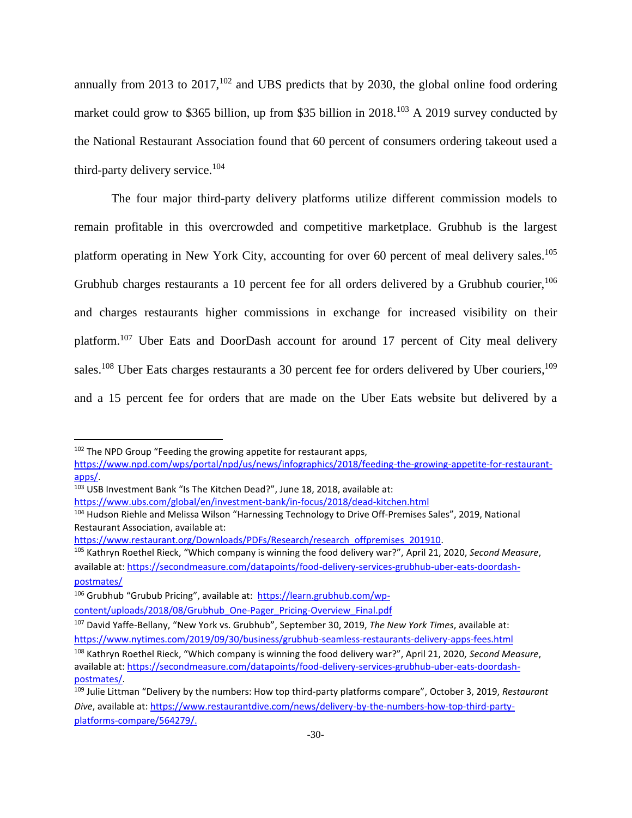annually from 2013 to 2017,  $102$  and UBS predicts that by 2030, the global online food ordering market could grow to \$365 billion, up from \$35 billion in 2018.<sup>103</sup> A 2019 survey conducted by the National Restaurant Association found that 60 percent of consumers ordering takeout used a third-party delivery service.<sup>104</sup>

The four major third-party delivery platforms utilize different commission models to remain profitable in this overcrowded and competitive marketplace. Grubhub is the largest platform operating in New York City, accounting for over 60 percent of meal delivery sales.<sup>105</sup> Grubhub charges restaurants a 10 percent fee for all orders delivered by a Grubhub courier,  $106$ and charges restaurants higher commissions in exchange for increased visibility on their platform.<sup>107</sup> Uber Eats and DoorDash account for around 17 percent of City meal delivery sales.<sup>108</sup> Uber Eats charges restaurants a 30 percent fee for orders delivered by Uber couriers,<sup>109</sup> and a 15 percent fee for orders that are made on the Uber Eats website but delivered by a

 $102$  The NPD Group "Feeding the growing appetite for restaurant apps,

[https://www.npd.com/wps/portal/npd/us/news/infographics/2018/feeding-the-growing-appetite-for-restaurant](https://www.npd.com/wps/portal/npd/us/news/infographics/2018/feeding-the-growing-appetite-for-restaurant-apps/)[apps/.](https://www.npd.com/wps/portal/npd/us/news/infographics/2018/feeding-the-growing-appetite-for-restaurant-apps/)

<sup>103</sup> USB Investment Bank "Is The Kitchen Dead?", June 18, 2018, available at: <https://www.ubs.com/global/en/investment-bank/in-focus/2018/dead-kitchen.html>

<sup>104</sup> Hudson Riehle and Melissa Wilson "Harnessing Technology to Drive Off-Premises Sales", 2019, National Restaurant Association, available at:

https://www.restaurant.org/Downloads/PDFs/Research/research\_offpremises\_201910.

<sup>105</sup> Kathryn Roethel Rieck, "Which company is winning the food delivery war?", April 21, 2020, *Second Measure*, available at: [https://secondmeasure.com/datapoints/food-delivery-services-grubhub-uber-eats-doordash](https://secondmeasure.com/datapoints/food-delivery-services-grubhub-uber-eats-doordash-postmates/)[postmates/](https://secondmeasure.com/datapoints/food-delivery-services-grubhub-uber-eats-doordash-postmates/)

<sup>106</sup> Grubhub "Grubub Pricing", available at: [https://learn.grubhub.com/wp](https://learn.grubhub.com/wp-content/uploads/2018/08/Grubhub_One-Pager_Pricing-Overview_Final.pdf)[content/uploads/2018/08/Grubhub\\_One-Pager\\_Pricing-Overview\\_Final.pdf](https://learn.grubhub.com/wp-content/uploads/2018/08/Grubhub_One-Pager_Pricing-Overview_Final.pdf)

<sup>107</sup> David Yaffe-Bellany, "New York vs. Grubhub", September 30, 2019, *The New York Times*, available at: <https://www.nytimes.com/2019/09/30/business/grubhub-seamless-restaurants-delivery-apps-fees.html>

<sup>108</sup> Kathryn Roethel Rieck, "Which company is winning the food delivery war?", April 21, 2020, *Second Measure*, available at: [https://secondmeasure.com/datapoints/food-delivery-services-grubhub-uber-eats-doordash](https://secondmeasure.com/datapoints/food-delivery-services-grubhub-uber-eats-doordash-postmates/)[postmates/.](https://secondmeasure.com/datapoints/food-delivery-services-grubhub-uber-eats-doordash-postmates/)

<sup>109</sup> Julie Littman "Delivery by the numbers: How top third-party platforms compare", October 3, 2019, *Restaurant Dive*, available at: [https://www.restaurantdive.com/news/delivery-by-the-numbers-how-top-third-party](https://www.restaurantdive.com/news/delivery-by-the-numbers-how-top-third-party-platforms-compare/564279/)[platforms-compare/564279/.](https://www.restaurantdive.com/news/delivery-by-the-numbers-how-top-third-party-platforms-compare/564279/)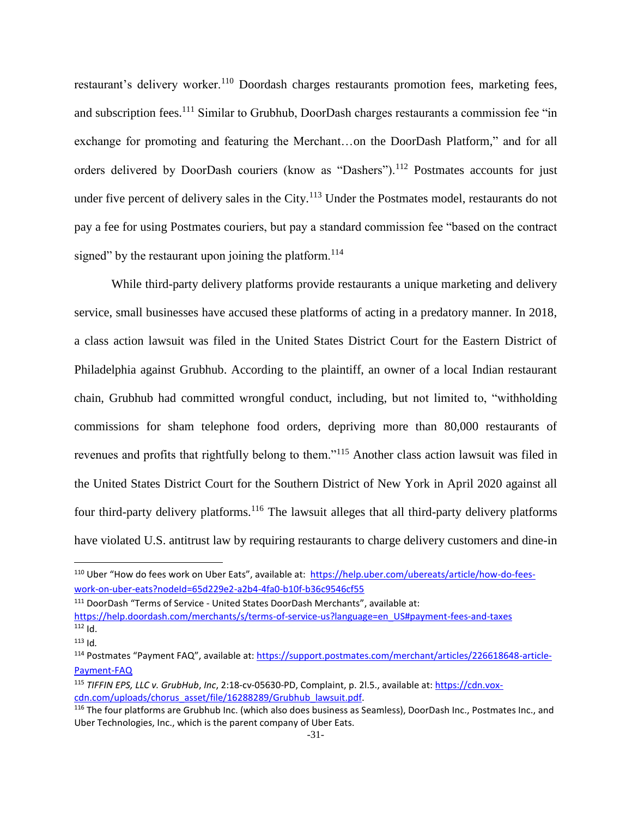restaurant's delivery worker.<sup>110</sup> Doordash charges restaurants promotion fees, marketing fees, and subscription fees.<sup>111</sup> Similar to Grubhub, DoorDash charges restaurants a commission fee "in exchange for promoting and featuring the Merchant…on the DoorDash Platform," and for all orders delivered by DoorDash couriers (know as "Dashers").<sup>112</sup> Postmates accounts for just under five percent of delivery sales in the City.<sup>113</sup> Under the Postmates model, restaurants do not pay a fee for using Postmates couriers, but pay a standard commission fee "based on the contract signed" by the restaurant upon joining the platform. $114$ 

While third-party delivery platforms provide restaurants a unique marketing and delivery service, small businesses have accused these platforms of acting in a predatory manner. In 2018, a class action lawsuit was filed in the United States District Court for the Eastern District of Philadelphia against Grubhub. According to the plaintiff, an owner of a local Indian restaurant chain, Grubhub had committed wrongful conduct, including, but not limited to, "withholding commissions for sham telephone food orders, depriving more than 80,000 restaurants of revenues and profits that rightfully belong to them."<sup>115</sup> Another class action lawsuit was filed in the United States District Court for the Southern District of New York in April 2020 against all four third-party delivery platforms.<sup>116</sup> The lawsuit alleges that all third-party delivery platforms have violated U.S. antitrust law by requiring restaurants to charge delivery customers and dine-in

<sup>110</sup> Uber "How do fees work on Uber Eats", available at: [https://help.uber.com/ubereats/article/how-do-fees](https://help.uber.com/ubereats/article/how-do-fees-work-on-uber-eats?nodeId=65d229e2-a2b4-4fa0-b10f-b36c9546cf55)[work-on-uber-eats?nodeId=65d229e2-a2b4-4fa0-b10f-b36c9546cf55](https://help.uber.com/ubereats/article/how-do-fees-work-on-uber-eats?nodeId=65d229e2-a2b4-4fa0-b10f-b36c9546cf55)

<sup>111</sup> DoorDash "Terms of Service - United States DoorDash Merchants", available at:

[https://help.doordash.com/merchants/s/terms-of-service-us?language=en\\_US#payment-fees-and-taxes](https://help.doordash.com/merchants/s/terms-of-service-us?language=en_US#payment-fees-and-taxes)  $112$  Id.

<sup>113</sup> Id*.*

<sup>114</sup> Postmates "Payment FAQ", available at: [https://support.postmates.com/merchant/articles/226618648-article-](https://support.postmates.com/merchant/articles/226618648-article-Payment-FAQ)[Payment-FAQ](https://support.postmates.com/merchant/articles/226618648-article-Payment-FAQ)

<sup>115</sup> *TIFFIN EPS, LLC v. GrubHub*, *Inc*, 2:18-cv-05630-PD, Complaint, p. 2l.5., available at: [https://cdn.vox](https://cdn.vox-cdn.com/uploads/chorus_asset/file/16288289/Grubhub_lawsuit.pdf)[cdn.com/uploads/chorus\\_asset/file/16288289/Grubhub\\_lawsuit.pdf.](https://cdn.vox-cdn.com/uploads/chorus_asset/file/16288289/Grubhub_lawsuit.pdf)

<sup>116</sup> The four platforms are Grubhub Inc. (which also does business as Seamless), DoorDash Inc., Postmates Inc., and Uber Technologies, Inc., which is the parent company of Uber Eats.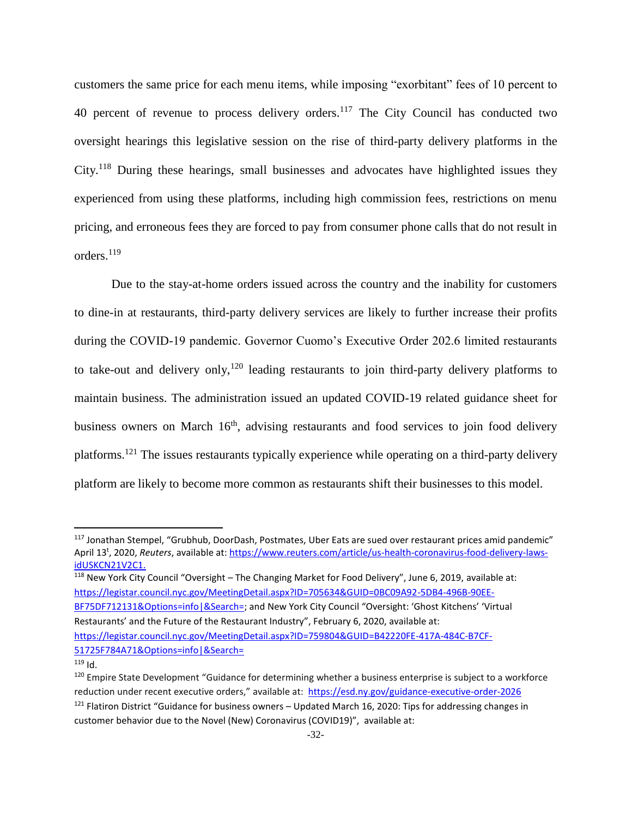customers the same price for each menu items, while imposing "exorbitant" fees of 10 percent to 40 percent of revenue to process delivery orders. $117$  The City Council has conducted two oversight hearings this legislative session on the rise of third-party delivery platforms in the City.<sup>118</sup> During these hearings, small businesses and advocates have highlighted issues they experienced from using these platforms, including high commission fees, restrictions on menu pricing, and erroneous fees they are forced to pay from consumer phone calls that do not result in orders.<sup>119</sup>

Due to the stay-at-home orders issued across the country and the inability for customers to dine-in at restaurants, third-party delivery services are likely to further increase their profits during the COVID-19 pandemic. Governor Cuomo's Executive Order 202.6 limited restaurants to take-out and delivery only,<sup>120</sup> leading restaurants to join third-party delivery platforms to maintain business. The administration issued an updated COVID-19 related guidance sheet for business owners on March 16<sup>th</sup>, advising restaurants and food services to join food delivery platforms.<sup>121</sup> The issues restaurants typically experience while operating on a third-party delivery platform are likely to become more common as restaurants shift their businesses to this model.

<sup>118</sup> New York City Council "Oversight – The Changing Market for Food Delivery", June 6, 2019, available at: [https://legistar.council.nyc.gov/MeetingDetail.aspx?ID=705634&GUID=0BC09A92-5DB4-496B-90EE-](https://legistar.council.nyc.gov/MeetingDetail.aspx?ID=705634&GUID=0BC09A92-5DB4-496B-90EE-BF75DF712131&Options=info|&Search=)

[BF75DF712131&Options=info|&Search=;](https://legistar.council.nyc.gov/MeetingDetail.aspx?ID=705634&GUID=0BC09A92-5DB4-496B-90EE-BF75DF712131&Options=info|&Search=) and New York City Council "Oversight: 'Ghost Kitchens' 'Virtual Restaurants' and the Future of the Restaurant Industry", February 6, 2020, available at:

<sup>&</sup>lt;sup>117</sup> Jonathan Stempel, "Grubhub, DoorDash, Postmates, Uber Eats are sued over restaurant prices amid pandemic" April 13<sup>t</sup> , 2020, *Reuters*, available at: [https://www.reuters.com/article/us-health-coronavirus-food-delivery-laws](https://www.reuters.com/article/us-health-coronavirus-food-delivery-laws-idUSKCN21V2C1)[idUSKCN21V2C1.](https://www.reuters.com/article/us-health-coronavirus-food-delivery-laws-idUSKCN21V2C1)

[https://legistar.council.nyc.gov/MeetingDetail.aspx?ID=759804&GUID=B42220FE-417A-484C-B7CF-](https://legistar.council.nyc.gov/MeetingDetail.aspx?ID=759804&GUID=B42220FE-417A-484C-B7CF-51725F784A71&Options=info|&Search=)[51725F784A71&Options=info|&Search=](https://legistar.council.nyc.gov/MeetingDetail.aspx?ID=759804&GUID=B42220FE-417A-484C-B7CF-51725F784A71&Options=info|&Search=)

 $119$  Id.

<sup>&</sup>lt;sup>120</sup> Empire State Development "Guidance for determining whether a business enterprise is subject to a workforce reduction under recent executive orders," available at:<https://esd.ny.gov/guidance-executive-order-2026>  $121$  Flatiron District "Guidance for business owners – Updated March 16, 2020: Tips for addressing changes in customer behavior due to the Novel (New) Coronavirus (COVID19)", available at: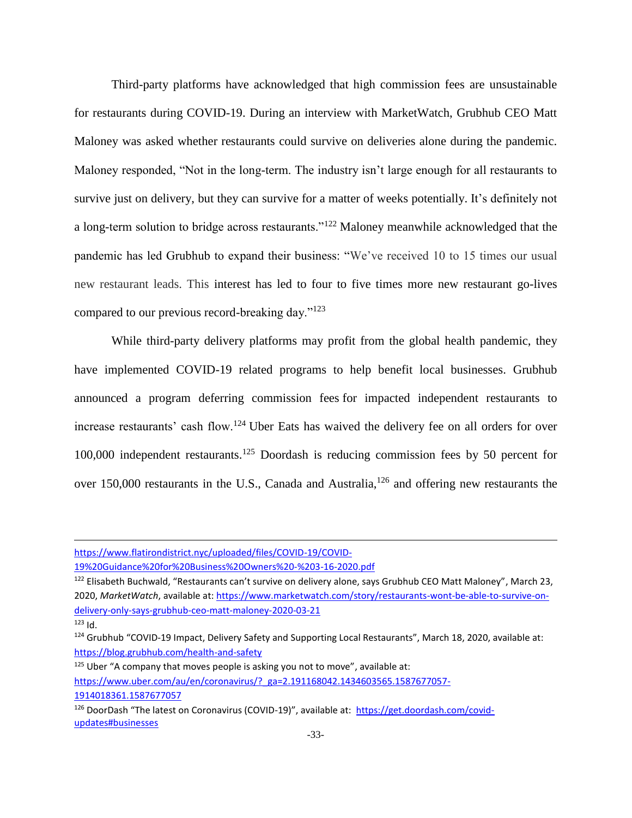Third-party platforms have acknowledged that high commission fees are unsustainable for restaurants during COVID-19. During an interview with MarketWatch, Grubhub CEO Matt Maloney was asked whether restaurants could survive on deliveries alone during the pandemic. Maloney responded, "Not in the long-term. The industry isn't large enough for all restaurants to survive just on delivery, but they can survive for a matter of weeks potentially. It's definitely not a long-term solution to bridge across restaurants."<sup>122</sup> Maloney meanwhile acknowledged that the pandemic has led Grubhub to expand their business: "We've received 10 to 15 times our usual new restaurant leads. This interest has led to four to five times more new restaurant go-lives compared to our previous record-breaking day."<sup>123</sup>

While third-party delivery platforms may profit from the global health pandemic, they have implemented COVID-19 related programs to help benefit local businesses. Grubhub announced a program deferring commission fees for impacted independent restaurants to increase restaurants' cash flow.<sup>124</sup> Uber Eats has waived the delivery fee on all orders for over 100,000 independent restaurants.<sup>125</sup> Doordash is reducing commission fees by 50 percent for over 150,000 restaurants in the U.S., Canada and Australia,<sup>126</sup> and offering new restaurants the

[https://www.flatirondistrict.nyc/uploaded/files/COVID-19/COVID-](https://www.flatirondistrict.nyc/uploaded/files/COVID-19/COVID-19%20Guidance%20for%20Business%20Owners%20-%203-16-2020.pdf)

 $\overline{\phantom{a}}$ 

 $125$  Uber "A company that moves people is asking you not to move", available at: [https://www.uber.com/au/en/coronavirus/?\\_ga=2.191168042.1434603565.1587677057-](https://www.uber.com/au/en/coronavirus/?_ga=2.191168042.1434603565.1587677057-1914018361.1587677057) [1914018361.1587677057](https://www.uber.com/au/en/coronavirus/?_ga=2.191168042.1434603565.1587677057-1914018361.1587677057)

[<sup>19%20</sup>Guidance%20for%20Business%20Owners%20-%203-16-2020.pdf](https://www.flatirondistrict.nyc/uploaded/files/COVID-19/COVID-19%20Guidance%20for%20Business%20Owners%20-%203-16-2020.pdf)

<sup>&</sup>lt;sup>122</sup> Elisabeth Buchwald, "Restaurants can't survive on delivery alone, says Grubhub CEO Matt Maloney", March 23, 2020, *MarketWatch*, available at: [https://www.marketwatch.com/story/restaurants-wont-be-able-to-survive-on](https://www.marketwatch.com/story/restaurants-wont-be-able-to-survive-on-delivery-only-says-grubhub-ceo-matt-maloney-2020-03-21)[delivery-only-says-grubhub-ceo-matt-maloney-2020-03-21](https://www.marketwatch.com/story/restaurants-wont-be-able-to-survive-on-delivery-only-says-grubhub-ceo-matt-maloney-2020-03-21)

 $123$  Id.

<sup>&</sup>lt;sup>124</sup> Grubhub "COVID-19 Impact, Delivery Safety and Supporting Local Restaurants", March 18, 2020, available at: <https://blog.grubhub.com/health-and-safety>

<sup>126</sup> DoorDash "The latest on Coronavirus (COVID-19)", available at: [https://get.doordash.com/covid](https://get.doordash.com/covid-updates#businesses)[updates#businesses](https://get.doordash.com/covid-updates#businesses)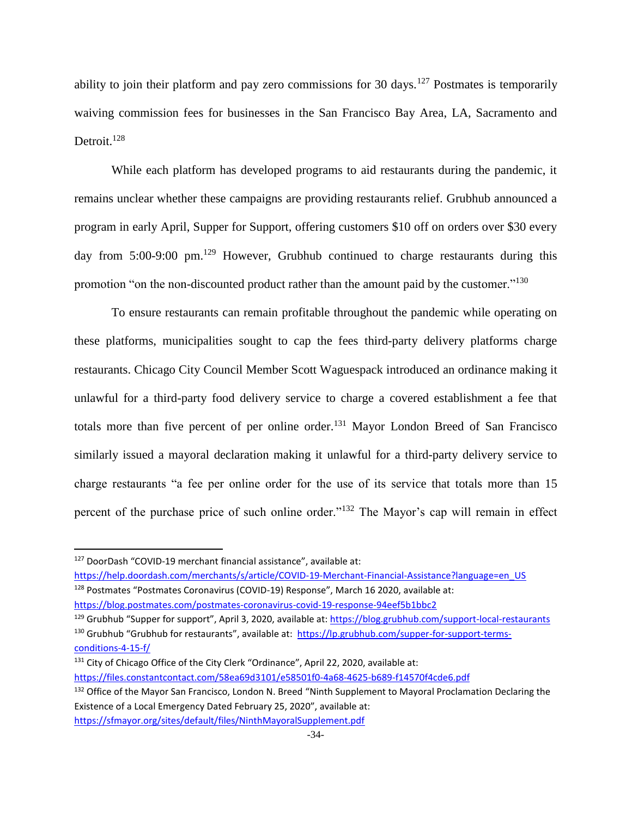ability to join their platform and pay zero commissions for 30 days.<sup>127</sup> Postmates is temporarily waiving commission fees for businesses in the San Francisco Bay Area, LA, Sacramento and Detroit.<sup>128</sup>

While each platform has developed programs to aid restaurants during the pandemic, it remains unclear whether these campaigns are providing restaurants relief. Grubhub announced a program in early April, Supper for Support, offering customers \$10 off on orders over \$30 every day from 5:00-9:00 pm.<sup>129</sup> However, Grubhub continued to charge restaurants during this promotion "on the non-discounted product rather than the amount paid by the customer."<sup>130</sup>

To ensure restaurants can remain profitable throughout the pandemic while operating on these platforms, municipalities sought to cap the fees third-party delivery platforms charge restaurants. Chicago City Council Member Scott Waguespack introduced an ordinance making it unlawful for a third-party food delivery service to charge a covered establishment a fee that totals more than five percent of per online order.<sup>131</sup> Mayor London Breed of San Francisco similarly issued a mayoral declaration making it unlawful for a third-party delivery service to charge restaurants "a fee per online order for the use of its service that totals more than 15 percent of the purchase price of such online order."<sup>132</sup> The Mayor's cap will remain in effect

 $\overline{\phantom{a}}$ 

<sup>128</sup> Postmates "Postmates Coronavirus (COVID-19) Response", March 16 2020, available at: <https://blog.postmates.com/postmates-coronavirus-covid-19-response-94eef5b1bbc2>

<sup>131</sup> City of Chicago Office of the City Clerk "Ordinance", April 22, 2020, available at: <https://files.constantcontact.com/58ea69d3101/e58501f0-4a68-4625-b689-f14570f4cde6.pdf> <sup>132</sup> Office of the Mayor San Francisco, London N. Breed "Ninth Supplement to Mayoral Proclamation Declaring the Existence of a Local Emergency Dated February 25, 2020", available at: <https://sfmayor.org/sites/default/files/NinthMayoralSupplement.pdf>

<sup>127</sup> DoorDash "COVID-19 merchant financial assistance", available at: [https://help.doordash.com/merchants/s/article/COVID-19-Merchant-Financial-Assistance?language=en\\_US](https://help.doordash.com/merchants/s/article/COVID-19-Merchant-Financial-Assistance?language=en_US)

<sup>&</sup>lt;sup>129</sup> Grubhub "Supper for support", April 3, 2020, available at: <https://blog.grubhub.com/support-local-restaurants> <sup>130</sup> Grubhub "Grubhub for restaurants", available at: [https://lp.grubhub.com/supper-for-support-terms-](https://lp.grubhub.com/supper-for-support-terms-conditions-4-15-f/)

[conditions-4-15-f/](https://lp.grubhub.com/supper-for-support-terms-conditions-4-15-f/)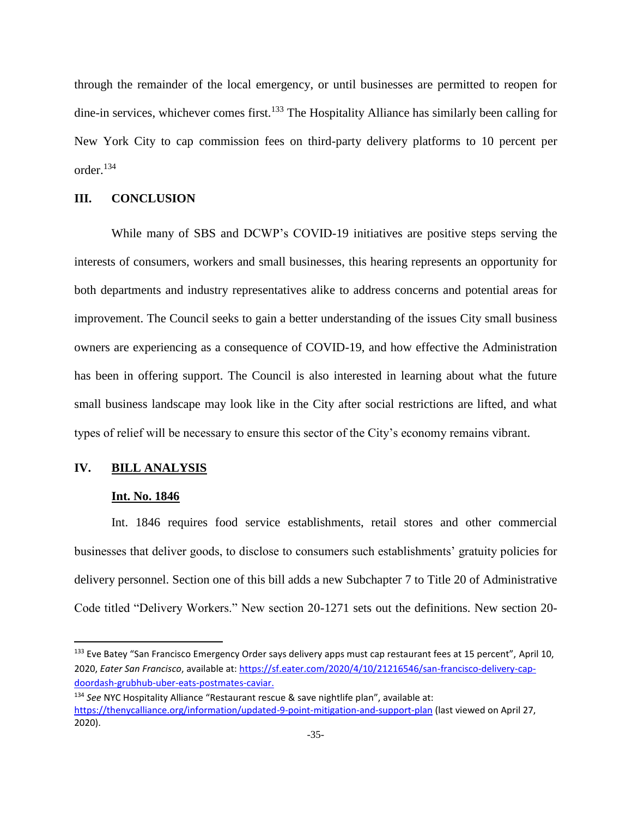through the remainder of the local emergency, or until businesses are permitted to reopen for dine-in services, whichever comes first.<sup>133</sup> The Hospitality Alliance has similarly been calling for New York City to cap commission fees on third-party delivery platforms to 10 percent per order.<sup>134</sup>

## **III. CONCLUSION**

While many of SBS and DCWP's COVID-19 initiatives are positive steps serving the interests of consumers, workers and small businesses, this hearing represents an opportunity for both departments and industry representatives alike to address concerns and potential areas for improvement. The Council seeks to gain a better understanding of the issues City small business owners are experiencing as a consequence of COVID-19, and how effective the Administration has been in offering support. The Council is also interested in learning about what the future small business landscape may look like in the City after social restrictions are lifted, and what types of relief will be necessary to ensure this sector of the City's economy remains vibrant.

# **IV. BILL ANALYSIS**

#### **Int. No. 1846**

 $\overline{\phantom{a}}$ 

Int. 1846 requires food service establishments, retail stores and other commercial businesses that deliver goods, to disclose to consumers such establishments' gratuity policies for delivery personnel. Section one of this bill adds a new Subchapter 7 to Title 20 of Administrative Code titled "Delivery Workers." New section 20-1271 sets out the definitions. New section 20-

<sup>&</sup>lt;sup>133</sup> Eve Batey "San Francisco Emergency Order says delivery apps must cap restaurant fees at 15 percent", April 10, 2020, *Eater San Francisco*, available at: [https://sf.eater.com/2020/4/10/21216546/san-francisco-delivery-cap](https://sf.eater.com/2020/4/10/21216546/san-francisco-delivery-cap-doordash-grubhub-uber-eats-postmates-caviar)[doordash-grubhub-uber-eats-postmates-caviar.](https://sf.eater.com/2020/4/10/21216546/san-francisco-delivery-cap-doordash-grubhub-uber-eats-postmates-caviar)

<sup>134</sup> *See* NYC Hospitality Alliance "Restaurant rescue & save nightlife plan", available at: <https://thenycalliance.org/information/updated-9-point-mitigation-and-support-plan> (last viewed on April 27, 2020).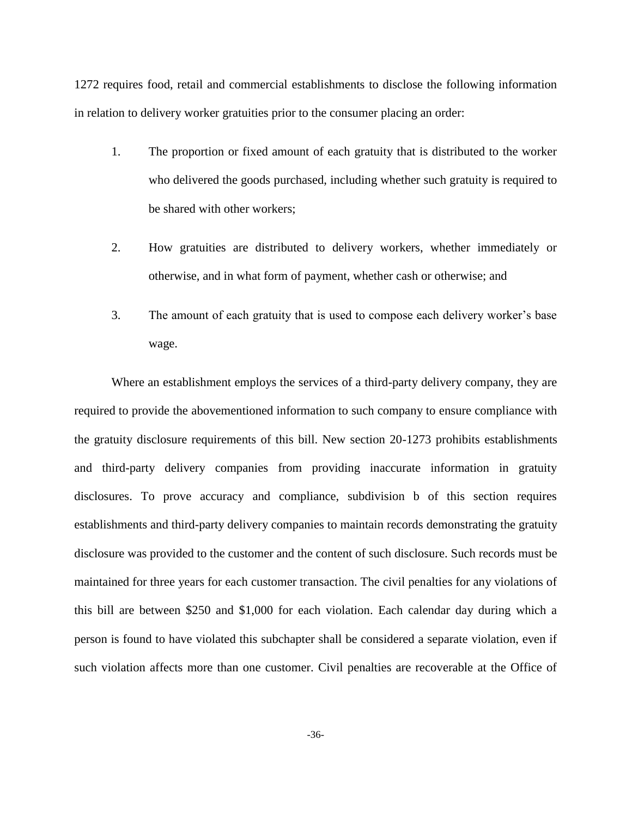1272 requires food, retail and commercial establishments to disclose the following information in relation to delivery worker gratuities prior to the consumer placing an order:

- 1. The proportion or fixed amount of each gratuity that is distributed to the worker who delivered the goods purchased, including whether such gratuity is required to be shared with other workers;
- 2. How gratuities are distributed to delivery workers, whether immediately or otherwise, and in what form of payment, whether cash or otherwise; and
- 3. The amount of each gratuity that is used to compose each delivery worker's base wage.

Where an establishment employs the services of a third-party delivery company, they are required to provide the abovementioned information to such company to ensure compliance with the gratuity disclosure requirements of this bill. New section 20-1273 prohibits establishments and third-party delivery companies from providing inaccurate information in gratuity disclosures. To prove accuracy and compliance, subdivision b of this section requires establishments and third-party delivery companies to maintain records demonstrating the gratuity disclosure was provided to the customer and the content of such disclosure. Such records must be maintained for three years for each customer transaction. The civil penalties for any violations of this bill are between \$250 and \$1,000 for each violation. Each calendar day during which a person is found to have violated this subchapter shall be considered a separate violation, even if such violation affects more than one customer. Civil penalties are recoverable at the Office of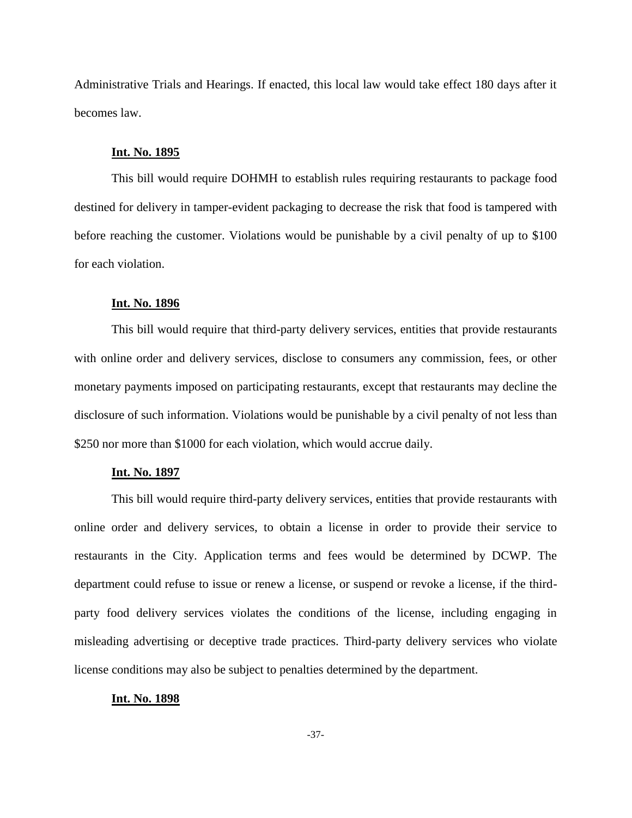Administrative Trials and Hearings. If enacted, this local law would take effect 180 days after it becomes law.

# **Int. No. 1895**

This bill would require DOHMH to establish rules requiring restaurants to package food destined for delivery in tamper-evident packaging to decrease the risk that food is tampered with before reaching the customer. Violations would be punishable by a civil penalty of up to \$100 for each violation.

## **Int. No. 1896**

This bill would require that third-party delivery services, entities that provide restaurants with online order and delivery services, disclose to consumers any commission, fees, or other monetary payments imposed on participating restaurants, except that restaurants may decline the disclosure of such information. Violations would be punishable by a civil penalty of not less than \$250 nor more than \$1000 for each violation, which would accrue daily.

### **Int. No. 1897**

This bill would require third-party delivery services, entities that provide restaurants with online order and delivery services, to obtain a license in order to provide their service to restaurants in the City. Application terms and fees would be determined by DCWP. The department could refuse to issue or renew a license, or suspend or revoke a license, if the thirdparty food delivery services violates the conditions of the license, including engaging in misleading advertising or deceptive trade practices. Third-party delivery services who violate license conditions may also be subject to penalties determined by the department.

# **Int. No. 1898**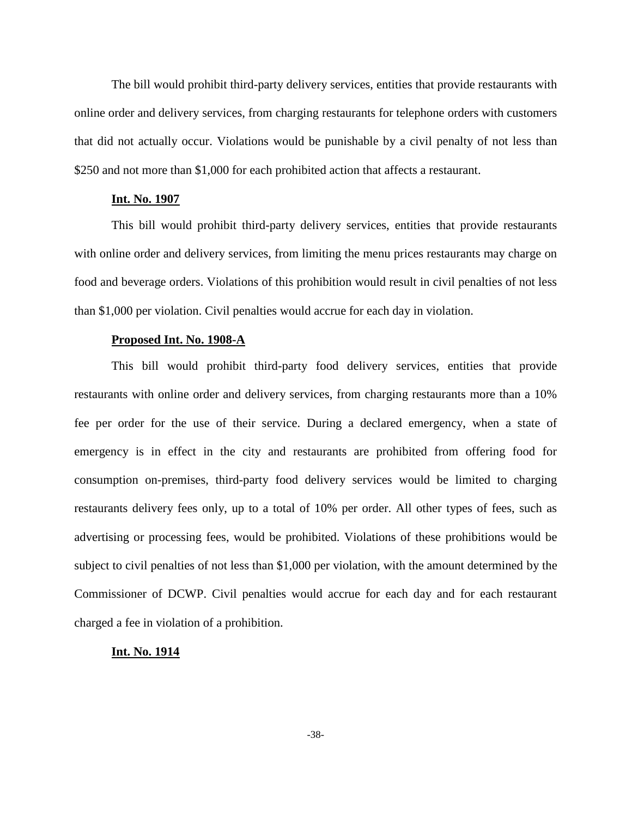The bill would prohibit third-party delivery services, entities that provide restaurants with online order and delivery services, from charging restaurants for telephone orders with customers that did not actually occur. Violations would be punishable by a civil penalty of not less than \$250 and not more than \$1,000 for each prohibited action that affects a restaurant.

### **Int. No. 1907**

This bill would prohibit third-party delivery services, entities that provide restaurants with online order and delivery services, from limiting the menu prices restaurants may charge on food and beverage orders. Violations of this prohibition would result in civil penalties of not less than \$1,000 per violation. Civil penalties would accrue for each day in violation.

### **Proposed Int. No. 1908-A**

This bill would prohibit third-party food delivery services, entities that provide restaurants with online order and delivery services, from charging restaurants more than a 10% fee per order for the use of their service. During a declared emergency, when a state of emergency is in effect in the city and restaurants are prohibited from offering food for consumption on-premises, third-party food delivery services would be limited to charging restaurants delivery fees only, up to a total of 10% per order. All other types of fees, such as advertising or processing fees, would be prohibited. Violations of these prohibitions would be subject to civil penalties of not less than \$1,000 per violation, with the amount determined by the Commissioner of DCWP. Civil penalties would accrue for each day and for each restaurant charged a fee in violation of a prohibition.

#### **Int. No. 1914**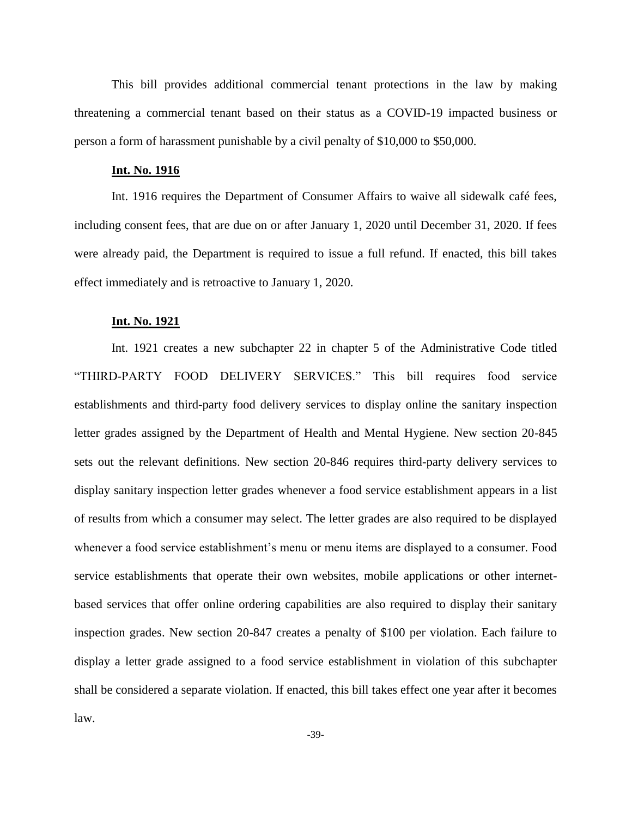This bill provides additional commercial tenant protections in the law by making threatening a commercial tenant based on their status as a COVID-19 impacted business or person a form of harassment punishable by a civil penalty of \$10,000 to \$50,000.

# **Int. No. 1916**

Int. 1916 requires the Department of Consumer Affairs to waive all sidewalk café fees, including consent fees, that are due on or after January 1, 2020 until December 31, 2020. If fees were already paid, the Department is required to issue a full refund. If enacted, this bill takes effect immediately and is retroactive to January 1, 2020.

### **Int. No. 1921**

Int. 1921 creates a new subchapter 22 in chapter 5 of the Administrative Code titled "THIRD-PARTY FOOD DELIVERY SERVICES." This bill requires food service establishments and third-party food delivery services to display online the sanitary inspection letter grades assigned by the Department of Health and Mental Hygiene. New section 20-845 sets out the relevant definitions. New section 20-846 requires third-party delivery services to display sanitary inspection letter grades whenever a food service establishment appears in a list of results from which a consumer may select. The letter grades are also required to be displayed whenever a food service establishment's menu or menu items are displayed to a consumer. Food service establishments that operate their own websites, mobile applications or other internetbased services that offer online ordering capabilities are also required to display their sanitary inspection grades. New section 20-847 creates a penalty of \$100 per violation. Each failure to display a letter grade assigned to a food service establishment in violation of this subchapter shall be considered a separate violation. If enacted, this bill takes effect one year after it becomes law.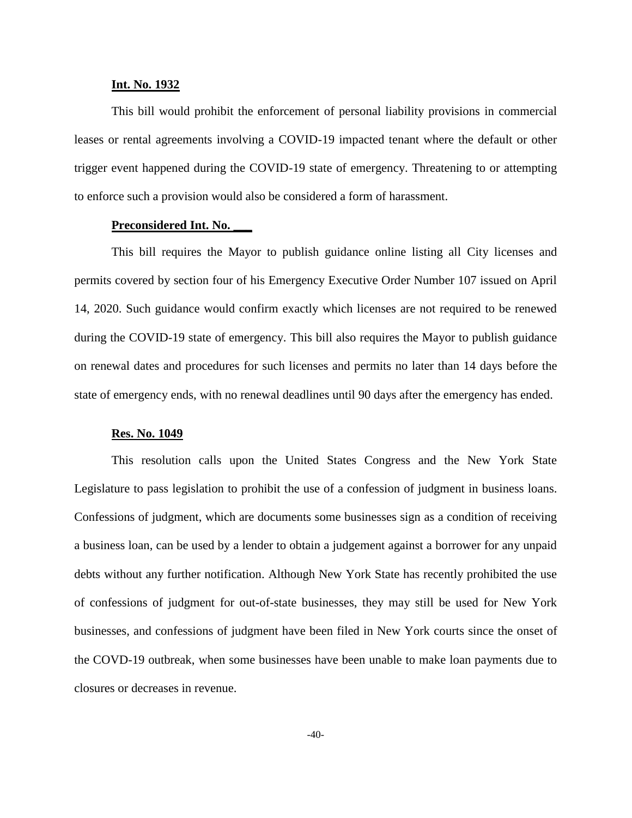This bill would prohibit the enforcement of personal liability provisions in commercial leases or rental agreements involving a COVID-19 impacted tenant where the default or other trigger event happened during the COVID-19 state of emergency. Threatening to or attempting to enforce such a provision would also be considered a form of harassment.

# **Preconsidered Int. No. \_\_\_**

This bill requires the Mayor to publish guidance online listing all City licenses and permits covered by section four of his Emergency Executive Order Number 107 issued on April 14, 2020. Such guidance would confirm exactly which licenses are not required to be renewed during the COVID-19 state of emergency. This bill also requires the Mayor to publish guidance on renewal dates and procedures for such licenses and permits no later than 14 days before the state of emergency ends, with no renewal deadlines until 90 days after the emergency has ended.

### **Res. No. 1049**

This resolution calls upon the United States Congress and the New York State Legislature to pass legislation to prohibit the use of a confession of judgment in business loans. Confessions of judgment, which are documents some businesses sign as a condition of receiving a business loan, can be used by a lender to obtain a judgement against a borrower for any unpaid debts without any further notification. Although New York State has recently prohibited the use of confessions of judgment for out-of-state businesses, they may still be used for New York businesses, and confessions of judgment have been filed in New York courts since the onset of the COVD-19 outbreak, when some businesses have been unable to make loan payments due to closures or decreases in revenue.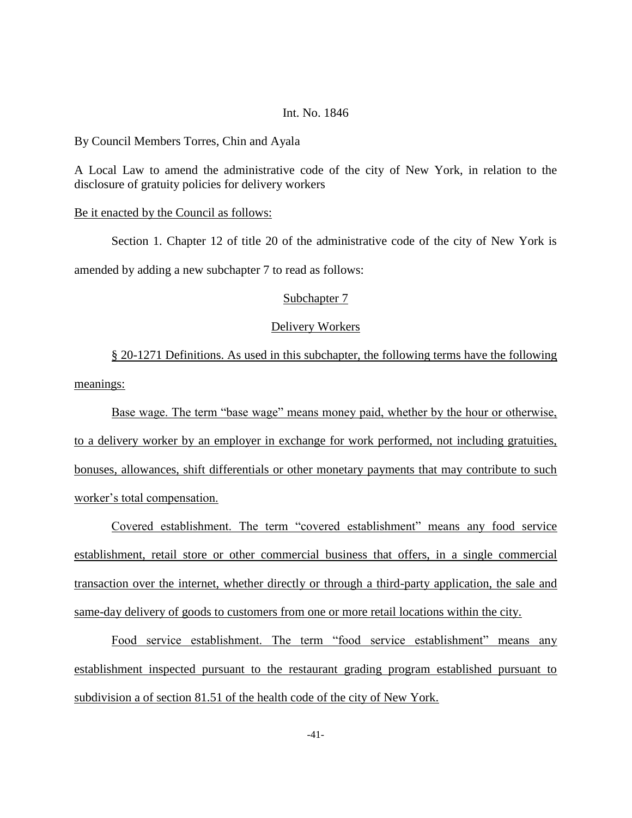## By Council Members Torres, Chin and Ayala

A Local Law to amend the administrative code of the city of New York, in relation to the disclosure of gratuity policies for delivery workers

# Be it enacted by the Council as follows:

Section 1. Chapter 12 of title 20 of the administrative code of the city of New York is amended by adding a new subchapter 7 to read as follows:

### Subchapter 7

#### Delivery Workers

§ 20-1271 Definitions. As used in this subchapter, the following terms have the following meanings:

Base wage. The term "base wage" means money paid, whether by the hour or otherwise, to a delivery worker by an employer in exchange for work performed, not including gratuities, bonuses, allowances, shift differentials or other monetary payments that may contribute to such worker's total compensation.

Covered establishment. The term "covered establishment" means any food service establishment, retail store or other commercial business that offers, in a single commercial transaction over the internet, whether directly or through a third-party application, the sale and same-day delivery of goods to customers from one or more retail locations within the city.

Food service establishment. The term "food service establishment" means any establishment inspected pursuant to the restaurant grading program established pursuant to subdivision a of section 81.51 of the health code of the city of New York.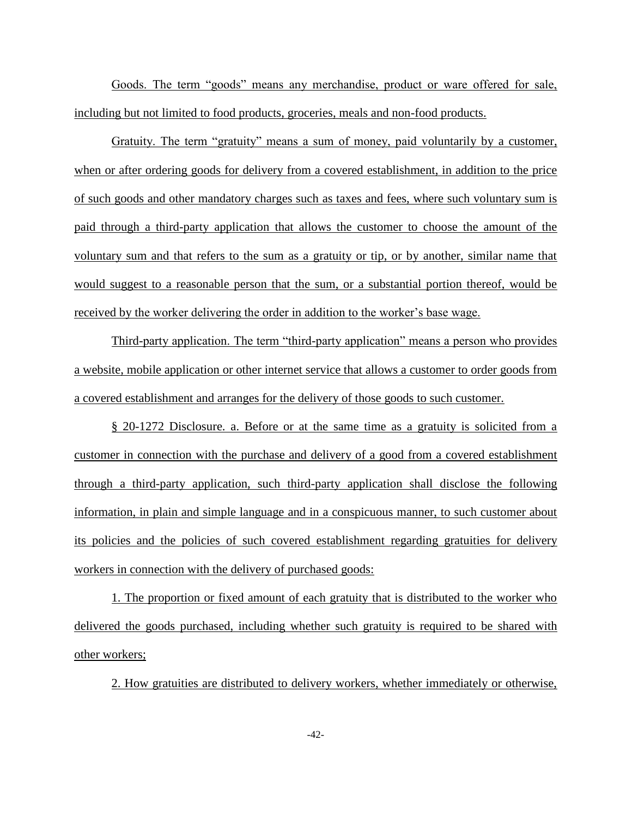Goods. The term "goods" means any merchandise, product or ware offered for sale, including but not limited to food products, groceries, meals and non-food products.

Gratuity. The term "gratuity" means a sum of money, paid voluntarily by a customer, when or after ordering goods for delivery from a covered establishment, in addition to the price of such goods and other mandatory charges such as taxes and fees, where such voluntary sum is paid through a third-party application that allows the customer to choose the amount of the voluntary sum and that refers to the sum as a gratuity or tip, or by another, similar name that would suggest to a reasonable person that the sum, or a substantial portion thereof, would be received by the worker delivering the order in addition to the worker's base wage.

Third-party application. The term "third-party application" means a person who provides a website, mobile application or other internet service that allows a customer to order goods from a covered establishment and arranges for the delivery of those goods to such customer.

§ 20-1272 Disclosure. a. Before or at the same time as a gratuity is solicited from a customer in connection with the purchase and delivery of a good from a covered establishment through a third-party application, such third-party application shall disclose the following information, in plain and simple language and in a conspicuous manner, to such customer about its policies and the policies of such covered establishment regarding gratuities for delivery workers in connection with the delivery of purchased goods:

1. The proportion or fixed amount of each gratuity that is distributed to the worker who delivered the goods purchased, including whether such gratuity is required to be shared with other workers;

2. How gratuities are distributed to delivery workers, whether immediately or otherwise,

-42-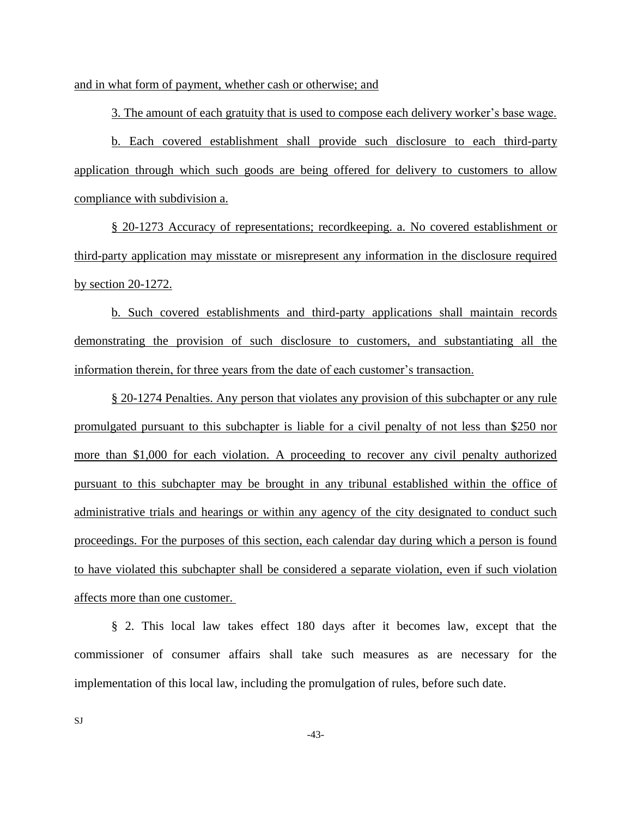and in what form of payment, whether cash or otherwise; and

3. The amount of each gratuity that is used to compose each delivery worker's base wage.

b. Each covered establishment shall provide such disclosure to each third-party application through which such goods are being offered for delivery to customers to allow compliance with subdivision a.

§ 20-1273 Accuracy of representations; recordkeeping. a. No covered establishment or third-party application may misstate or misrepresent any information in the disclosure required by section 20-1272.

b. Such covered establishments and third-party applications shall maintain records demonstrating the provision of such disclosure to customers, and substantiating all the information therein, for three years from the date of each customer's transaction.

§ 20-1274 Penalties. Any person that violates any provision of this subchapter or any rule promulgated pursuant to this subchapter is liable for a civil penalty of not less than \$250 nor more than \$1,000 for each violation. A proceeding to recover any civil penalty authorized pursuant to this subchapter may be brought in any tribunal established within the office of administrative trials and hearings or within any agency of the city designated to conduct such proceedings. For the purposes of this section, each calendar day during which a person is found to have violated this subchapter shall be considered a separate violation, even if such violation affects more than one customer.

§ 2. This local law takes effect 180 days after it becomes law, except that the commissioner of consumer affairs shall take such measures as are necessary for the implementation of this local law, including the promulgation of rules, before such date.

SJ

-43-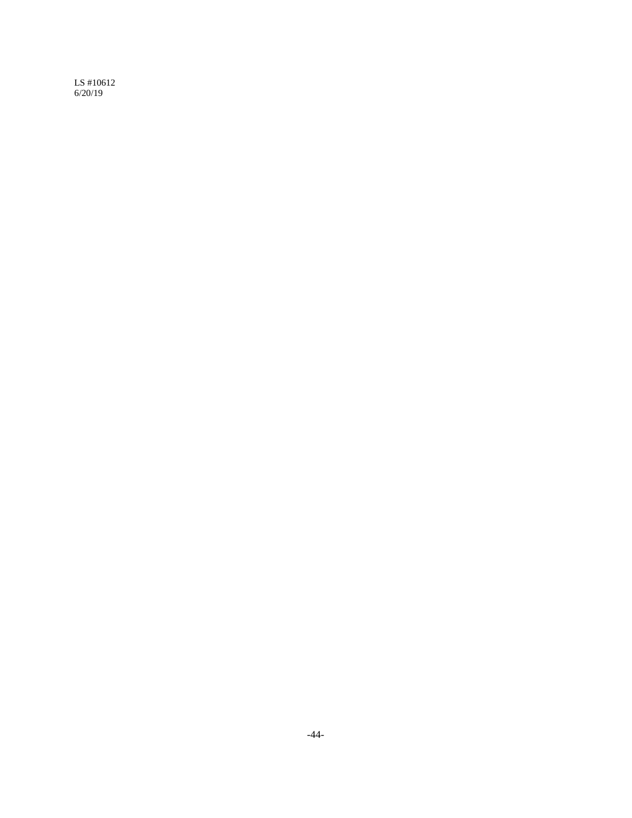LS #10612 6/20/19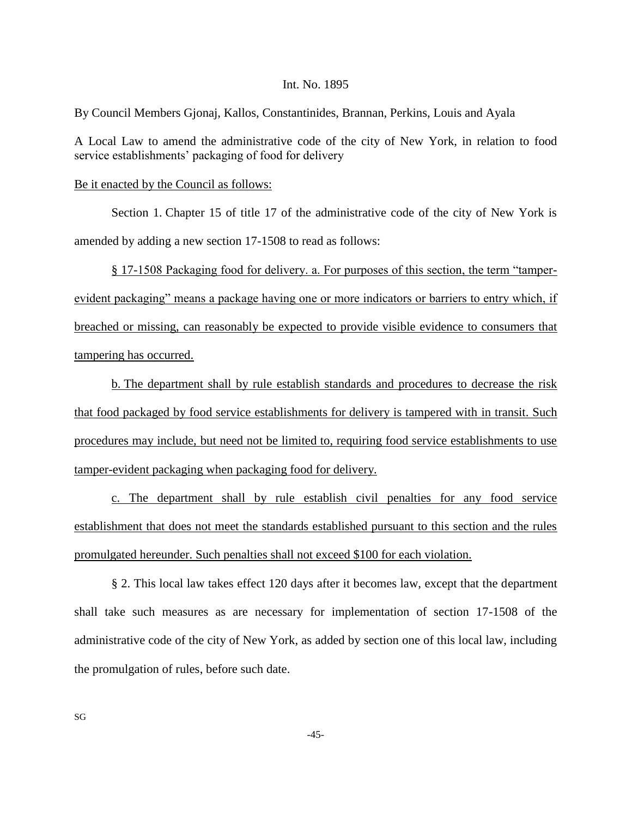By Council Members Gjonaj, Kallos, Constantinides, Brannan, Perkins, Louis and Ayala

A Local Law to amend the administrative code of the city of New York, in relation to food service establishments' packaging of food for delivery

#### Be it enacted by the Council as follows:

Section 1. Chapter 15 of title 17 of the administrative code of the city of New York is amended by adding a new section 17-1508 to read as follows:

§ 17-1508 Packaging food for delivery. a. For purposes of this section, the term "tamperevident packaging" means a package having one or more indicators or barriers to entry which, if breached or missing, can reasonably be expected to provide visible evidence to consumers that tampering has occurred.

b. The department shall by rule establish standards and procedures to decrease the risk that food packaged by food service establishments for delivery is tampered with in transit. Such procedures may include, but need not be limited to, requiring food service establishments to use tamper-evident packaging when packaging food for delivery.

c. The department shall by rule establish civil penalties for any food service establishment that does not meet the standards established pursuant to this section and the rules promulgated hereunder. Such penalties shall not exceed \$100 for each violation.

§ 2. This local law takes effect 120 days after it becomes law, except that the department shall take such measures as are necessary for implementation of section 17-1508 of the administrative code of the city of New York, as added by section one of this local law, including the promulgation of rules, before such date.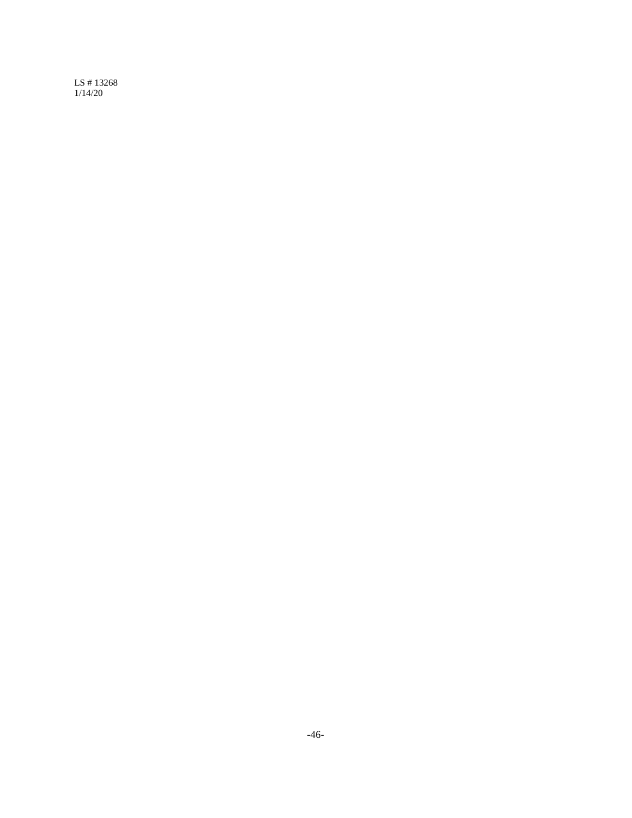LS # 13268 1/14/20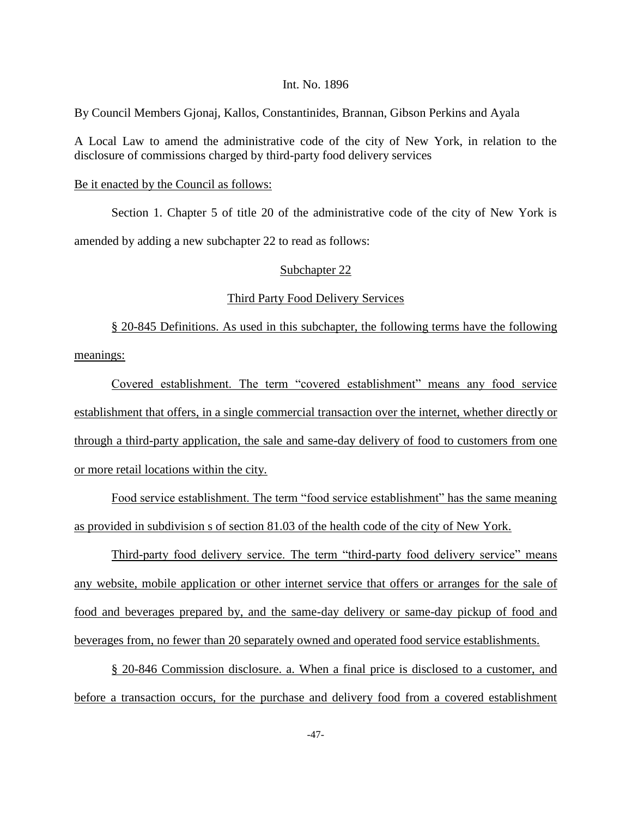By Council Members Gjonaj, Kallos, Constantinides, Brannan, Gibson Perkins and Ayala

A Local Law to amend the administrative code of the city of New York, in relation to the disclosure of commissions charged by third-party food delivery services

#### Be it enacted by the Council as follows:

Section 1. Chapter 5 of title 20 of the administrative code of the city of New York is amended by adding a new subchapter 22 to read as follows:

#### Subchapter 22

### Third Party Food Delivery Services

§ 20-845 Definitions. As used in this subchapter, the following terms have the following meanings:

Covered establishment. The term "covered establishment" means any food service establishment that offers, in a single commercial transaction over the internet, whether directly or through a third-party application, the sale and same-day delivery of food to customers from one or more retail locations within the city.

Food service establishment. The term "food service establishment" has the same meaning as provided in subdivision s of section 81.03 of the health code of the city of New York.

Third-party food delivery service. The term "third-party food delivery service" means any website, mobile application or other internet service that offers or arranges for the sale of food and beverages prepared by, and the same-day delivery or same-day pickup of food and beverages from, no fewer than 20 separately owned and operated food service establishments.

§ 20-846 Commission disclosure. a. When a final price is disclosed to a customer, and before a transaction occurs, for the purchase and delivery food from a covered establishment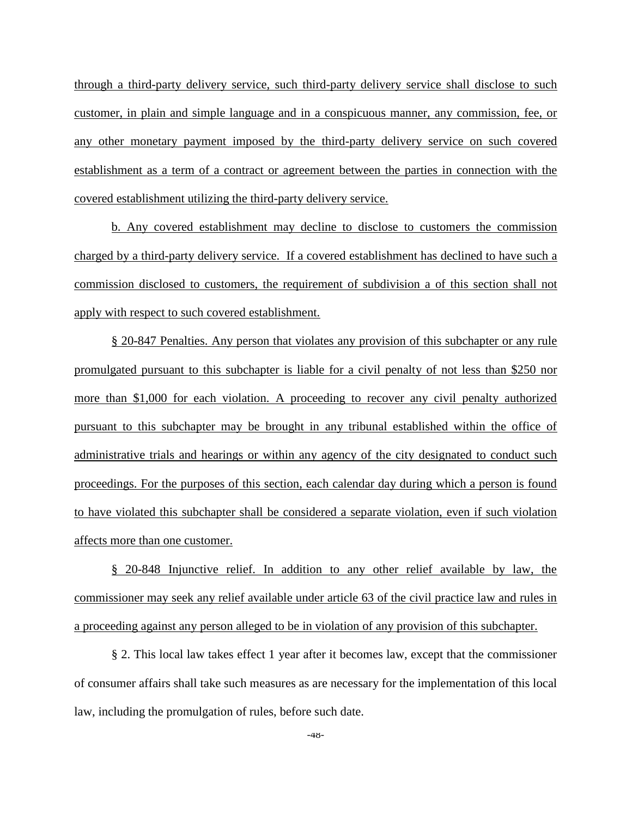through a third-party delivery service, such third-party delivery service shall disclose to such customer, in plain and simple language and in a conspicuous manner, any commission, fee, or any other monetary payment imposed by the third-party delivery service on such covered establishment as a term of a contract or agreement between the parties in connection with the covered establishment utilizing the third-party delivery service.

b. Any covered establishment may decline to disclose to customers the commission charged by a third-party delivery service. If a covered establishment has declined to have such a commission disclosed to customers, the requirement of subdivision a of this section shall not apply with respect to such covered establishment.

§ 20-847 Penalties. Any person that violates any provision of this subchapter or any rule promulgated pursuant to this subchapter is liable for a civil penalty of not less than \$250 nor more than \$1,000 for each violation. A proceeding to recover any civil penalty authorized pursuant to this subchapter may be brought in any tribunal established within the office of administrative trials and hearings or within any agency of the city designated to conduct such proceedings. For the purposes of this section, each calendar day during which a person is found to have violated this subchapter shall be considered a separate violation, even if such violation affects more than one customer.

§ 20-848 Injunctive relief. In addition to any other relief available by law, the commissioner may seek any relief available under article 63 of the civil practice law and rules in a proceeding against any person alleged to be in violation of any provision of this subchapter.

§ 2. This local law takes effect 1 year after it becomes law, except that the commissioner of consumer affairs shall take such measures as are necessary for the implementation of this local law, including the promulgation of rules, before such date.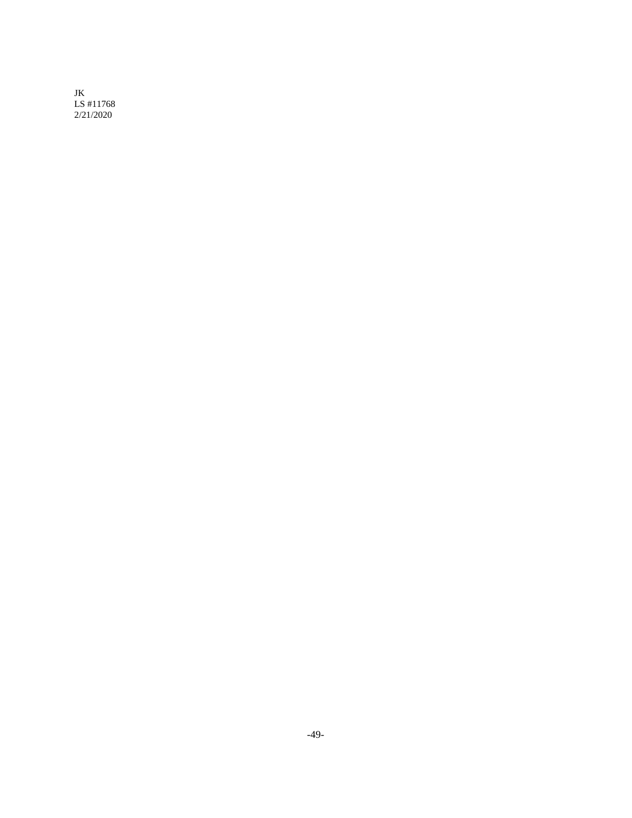JK LS #11768 2/21/2020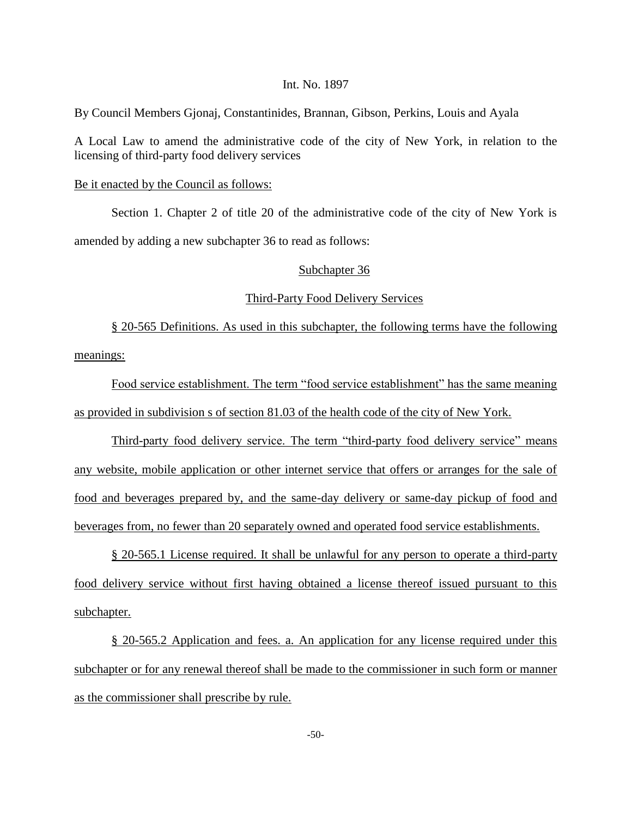By Council Members Gjonaj, Constantinides, Brannan, Gibson, Perkins, Louis and Ayala

A Local Law to amend the administrative code of the city of New York, in relation to the licensing of third-party food delivery services

## Be it enacted by the Council as follows:

Section 1. Chapter 2 of title 20 of the administrative code of the city of New York is amended by adding a new subchapter 36 to read as follows:

### Subchapter 36

# Third-Party Food Delivery Services

§ 20-565 Definitions. As used in this subchapter, the following terms have the following meanings:

Food service establishment. The term "food service establishment" has the same meaning as provided in subdivision s of section 81.03 of the health code of the city of New York.

Third-party food delivery service. The term "third-party food delivery service" means any website, mobile application or other internet service that offers or arranges for the sale of food and beverages prepared by, and the same-day delivery or same-day pickup of food and beverages from, no fewer than 20 separately owned and operated food service establishments.

§ 20-565.1 License required. It shall be unlawful for any person to operate a third-party food delivery service without first having obtained a license thereof issued pursuant to this subchapter.

§ 20-565.2 Application and fees. a. An application for any license required under this subchapter or for any renewal thereof shall be made to the commissioner in such form or manner as the commissioner shall prescribe by rule.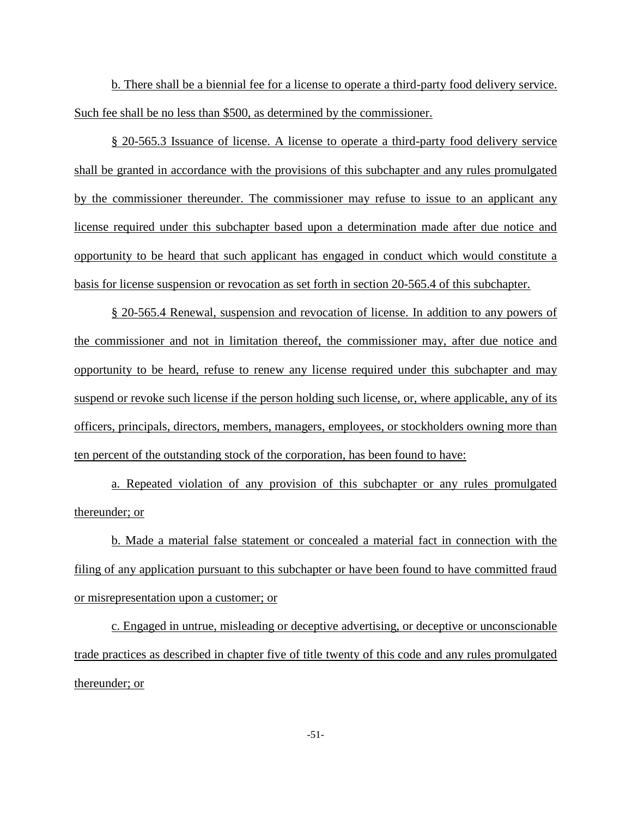b. There shall be a biennial fee for a license to operate a third-party food delivery service. Such fee shall be no less than \$500, as determined by the commissioner.

§ 20-565.3 Issuance of license. A license to operate a third-party food delivery service shall be granted in accordance with the provisions of this subchapter and any rules promulgated by the commissioner thereunder. The commissioner may refuse to issue to an applicant any license required under this subchapter based upon a determination made after due notice and opportunity to be heard that such applicant has engaged in conduct which would constitute a basis for license suspension or revocation as set forth in section 20-565.4 of this subchapter.

§ 20-565.4 Renewal, suspension and revocation of license. In addition to any powers of the commissioner and not in limitation thereof, the commissioner may, after due notice and opportunity to be heard, refuse to renew any license required under this subchapter and may suspend or revoke such license if the person holding such license, or, where applicable, any of its officers, principals, directors, members, managers, employees, or stockholders owning more than ten percent of the outstanding stock of the corporation, has been found to have:

a. Repeated violation of any provision of this subchapter or any rules promulgated thereunder; or

b. Made a material false statement or concealed a material fact in connection with the filing of any application pursuant to this subchapter or have been found to have committed fraud or misrepresentation upon a customer; or

c. Engaged in untrue, misleading or deceptive advertising, or deceptive or unconscionable trade practices as described in chapter five of title twenty of this code and any rules promulgated thereunder; or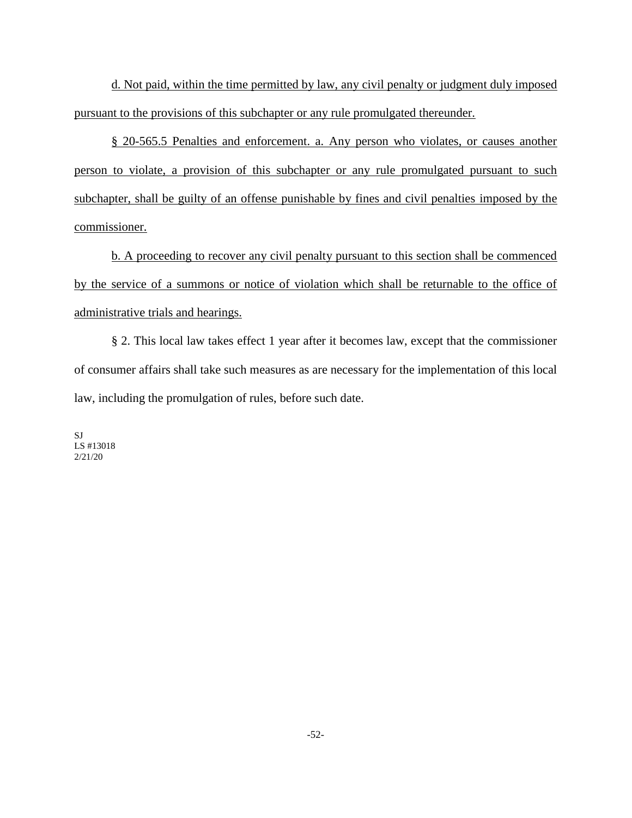d. Not paid, within the time permitted by law, any civil penalty or judgment duly imposed pursuant to the provisions of this subchapter or any rule promulgated thereunder.

§ 20-565.5 Penalties and enforcement. a. Any person who violates, or causes another person to violate, a provision of this subchapter or any rule promulgated pursuant to such subchapter, shall be guilty of an offense punishable by fines and civil penalties imposed by the commissioner.

b. A proceeding to recover any civil penalty pursuant to this section shall be commenced by the service of a summons or notice of violation which shall be returnable to the office of administrative trials and hearings.

§ 2. This local law takes effect 1 year after it becomes law, except that the commissioner of consumer affairs shall take such measures as are necessary for the implementation of this local law, including the promulgation of rules, before such date.

SJ LS #13018 2/21/20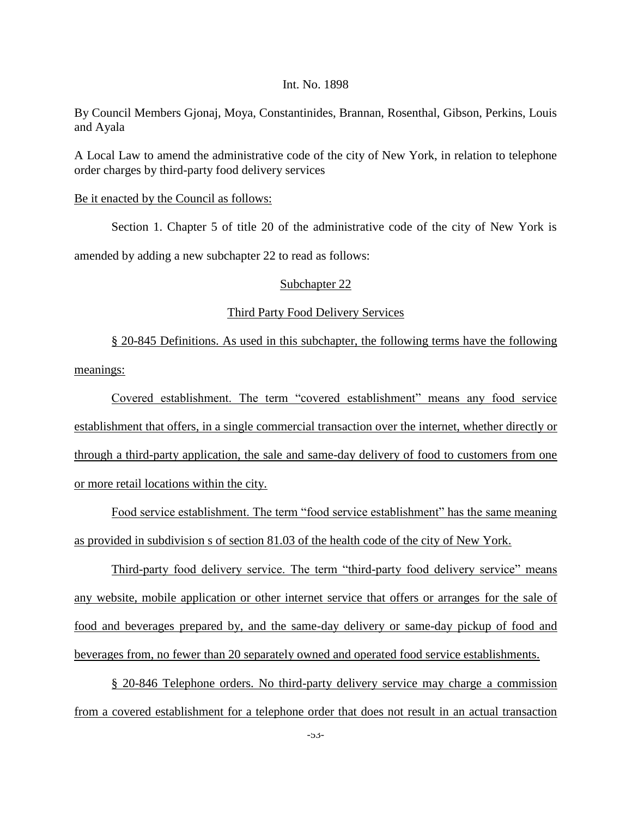By Council Members Gjonaj, Moya, Constantinides, Brannan, Rosenthal, Gibson, Perkins, Louis and Ayala

A Local Law to amend the administrative code of the city of New York, in relation to telephone order charges by third-party food delivery services

#### Be it enacted by the Council as follows:

Section 1. Chapter 5 of title 20 of the administrative code of the city of New York is amended by adding a new subchapter 22 to read as follows:

# Subchapter 22

#### Third Party Food Delivery Services

§ 20-845 Definitions. As used in this subchapter, the following terms have the following meanings:

Covered establishment. The term "covered establishment" means any food service establishment that offers, in a single commercial transaction over the internet, whether directly or through a third-party application, the sale and same-day delivery of food to customers from one or more retail locations within the city.

Food service establishment. The term "food service establishment" has the same meaning as provided in subdivision s of section 81.03 of the health code of the city of New York.

Third-party food delivery service. The term "third-party food delivery service" means any website, mobile application or other internet service that offers or arranges for the sale of food and beverages prepared by, and the same-day delivery or same-day pickup of food and beverages from, no fewer than 20 separately owned and operated food service establishments.

§ 20-846 Telephone orders. No third-party delivery service may charge a commission from a covered establishment for a telephone order that does not result in an actual transaction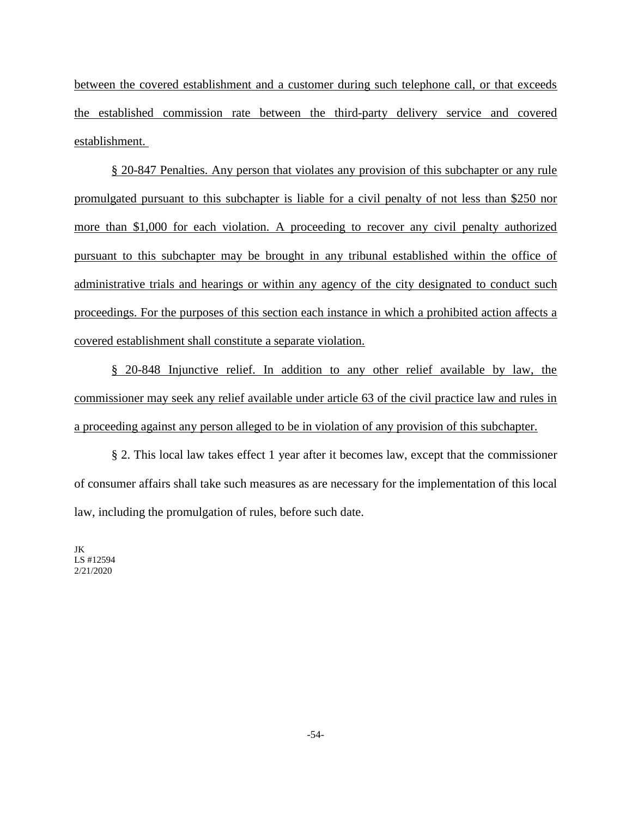between the covered establishment and a customer during such telephone call, or that exceeds the established commission rate between the third-party delivery service and covered establishment.

§ 20-847 Penalties. Any person that violates any provision of this subchapter or any rule promulgated pursuant to this subchapter is liable for a civil penalty of not less than \$250 nor more than \$1,000 for each violation. A proceeding to recover any civil penalty authorized pursuant to this subchapter may be brought in any tribunal established within the office of administrative trials and hearings or within any agency of the city designated to conduct such proceedings. For the purposes of this section each instance in which a prohibited action affects a covered establishment shall constitute a separate violation.

§ 20-848 Injunctive relief. In addition to any other relief available by law, the commissioner may seek any relief available under article 63 of the civil practice law and rules in a proceeding against any person alleged to be in violation of any provision of this subchapter.

§ 2. This local law takes effect 1 year after it becomes law, except that the commissioner of consumer affairs shall take such measures as are necessary for the implementation of this local law, including the promulgation of rules, before such date.

JK LS #12594 2/21/2020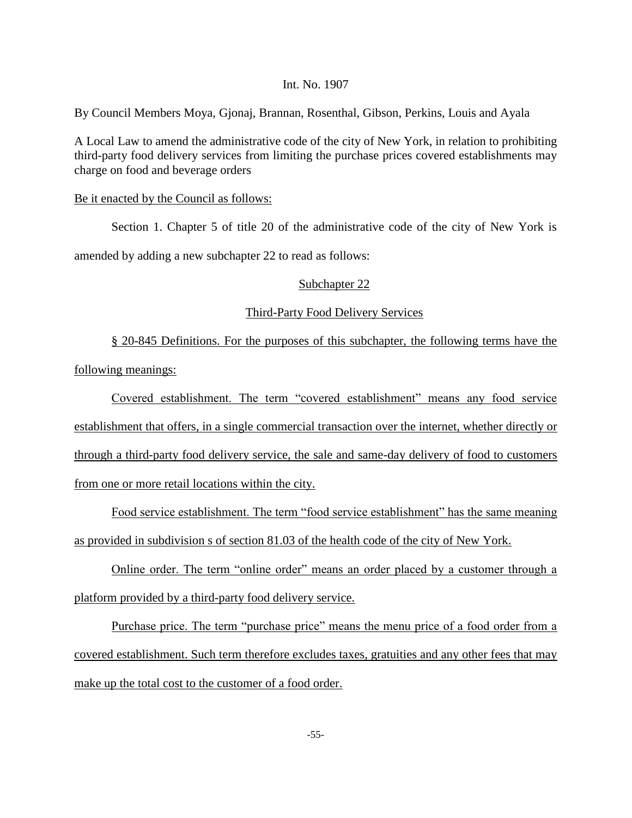By Council Members Moya, Gjonaj, Brannan, Rosenthal, Gibson, Perkins, Louis and Ayala

A Local Law to amend the administrative code of the city of New York, in relation to prohibiting third-party food delivery services from limiting the purchase prices covered establishments may charge on food and beverage orders

#### Be it enacted by the Council as follows:

Section 1. Chapter 5 of title 20 of the administrative code of the city of New York is amended by adding a new subchapter 22 to read as follows:

# Subchapter 22

# Third-Party Food Delivery Services

§ 20-845 Definitions. For the purposes of this subchapter, the following terms have the following meanings:

Covered establishment. The term "covered establishment" means any food service establishment that offers, in a single commercial transaction over the internet, whether directly or through a third-party food delivery service, the sale and same-day delivery of food to customers from one or more retail locations within the city.

Food service establishment. The term "food service establishment" has the same meaning as provided in subdivision s of section 81.03 of the health code of the city of New York.

Online order. The term "online order" means an order placed by a customer through a platform provided by a third-party food delivery service.

Purchase price. The term "purchase price" means the menu price of a food order from a covered establishment. Such term therefore excludes taxes, gratuities and any other fees that may make up the total cost to the customer of a food order.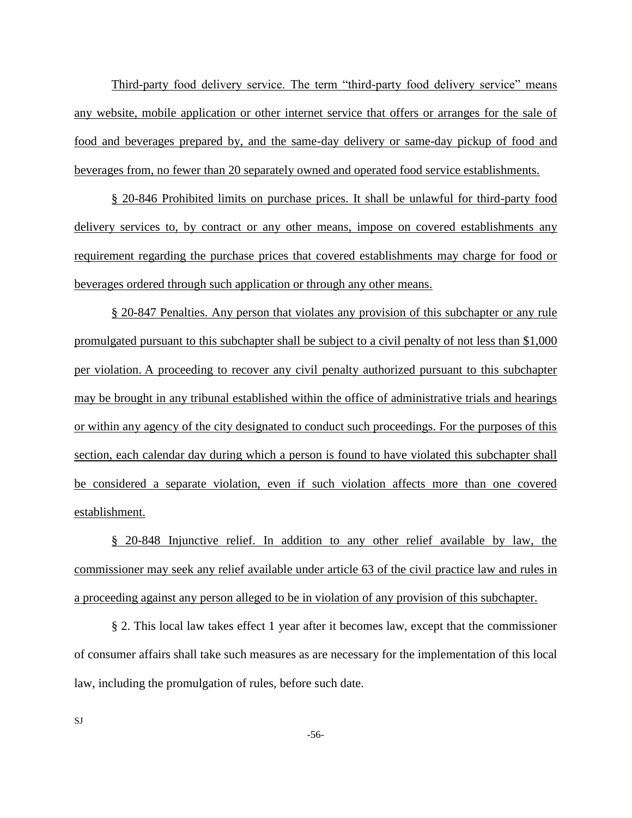Third-party food delivery service. The term "third-party food delivery service" means any website, mobile application or other internet service that offers or arranges for the sale of food and beverages prepared by, and the same-day delivery or same-day pickup of food and beverages from, no fewer than 20 separately owned and operated food service establishments.

§ 20-846 Prohibited limits on purchase prices. It shall be unlawful for third-party food delivery services to, by contract or any other means, impose on covered establishments any requirement regarding the purchase prices that covered establishments may charge for food or beverages ordered through such application or through any other means.

§ 20-847 Penalties. Any person that violates any provision of this subchapter or any rule promulgated pursuant to this subchapter shall be subject to a civil penalty of not less than \$1,000 per violation. A proceeding to recover any civil penalty authorized pursuant to this subchapter may be brought in any tribunal established within the office of administrative trials and hearings or within any agency of the city designated to conduct such proceedings. For the purposes of this section, each calendar day during which a person is found to have violated this subchapter shall be considered a separate violation, even if such violation affects more than one covered establishment.

§ 20-848 Injunctive relief. In addition to any other relief available by law, the commissioner may seek any relief available under article 63 of the civil practice law and rules in a proceeding against any person alleged to be in violation of any provision of this subchapter.

§ 2. This local law takes effect 1 year after it becomes law, except that the commissioner of consumer affairs shall take such measures as are necessary for the implementation of this local law, including the promulgation of rules, before such date.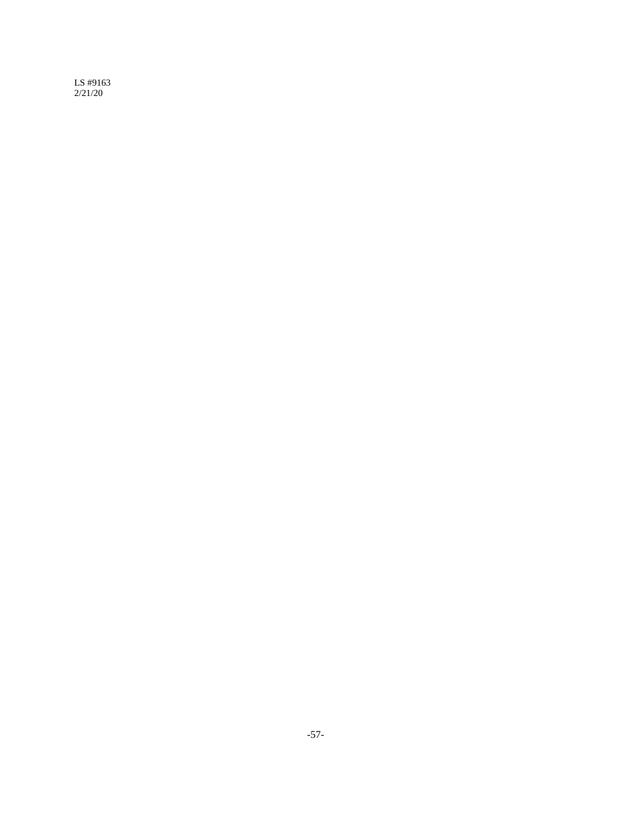LS #9163 2/21/20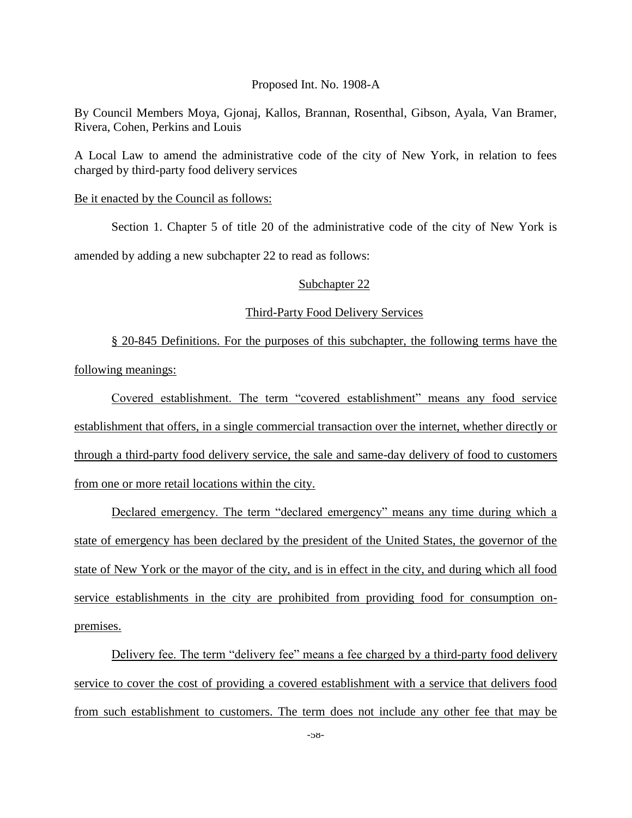Proposed Int. No. 1908-A

By Council Members Moya, Gjonaj, Kallos, Brannan, Rosenthal, Gibson, Ayala, Van Bramer, Rivera, Cohen, Perkins and Louis

A Local Law to amend the administrative code of the city of New York, in relation to fees charged by third-party food delivery services

#### Be it enacted by the Council as follows:

Section 1. Chapter 5 of title 20 of the administrative code of the city of New York is amended by adding a new subchapter 22 to read as follows:

# Subchapter 22

#### Third-Party Food Delivery Services

§ 20-845 Definitions. For the purposes of this subchapter, the following terms have the following meanings:

Covered establishment. The term "covered establishment" means any food service establishment that offers, in a single commercial transaction over the internet, whether directly or through a third-party food delivery service, the sale and same-day delivery of food to customers from one or more retail locations within the city.

Declared emergency. The term "declared emergency" means any time during which a state of emergency has been declared by the president of the United States, the governor of the state of New York or the mayor of the city, and is in effect in the city, and during which all food service establishments in the city are prohibited from providing food for consumption onpremises.

Delivery fee. The term "delivery fee" means a fee charged by a third-party food delivery service to cover the cost of providing a covered establishment with a service that delivers food from such establishment to customers. The term does not include any other fee that may be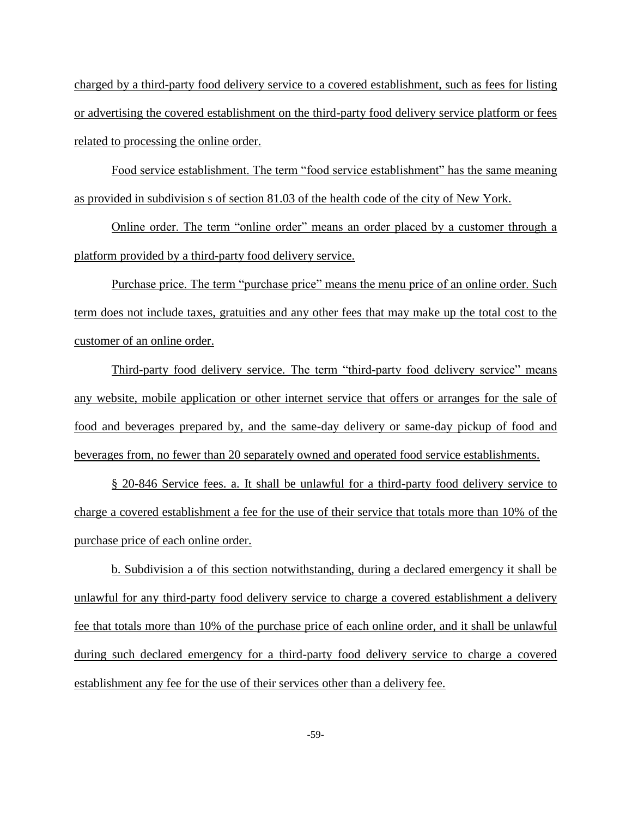charged by a third-party food delivery service to a covered establishment, such as fees for listing or advertising the covered establishment on the third-party food delivery service platform or fees related to processing the online order.

Food service establishment. The term "food service establishment" has the same meaning as provided in subdivision s of section 81.03 of the health code of the city of New York.

Online order. The term "online order" means an order placed by a customer through a platform provided by a third-party food delivery service.

Purchase price. The term "purchase price" means the menu price of an online order. Such term does not include taxes, gratuities and any other fees that may make up the total cost to the customer of an online order.

Third-party food delivery service. The term "third-party food delivery service" means any website, mobile application or other internet service that offers or arranges for the sale of food and beverages prepared by, and the same-day delivery or same-day pickup of food and beverages from, no fewer than 20 separately owned and operated food service establishments.

§ 20-846 Service fees. a. It shall be unlawful for a third-party food delivery service to charge a covered establishment a fee for the use of their service that totals more than 10% of the purchase price of each online order.

b. Subdivision a of this section notwithstanding, during a declared emergency it shall be unlawful for any third-party food delivery service to charge a covered establishment a delivery fee that totals more than 10% of the purchase price of each online order, and it shall be unlawful during such declared emergency for a third-party food delivery service to charge a covered establishment any fee for the use of their services other than a delivery fee.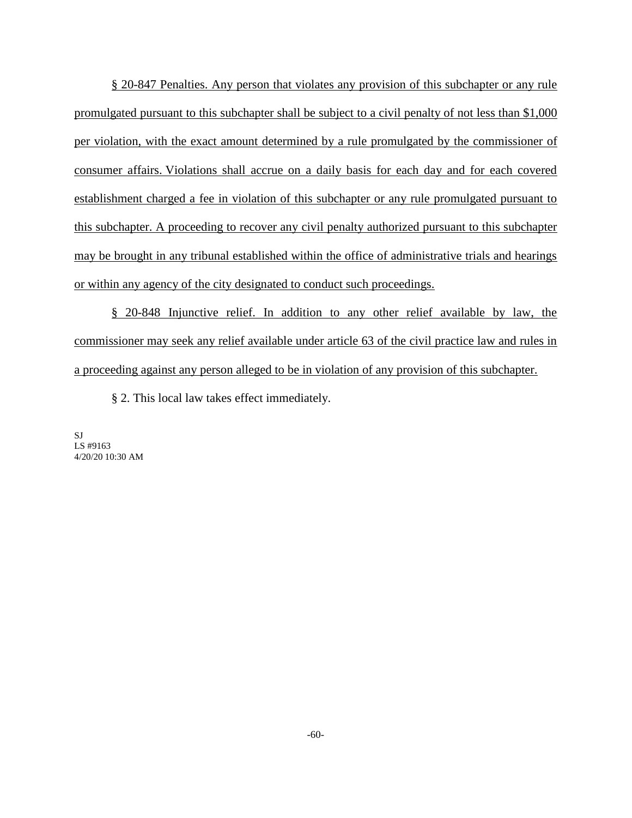§ 20-847 Penalties. Any person that violates any provision of this subchapter or any rule promulgated pursuant to this subchapter shall be subject to a civil penalty of not less than \$1,000 per violation, with the exact amount determined by a rule promulgated by the commissioner of consumer affairs. Violations shall accrue on a daily basis for each day and for each covered establishment charged a fee in violation of this subchapter or any rule promulgated pursuant to this subchapter. A proceeding to recover any civil penalty authorized pursuant to this subchapter may be brought in any tribunal established within the office of administrative trials and hearings or within any agency of the city designated to conduct such proceedings.

§ 20-848 Injunctive relief. In addition to any other relief available by law, the commissioner may seek any relief available under article 63 of the civil practice law and rules in a proceeding against any person alleged to be in violation of any provision of this subchapter.

§ 2. This local law takes effect immediately.

SJ LS #9163 4/20/20 10:30 AM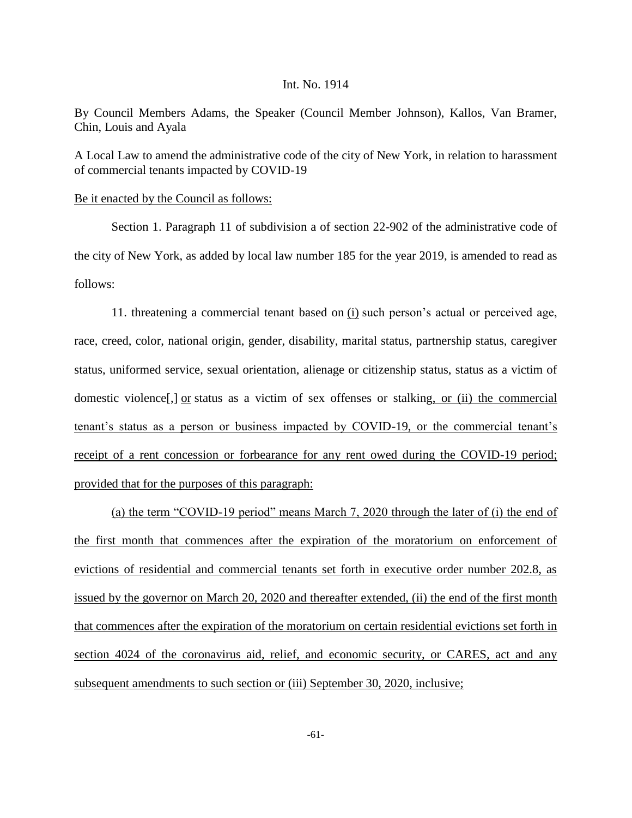By Council Members Adams, the Speaker (Council Member Johnson), Kallos, Van Bramer, Chin, Louis and Ayala

A Local Law to amend the administrative code of the city of New York, in relation to harassment of commercial tenants impacted by COVID-19

### Be it enacted by the Council as follows:

Section 1. Paragraph 11 of subdivision a of section 22-902 of the administrative code of the city of New York, as added by local law number 185 for the year 2019, is amended to read as follows:

11. threatening a commercial tenant based on (i) such person's actual or perceived age, race, creed, color, national origin, gender, disability, marital status, partnership status, caregiver status, uniformed service, sexual orientation, alienage or citizenship status, status as a victim of domestic violence[,] or status as a victim of sex offenses or stalking, or (ii) the commercial tenant's status as a person or business impacted by COVID-19, or the commercial tenant's receipt of a rent concession or forbearance for any rent owed during the COVID-19 period; provided that for the purposes of this paragraph:

(a) the term "COVID-19 period" means March 7, 2020 through the later of (i) the end of the first month that commences after the expiration of the moratorium on enforcement of evictions of residential and commercial tenants set forth in executive order number 202.8, as issued by the governor on March 20, 2020 and thereafter extended, (ii) the end of the first month that commences after the expiration of the moratorium on certain residential evictions set forth in section 4024 of the coronavirus aid, relief, and economic security, or CARES, act and any subsequent amendments to such section or (iii) September 30, 2020, inclusive;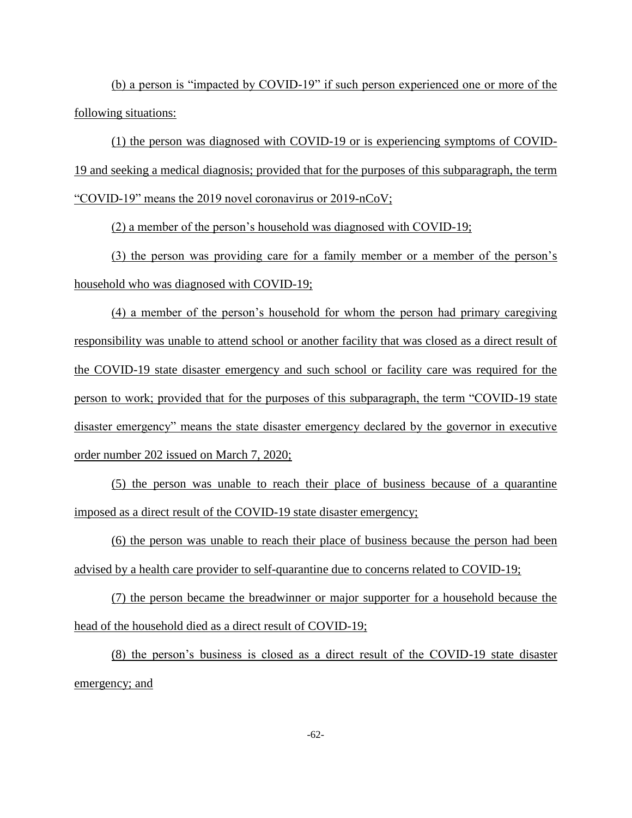(b) a person is "impacted by COVID-19" if such person experienced one or more of the following situations:

(1) the person was diagnosed with COVID-19 or is experiencing symptoms of COVID-19 and seeking a medical diagnosis; provided that for the purposes of this subparagraph, the term "COVID-19" means the 2019 novel coronavirus or 2019-nCoV;

(2) a member of the person's household was diagnosed with COVID-19;

(3) the person was providing care for a family member or a member of the person's household who was diagnosed with COVID-19;

(4) a member of the person's household for whom the person had primary caregiving responsibility was unable to attend school or another facility that was closed as a direct result of the COVID-19 state disaster emergency and such school or facility care was required for the person to work; provided that for the purposes of this subparagraph, the term "COVID-19 state disaster emergency" means the state disaster emergency declared by the governor in executive order number 202 issued on March 7, 2020;

(5) the person was unable to reach their place of business because of a quarantine imposed as a direct result of the COVID-19 state disaster emergency;

(6) the person was unable to reach their place of business because the person had been advised by a health care provider to self-quarantine due to concerns related to COVID-19;

(7) the person became the breadwinner or major supporter for a household because the head of the household died as a direct result of COVID-19;

(8) the person's business is closed as a direct result of the COVID-19 state disaster emergency; and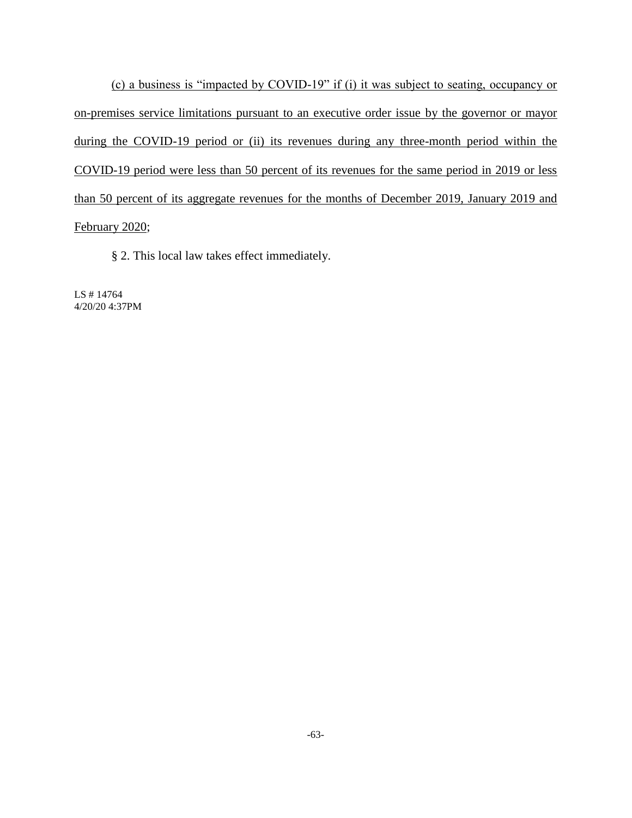(c) a business is "impacted by COVID-19" if (i) it was subject to seating, occupancy or on-premises service limitations pursuant to an executive order issue by the governor or mayor during the COVID-19 period or (ii) its revenues during any three-month period within the COVID-19 period were less than 50 percent of its revenues for the same period in 2019 or less than 50 percent of its aggregate revenues for the months of December 2019, January 2019 and February 2020;

§ 2. This local law takes effect immediately.

LS # 14764 4/20/20 4:37PM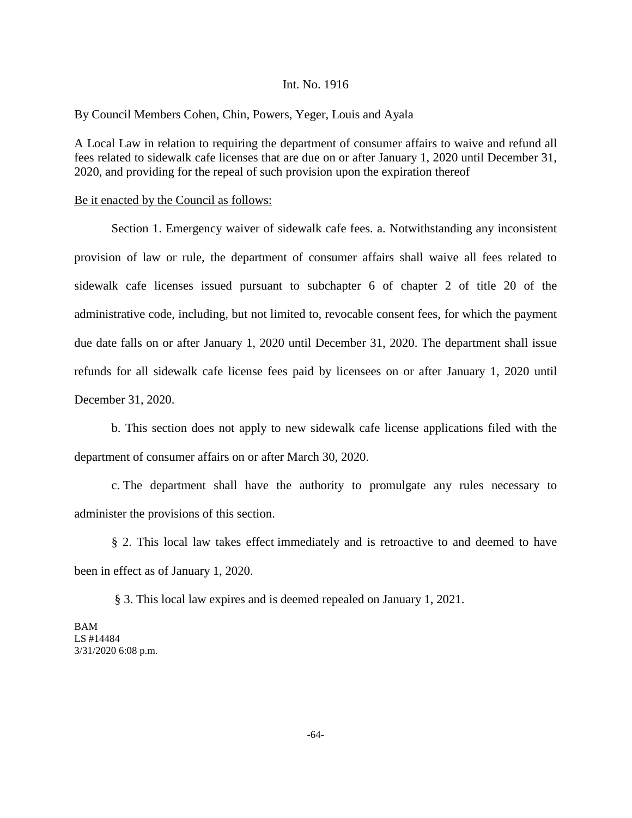By Council Members Cohen, Chin, Powers, Yeger, Louis and Ayala

A Local Law in relation to requiring the department of consumer affairs to waive and refund all fees related to sidewalk cafe licenses that are due on or after January 1, 2020 until December 31, 2020, and providing for the repeal of such provision upon the expiration thereof

# Be it enacted by the Council as follows:

Section 1. Emergency waiver of sidewalk cafe fees. a. Notwithstanding any inconsistent provision of law or rule, the department of consumer affairs shall waive all fees related to sidewalk cafe licenses issued pursuant to subchapter 6 of chapter 2 of title 20 of the administrative code, including, but not limited to, revocable consent fees, for which the payment due date falls on or after January 1, 2020 until December 31, 2020. The department shall issue refunds for all sidewalk cafe license fees paid by licensees on or after January 1, 2020 until December 31, 2020.

b. This section does not apply to new sidewalk cafe license applications filed with the department of consumer affairs on or after March 30, 2020.

c. The department shall have the authority to promulgate any rules necessary to administer the provisions of this section.

§ 2. This local law takes effect immediately and is retroactive to and deemed to have been in effect as of January 1, 2020.

§ 3. This local law expires and is deemed repealed on January 1, 2021.

BAM LS #14484 3/31/2020 6:08 p.m.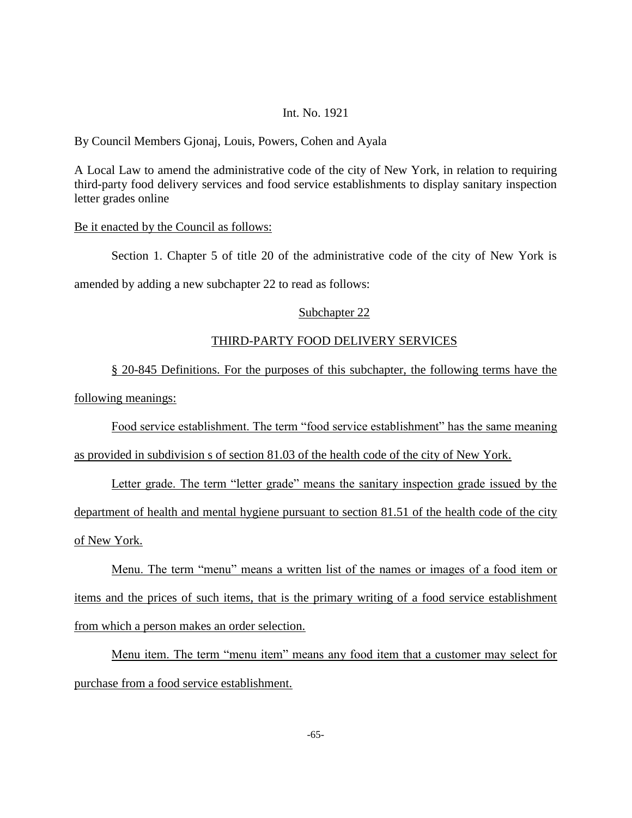By Council Members Gjonaj, Louis, Powers, Cohen and Ayala

A Local Law to amend the administrative code of the city of New York, in relation to requiring third-party food delivery services and food service establishments to display sanitary inspection letter grades online

# Be it enacted by the Council as follows:

Section 1. Chapter 5 of title 20 of the administrative code of the city of New York is amended by adding a new subchapter 22 to read as follows:

# Subchapter 22

# THIRD-PARTY FOOD DELIVERY SERVICES

§ 20-845 Definitions. For the purposes of this subchapter, the following terms have the following meanings:

Food service establishment. The term "food service establishment" has the same meaning

as provided in subdivision s of section 81.03 of the health code of the city of New York.

Letter grade. The term "letter grade" means the sanitary inspection grade issued by the department of health and mental hygiene pursuant to section 81.51 of the health code of the city of New York.

Menu. The term "menu" means a written list of the names or images of a food item or items and the prices of such items, that is the primary writing of a food service establishment from which a person makes an order selection.

Menu item. The term "menu item" means any food item that a customer may select for purchase from a food service establishment.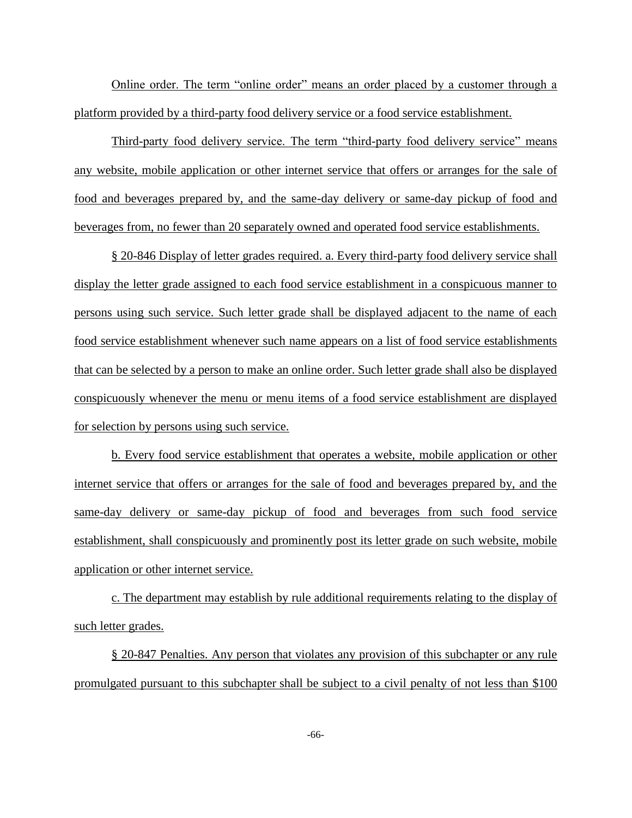Online order. The term "online order" means an order placed by a customer through a platform provided by a third-party food delivery service or a food service establishment.

Third-party food delivery service. The term "third-party food delivery service" means any website, mobile application or other internet service that offers or arranges for the sale of food and beverages prepared by, and the same-day delivery or same-day pickup of food and beverages from, no fewer than 20 separately owned and operated food service establishments.

§ 20-846 Display of letter grades required. a. Every third-party food delivery service shall display the letter grade assigned to each food service establishment in a conspicuous manner to persons using such service. Such letter grade shall be displayed adjacent to the name of each food service establishment whenever such name appears on a list of food service establishments that can be selected by a person to make an online order. Such letter grade shall also be displayed conspicuously whenever the menu or menu items of a food service establishment are displayed for selection by persons using such service.

b. Every food service establishment that operates a website, mobile application or other internet service that offers or arranges for the sale of food and beverages prepared by, and the same-day delivery or same-day pickup of food and beverages from such food service establishment, shall conspicuously and prominently post its letter grade on such website, mobile application or other internet service.

c. The department may establish by rule additional requirements relating to the display of such letter grades.

§ 20-847 Penalties. Any person that violates any provision of this subchapter or any rule promulgated pursuant to this subchapter shall be subject to a civil penalty of not less than \$100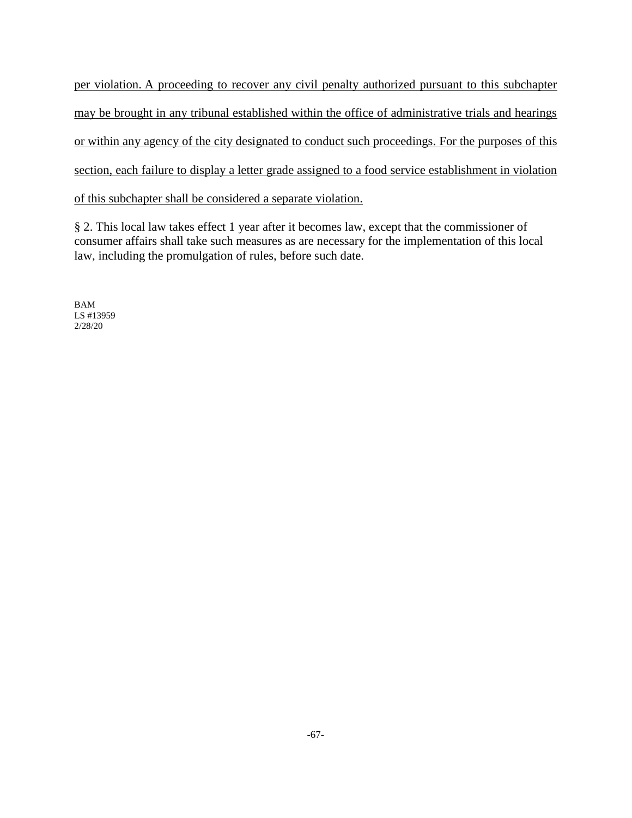per violation. A proceeding to recover any civil penalty authorized pursuant to this subchapter may be brought in any tribunal established within the office of administrative trials and hearings or within any agency of the city designated to conduct such proceedings. For the purposes of this section, each failure to display a letter grade assigned to a food service establishment in violation of this subchapter shall be considered a separate violation.

§ 2. This local law takes effect 1 year after it becomes law, except that the commissioner of consumer affairs shall take such measures as are necessary for the implementation of this local law, including the promulgation of rules, before such date.

BAM LS #13959 2/28/20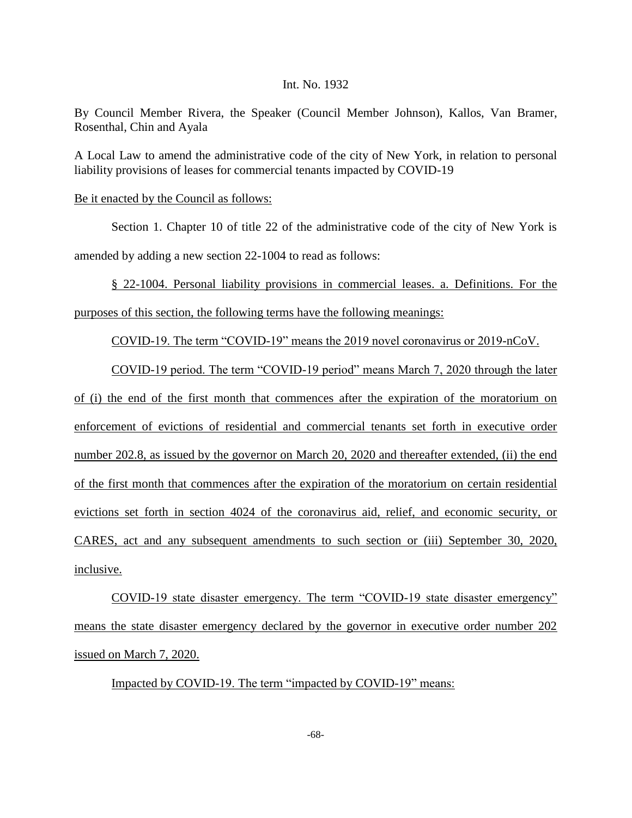By Council Member Rivera, the Speaker (Council Member Johnson), Kallos, Van Bramer, Rosenthal, Chin and Ayala

A Local Law to amend the administrative code of the city of New York, in relation to personal liability provisions of leases for commercial tenants impacted by COVID-19

Be it enacted by the Council as follows:

Section 1. Chapter 10 of title 22 of the administrative code of the city of New York is amended by adding a new section 22-1004 to read as follows:

§ 22-1004. Personal liability provisions in commercial leases. a. Definitions. For the purposes of this section, the following terms have the following meanings:

COVID-19. The term "COVID-19" means the 2019 novel coronavirus or 2019-nCoV.

COVID-19 period. The term "COVID-19 period" means March 7, 2020 through the later

of (i) the end of the first month that commences after the expiration of the moratorium on enforcement of evictions of residential and commercial tenants set forth in executive order number 202.8, as issued by the governor on March 20, 2020 and thereafter extended, (ii) the end of the first month that commences after the expiration of the moratorium on certain residential evictions set forth in section 4024 of the coronavirus aid, relief, and economic security, or CARES, act and any subsequent amendments to such section or (iii) September 30, 2020, inclusive.

COVID-19 state disaster emergency. The term "COVID-19 state disaster emergency" means the state disaster emergency declared by the governor in executive order number 202 issued on March 7, 2020.

Impacted by COVID-19. The term "impacted by COVID-19" means: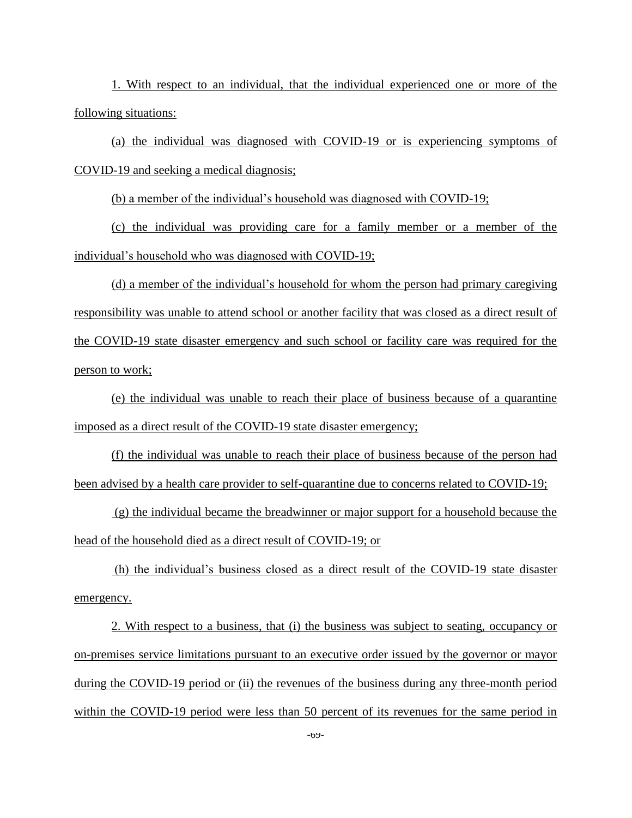1. With respect to an individual, that the individual experienced one or more of the following situations:

(a) the individual was diagnosed with COVID-19 or is experiencing symptoms of COVID-19 and seeking a medical diagnosis;

(b) a member of the individual's household was diagnosed with COVID-19;

(c) the individual was providing care for a family member or a member of the individual's household who was diagnosed with COVID-19;

(d) a member of the individual's household for whom the person had primary caregiving responsibility was unable to attend school or another facility that was closed as a direct result of the COVID-19 state disaster emergency and such school or facility care was required for the person to work;

(e) the individual was unable to reach their place of business because of a quarantine imposed as a direct result of the COVID-19 state disaster emergency;

(f) the individual was unable to reach their place of business because of the person had been advised by a health care provider to self-quarantine due to concerns related to COVID-19;

(g) the individual became the breadwinner or major support for a household because the head of the household died as a direct result of COVID-19; or

(h) the individual's business closed as a direct result of the COVID-19 state disaster emergency.

2. With respect to a business, that (i) the business was subject to seating, occupancy or on-premises service limitations pursuant to an executive order issued by the governor or mayor during the COVID-19 period or (ii) the revenues of the business during any three-month period within the COVID-19 period were less than 50 percent of its revenues for the same period in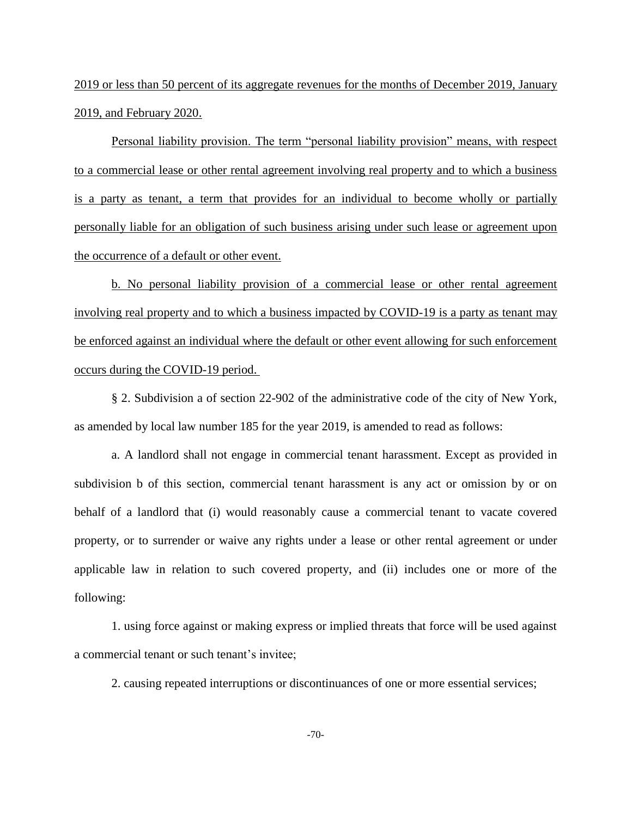2019 or less than 50 percent of its aggregate revenues for the months of December 2019, January 2019, and February 2020.

Personal liability provision. The term "personal liability provision" means, with respect to a commercial lease or other rental agreement involving real property and to which a business is a party as tenant, a term that provides for an individual to become wholly or partially personally liable for an obligation of such business arising under such lease or agreement upon the occurrence of a default or other event.

b. No personal liability provision of a commercial lease or other rental agreement involving real property and to which a business impacted by COVID-19 is a party as tenant may be enforced against an individual where the default or other event allowing for such enforcement occurs during the COVID-19 period.

§ 2. Subdivision a of section 22-902 of the administrative code of the city of New York, as amended by local law number 185 for the year 2019, is amended to read as follows:

a. A landlord shall not engage in commercial tenant harassment. Except as provided in subdivision b of this section, commercial tenant harassment is any act or omission by or on behalf of a landlord that (i) would reasonably cause a commercial tenant to vacate covered property, or to surrender or waive any rights under a lease or other rental agreement or under applicable law in relation to such covered property, and (ii) includes one or more of the following:

1. using force against or making express or implied threats that force will be used against a commercial tenant or such tenant's invitee;

2. causing repeated interruptions or discontinuances of one or more essential services;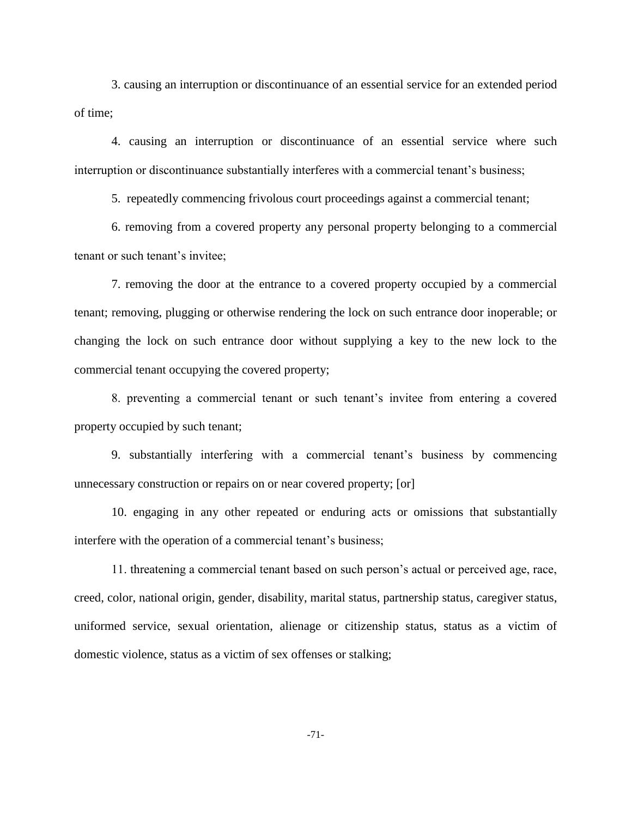3. causing an interruption or discontinuance of an essential service for an extended period of time;

4. causing an interruption or discontinuance of an essential service where such interruption or discontinuance substantially interferes with a commercial tenant's business;

5. repeatedly commencing frivolous court proceedings against a commercial tenant;

6. removing from a covered property any personal property belonging to a commercial tenant or such tenant's invitee;

7. removing the door at the entrance to a covered property occupied by a commercial tenant; removing, plugging or otherwise rendering the lock on such entrance door inoperable; or changing the lock on such entrance door without supplying a key to the new lock to the commercial tenant occupying the covered property;

8. preventing a commercial tenant or such tenant's invitee from entering a covered property occupied by such tenant;

9. substantially interfering with a commercial tenant's business by commencing unnecessary construction or repairs on or near covered property; [or]

10. engaging in any other repeated or enduring acts or omissions that substantially interfere with the operation of a commercial tenant's business;

11. threatening a commercial tenant based on such person's actual or perceived age, race, creed, color, national origin, gender, disability, marital status, partnership status, caregiver status, uniformed service, sexual orientation, alienage or citizenship status, status as a victim of domestic violence, status as a victim of sex offenses or stalking;

-71-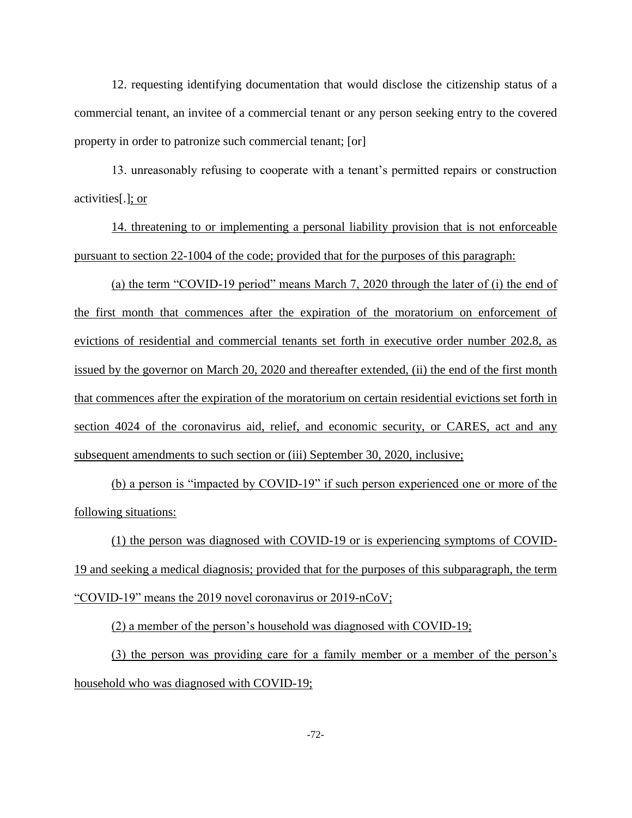12. requesting identifying documentation that would disclose the citizenship status of a commercial tenant, an invitee of a commercial tenant or any person seeking entry to the covered property in order to patronize such commercial tenant; [or]

13. unreasonably refusing to cooperate with a tenant's permitted repairs or construction activities[.]; or

14. threatening to or implementing a personal liability provision that is not enforceable pursuant to section 22-1004 of the code; provided that for the purposes of this paragraph:

(a) the term "COVID-19 period" means March 7, 2020 through the later of (i) the end of the first month that commences after the expiration of the moratorium on enforcement of evictions of residential and commercial tenants set forth in executive order number 202.8, as issued by the governor on March 20, 2020 and thereafter extended, (ii) the end of the first month that commences after the expiration of the moratorium on certain residential evictions set forth in section 4024 of the coronavirus aid, relief, and economic security, or CARES, act and any subsequent amendments to such section or (iii) September 30, 2020, inclusive;

(b) a person is "impacted by COVID-19" if such person experienced one or more of the following situations:

(1) the person was diagnosed with COVID-19 or is experiencing symptoms of COVID-19 and seeking a medical diagnosis; provided that for the purposes of this subparagraph, the term "COVID-19" means the 2019 novel coronavirus or 2019-nCoV;

(2) a member of the person's household was diagnosed with COVID-19;

(3) the person was providing care for a family member or a member of the person's household who was diagnosed with COVID-19;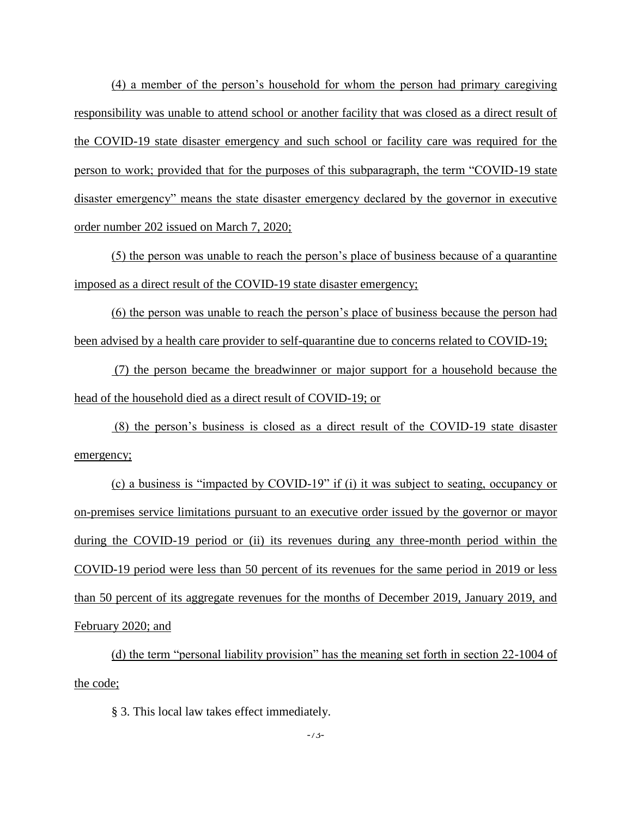(4) a member of the person's household for whom the person had primary caregiving responsibility was unable to attend school or another facility that was closed as a direct result of the COVID-19 state disaster emergency and such school or facility care was required for the person to work; provided that for the purposes of this subparagraph, the term "COVID-19 state disaster emergency" means the state disaster emergency declared by the governor in executive order number 202 issued on March 7, 2020;

(5) the person was unable to reach the person's place of business because of a quarantine imposed as a direct result of the COVID-19 state disaster emergency;

(6) the person was unable to reach the person's place of business because the person had been advised by a health care provider to self-quarantine due to concerns related to COVID-19;

(7) the person became the breadwinner or major support for a household because the head of the household died as a direct result of COVID-19; or

(8) the person's business is closed as a direct result of the COVID-19 state disaster emergency;

(c) a business is "impacted by COVID-19" if (i) it was subject to seating, occupancy or on-premises service limitations pursuant to an executive order issued by the governor or mayor during the COVID-19 period or (ii) its revenues during any three-month period within the COVID-19 period were less than 50 percent of its revenues for the same period in 2019 or less than 50 percent of its aggregate revenues for the months of December 2019, January 2019, and February 2020; and

(d) the term "personal liability provision" has the meaning set forth in section 22-1004 of the code;

§ 3. This local law takes effect immediately.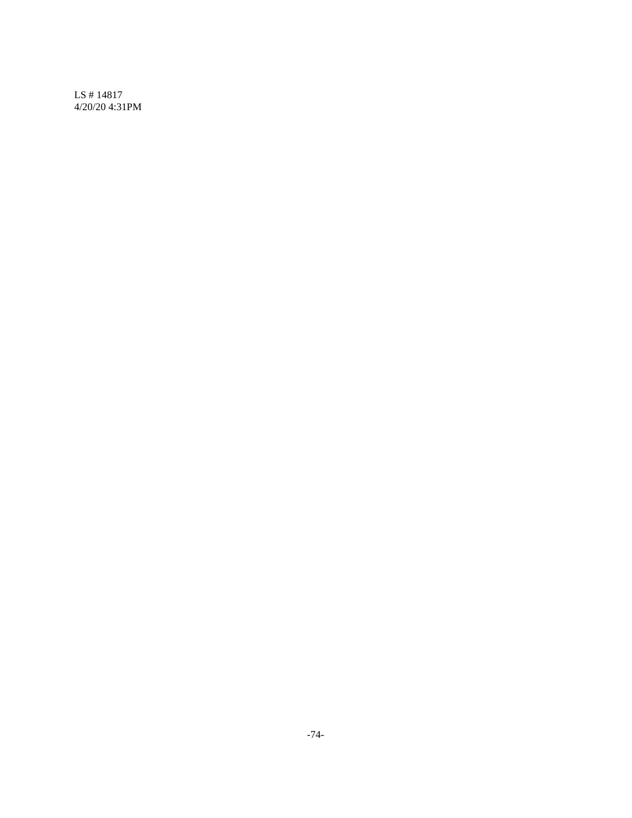LS # 14817 4/20/20 4:31PM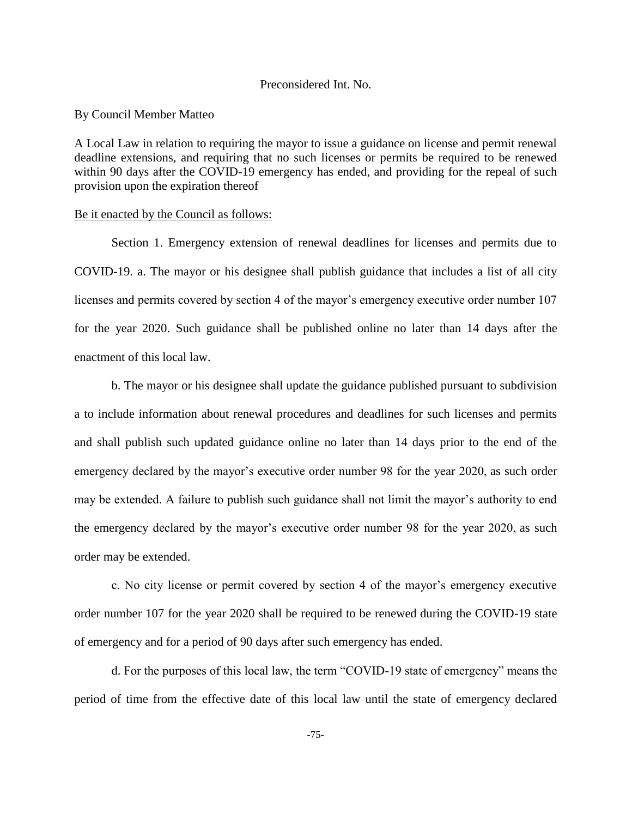## Preconsidered Int. No.

## By Council Member Matteo

A Local Law in relation to requiring the mayor to issue a guidance on license and permit renewal deadline extensions, and requiring that no such licenses or permits be required to be renewed within 90 days after the COVID-19 emergency has ended, and providing for the repeal of such provision upon the expiration thereof

## Be it enacted by the Council as follows:

Section 1. Emergency extension of renewal deadlines for licenses and permits due to COVID-19. a. The mayor or his designee shall publish guidance that includes a list of all city licenses and permits covered by section 4 of the mayor's emergency executive order number 107 for the year 2020. Such guidance shall be published online no later than 14 days after the enactment of this local law.

b. The mayor or his designee shall update the guidance published pursuant to subdivision a to include information about renewal procedures and deadlines for such licenses and permits and shall publish such updated guidance online no later than 14 days prior to the end of the emergency declared by the mayor's executive order number 98 for the year 2020, as such order may be extended. A failure to publish such guidance shall not limit the mayor's authority to end the emergency declared by the mayor's executive order number 98 for the year 2020, as such order may be extended.

c. No city license or permit covered by section 4 of the mayor's emergency executive order number 107 for the year 2020 shall be required to be renewed during the COVID-19 state of emergency and for a period of 90 days after such emergency has ended.

d. For the purposes of this local law, the term "COVID-19 state of emergency" means the period of time from the effective date of this local law until the state of emergency declared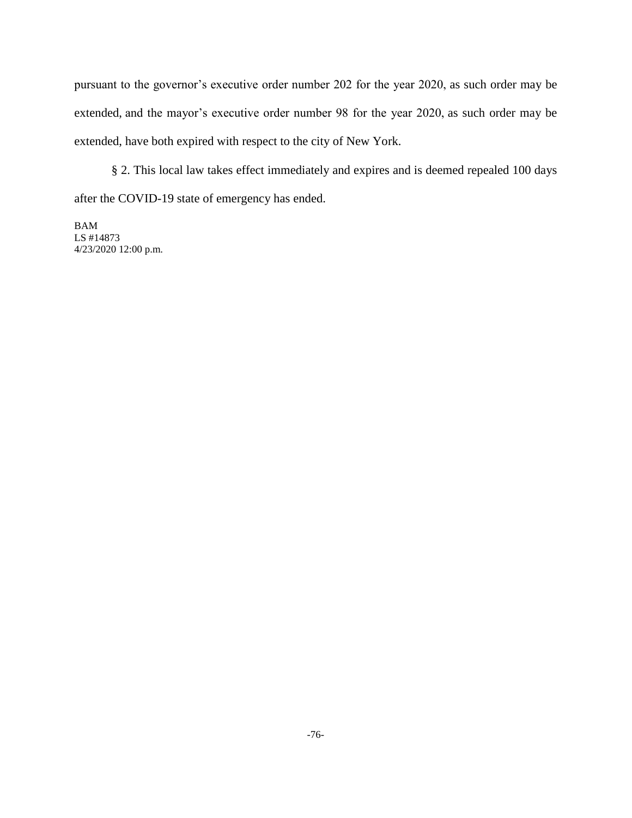pursuant to the governor's executive order number 202 for the year 2020, as such order may be extended, and the mayor's executive order number 98 for the year 2020, as such order may be extended, have both expired with respect to the city of New York.

§ 2. This local law takes effect immediately and expires and is deemed repealed 100 days after the COVID-19 state of emergency has ended.

BAM LS #14873 4/23/2020 12:00 p.m.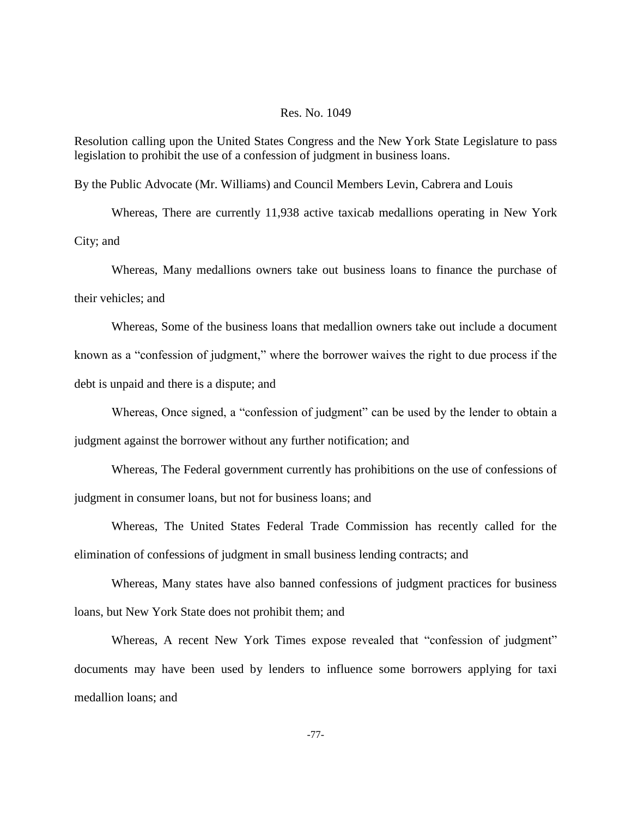## Res. No. 1049

Resolution calling upon the United States Congress and the New York State Legislature to pass legislation to prohibit the use of a confession of judgment in business loans.

By the Public Advocate (Mr. Williams) and Council Members Levin, Cabrera and Louis

Whereas, There are currently 11,938 active taxicab medallions operating in New York City; and

Whereas, Many medallions owners take out business loans to finance the purchase of their vehicles; and

Whereas, Some of the business loans that medallion owners take out include a document known as a "confession of judgment," where the borrower waives the right to due process if the debt is unpaid and there is a dispute; and

Whereas, Once signed, a "confession of judgment" can be used by the lender to obtain a judgment against the borrower without any further notification; and

Whereas, The Federal government currently has prohibitions on the use of confessions of judgment in consumer loans, but not for business loans; and

Whereas, The United States Federal Trade Commission has recently called for the elimination of confessions of judgment in small business lending contracts; and

Whereas, Many states have also banned confessions of judgment practices for business loans, but New York State does not prohibit them; and

Whereas, A recent New York Times expose revealed that "confession of judgment" documents may have been used by lenders to influence some borrowers applying for taxi medallion loans; and